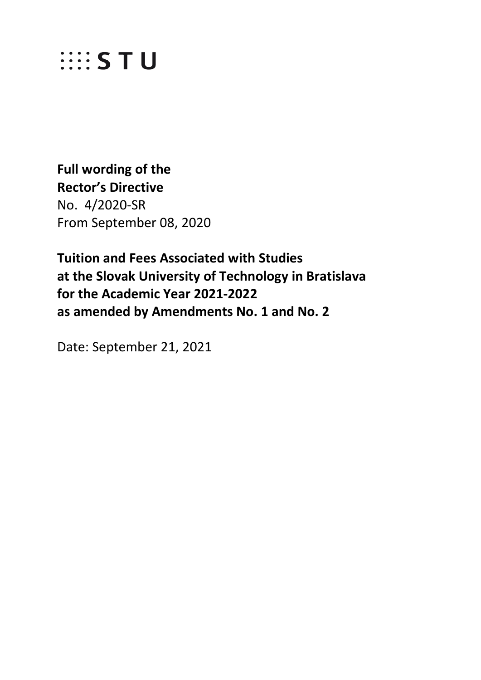

**Full wording of the Rector's Directive**  No. 4/2020-SR From September 08, 2020

**Tuition and Fees Associated with Studies at the Slovak University of Technology in Bratislava for the Academic Year 2021-2022 as amended by Amendments No. 1 and No. 2**

Date: September 21, 2021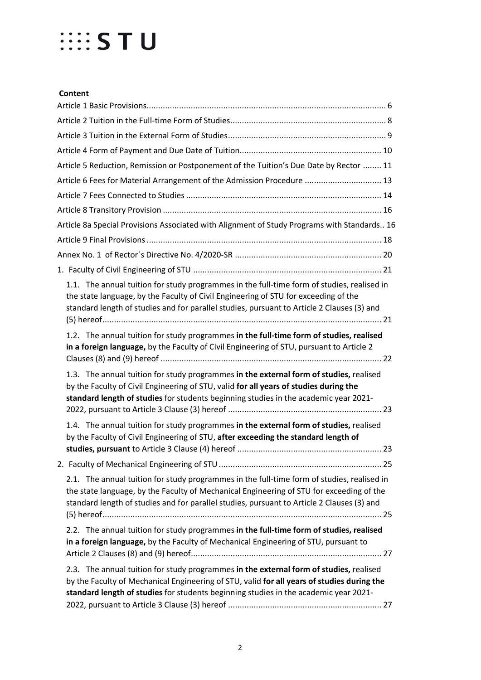| Article 5 Reduction, Remission or Postponement of the Tuition's Due Date by Rector  11                                                                                                                                                                                               |  |
|--------------------------------------------------------------------------------------------------------------------------------------------------------------------------------------------------------------------------------------------------------------------------------------|--|
| Article 6 Fees for Material Arrangement of the Admission Procedure  13                                                                                                                                                                                                               |  |
|                                                                                                                                                                                                                                                                                      |  |
|                                                                                                                                                                                                                                                                                      |  |
| Article 8a Special Provisions Associated with Alignment of Study Programs with Standards 16                                                                                                                                                                                          |  |
|                                                                                                                                                                                                                                                                                      |  |
|                                                                                                                                                                                                                                                                                      |  |
|                                                                                                                                                                                                                                                                                      |  |
| 1.1. The annual tuition for study programmes in the full-time form of studies, realised in<br>the state language, by the Faculty of Civil Engineering of STU for exceeding of the<br>standard length of studies and for parallel studies, pursuant to Article 2 Clauses (3) and      |  |
| 1.2. The annual tuition for study programmes in the full-time form of studies, realised<br>in a foreign language, by the Faculty of Civil Engineering of STU, pursuant to Article 2                                                                                                  |  |
| 1.3. The annual tuition for study programmes in the external form of studies, realised<br>by the Faculty of Civil Engineering of STU, valid for all years of studies during the<br>standard length of studies for students beginning studies in the academic year 2021-              |  |
| 1.4. The annual tuition for study programmes in the external form of studies, realised<br>by the Faculty of Civil Engineering of STU, after exceeding the standard length of                                                                                                         |  |
|                                                                                                                                                                                                                                                                                      |  |
| 2.1. The annual tuition for study programmes in the full-time form of studies, realised in<br>the state language, by the Faculty of Mechanical Engineering of STU for exceeding of the<br>standard length of studies and for parallel studies, pursuant to Article 2 Clauses (3) and |  |
| 2.2. The annual tuition for study programmes in the full-time form of studies, realised<br>in a foreign language, by the Faculty of Mechanical Engineering of STU, pursuant to                                                                                                       |  |
| 2.3. The annual tuition for study programmes in the external form of studies, realised<br>by the Faculty of Mechanical Engineering of STU, valid for all years of studies during the<br>standard length of studies for students beginning studies in the academic year 2021-         |  |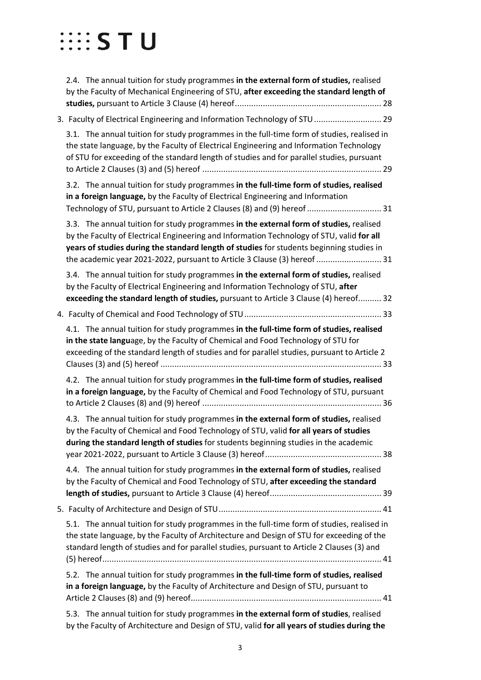| 2.4. The annual tuition for study programmes in the external form of studies, realised<br>by the Faculty of Mechanical Engineering of STU, after exceeding the standard length of                                                                                                                                                                           |
|-------------------------------------------------------------------------------------------------------------------------------------------------------------------------------------------------------------------------------------------------------------------------------------------------------------------------------------------------------------|
| 3. Faculty of Electrical Engineering and Information Technology of STU  29                                                                                                                                                                                                                                                                                  |
| 3.1. The annual tuition for study programmes in the full-time form of studies, realised in<br>the state language, by the Faculty of Electrical Engineering and Information Technology<br>of STU for exceeding of the standard length of studies and for parallel studies, pursuant                                                                          |
| 3.2. The annual tuition for study programmes in the full-time form of studies, realised<br>in a foreign language, by the Faculty of Electrical Engineering and Information<br>Technology of STU, pursuant to Article 2 Clauses (8) and (9) hereof  31                                                                                                       |
| 3.3. The annual tuition for study programmes in the external form of studies, realised<br>by the Faculty of Electrical Engineering and Information Technology of STU, valid for all<br>years of studies during the standard length of studies for students beginning studies in<br>the academic year 2021-2022, pursuant to Article 3 Clause (3) hereof  31 |
| 3.4. The annual tuition for study programmes in the external form of studies, realised<br>by the Faculty of Electrical Engineering and Information Technology of STU, after<br>exceeding the standard length of studies, pursuant to Article 3 Clause (4) hereof 32                                                                                         |
|                                                                                                                                                                                                                                                                                                                                                             |
| 4.1. The annual tuition for study programmes in the full-time form of studies, realised<br>in the state language, by the Faculty of Chemical and Food Technology of STU for<br>exceeding of the standard length of studies and for parallel studies, pursuant to Article 2                                                                                  |
| 4.2. The annual tuition for study programmes in the full-time form of studies, realised<br>in a foreign language, by the Faculty of Chemical and Food Technology of STU, pursuant                                                                                                                                                                           |
| 4.3. The annual tuition for study programmes in the external form of studies, realised<br>by the Faculty of Chemical and Food Technology of STU, valid for all years of studies<br>during the standard length of studies for students beginning studies in the academic                                                                                     |
| 4.4. The annual tuition for study programmes in the external form of studies, realised<br>by the Faculty of Chemical and Food Technology of STU, after exceeding the standard                                                                                                                                                                               |
|                                                                                                                                                                                                                                                                                                                                                             |
| 5.1. The annual tuition for study programmes in the full-time form of studies, realised in<br>the state language, by the Faculty of Architecture and Design of STU for exceeding of the<br>standard length of studies and for parallel studies, pursuant to Article 2 Clauses (3) and                                                                       |
| 5.2. The annual tuition for study programmes in the full-time form of studies, realised<br>in a foreign language, by the Faculty of Architecture and Design of STU, pursuant to                                                                                                                                                                             |
| The annual tuition for study programmes in the external form of studies, realised<br>5.3.                                                                                                                                                                                                                                                                   |

[by the Faculty of Architecture and Design of STU, valid](#page-41-0) **for all years of studies during the**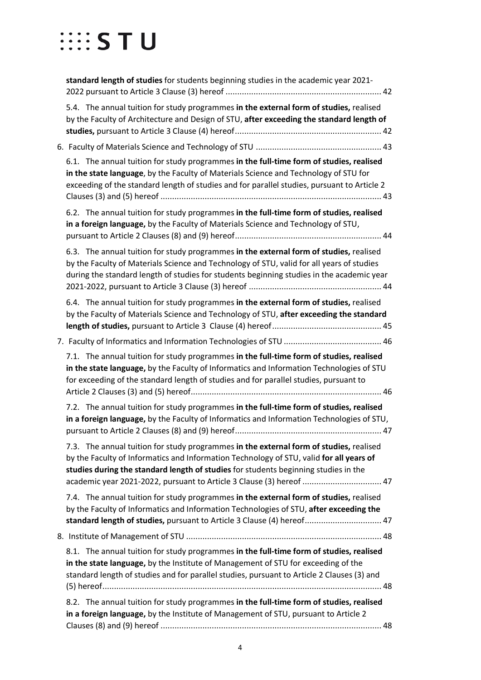| standard length of studies for students beginning studies in the academic year 2021-                                                                                                                                                                                                                                                             |
|--------------------------------------------------------------------------------------------------------------------------------------------------------------------------------------------------------------------------------------------------------------------------------------------------------------------------------------------------|
| 5.4. The annual tuition for study programmes in the external form of studies, realised<br>by the Faculty of Architecture and Design of STU, after exceeding the standard length of                                                                                                                                                               |
|                                                                                                                                                                                                                                                                                                                                                  |
| 6.1. The annual tuition for study programmes in the full-time form of studies, realised<br>in the state language, by the Faculty of Materials Science and Technology of STU for<br>exceeding of the standard length of studies and for parallel studies, pursuant to Article 2                                                                   |
| 6.2. The annual tuition for study programmes in the full-time form of studies, realised<br>in a foreign language, by the Faculty of Materials Science and Technology of STU,                                                                                                                                                                     |
| 6.3. The annual tuition for study programmes in the external form of studies, realised<br>by the Faculty of Materials Science and Technology of STU, valid for all years of studies<br>during the standard length of studies for students beginning studies in the academic year                                                                 |
| 6.4. The annual tuition for study programmes in the external form of studies, realised<br>by the Faculty of Materials Science and Technology of STU, after exceeding the standard                                                                                                                                                                |
|                                                                                                                                                                                                                                                                                                                                                  |
| 7.1. The annual tuition for study programmes in the full-time form of studies, realised<br>in the state language, by the Faculty of Informatics and Information Technologies of STU<br>for exceeding of the standard length of studies and for parallel studies, pursuant to                                                                     |
| 7.2. The annual tuition for study programmes in the full-time form of studies, realised<br>in a foreign language, by the Faculty of Informatics and Information Technologies of STU,                                                                                                                                                             |
| 7.3. The annual tuition for study programmes in the external form of studies, realised<br>by the Faculty of Informatics and Information Technology of STU, valid for all years of<br>studies during the standard length of studies for students beginning studies in the<br>academic year 2021-2022, pursuant to Article 3 Clause (3) hereof  47 |
| 7.4. The annual tuition for study programmes in the external form of studies, realised<br>by the Faculty of Informatics and Information Technologies of STU, after exceeding the<br>standard length of studies, pursuant to Article 3 Clause (4) hereof 47                                                                                       |
|                                                                                                                                                                                                                                                                                                                                                  |
| 8.1. The annual tuition for study programmes in the full-time form of studies, realised<br>in the state language, by the Institute of Management of STU for exceeding of the<br>standard length of studies and for parallel studies, pursuant to Article 2 Clauses (3) and                                                                       |
| 8.2. The annual tuition for study programmes in the full-time form of studies, realised<br>in a foreign language, by the Institute of Management of STU, pursuant to Article 2                                                                                                                                                                   |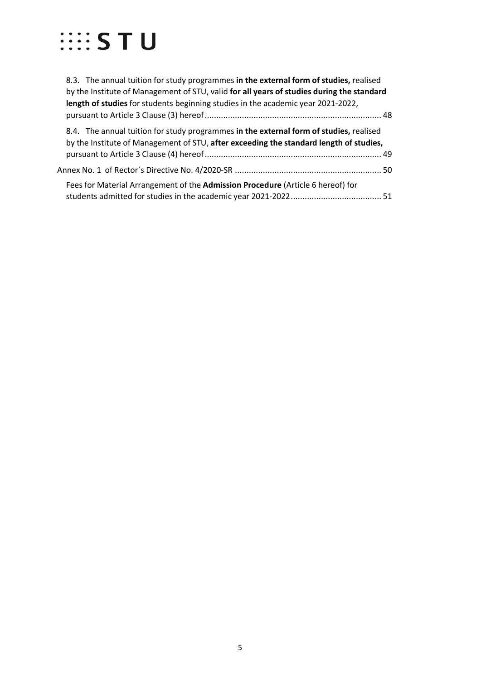| 8.3. The annual tuition for study programmes in the external form of studies, realised<br>by the Institute of Management of STU, valid for all years of studies during the standard |  |
|-------------------------------------------------------------------------------------------------------------------------------------------------------------------------------------|--|
| length of studies for students beginning studies in the academic year 2021-2022,                                                                                                    |  |
| 8.4. The annual tuition for study programmes in the external form of studies, realised<br>by the Institute of Management of STU, after exceeding the standard length of studies,    |  |
| Annex No. 1 of Rector´s Directive No. 4/2020-SR ……………………………………………………………50                                                                                                           |  |
| Fees for Material Arrangement of the Admission Procedure (Article 6 hereof) for                                                                                                     |  |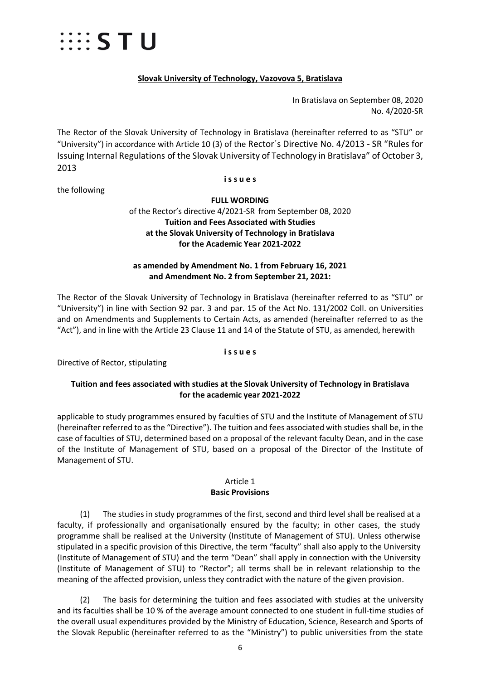

### **Slovak University of Technology, Vazovova 5, Bratislava**

In Bratislava on September 08, 2020 No. 4/2020-SR

The Rector of the Slovak University of Technology in Bratislava (hereinafter referred to as "STU" or "University") in accordance with Article 10 (3) of the Rector´s Directive No. 4/2013 - SR "Rules for Issuing Internal Regulations of the Slovak University of Technology in Bratislava" of October 3, 2013

#### **i s s u e s**

the following

**FULL WORDING** of the Rector's directive 4/2021-SR from September 08, 2020 **Tuition and Fees Associated with Studies at the Slovak University of Technology in Bratislava for the Academic Year 2021-2022**

#### **as amended by Amendment No. 1 from February 16, 2021 and Amendment No. 2 from September 21, 2021:**

The Rector of the Slovak University of Technology in Bratislava (hereinafter referred to as "STU" or "University") in line with Section 92 par. 3 and par. 15 of the Act No. 131/2002 Coll. on Universities and on Amendments and Supplements to Certain Acts, as amended (hereinafter referred to as the "Act"), and in line with the Article 23 Clause 11 and 14 of the Statute of STU, as amended, herewith

#### **i s s u e s**

Directive of Rector, stipulating

#### **Tuition and fees associated with studies at the Slovak University of Technology in Bratislava for the academic year 2021-2022**

applicable to study programmes ensured by faculties of STU and the Institute of Management of STU (hereinafter referred to as the "Directive"). The tuition and fees associated with studies shall be, in the case of faculties of STU, determined based on a proposal of the relevant faculty Dean, and in the case of the Institute of Management of STU, based on a proposal of the Director of the Institute of Management of STU.

#### Article 1 **Basic Provisions**

<span id="page-5-0"></span>(1) The studies in study programmes of the first, second and third level shall be realised at a faculty, if professionally and organisationally ensured by the faculty; in other cases, the study programme shall be realised at the University (Institute of Management of STU). Unless otherwise stipulated in a specific provision of this Directive, the term "faculty" shall also apply to the University (Institute of Management of STU) and the term "Dean" shall apply in connection with the University (Institute of Management of STU) to "Rector"; all terms shall be in relevant relationship to the meaning of the affected provision, unless they contradict with the nature of the given provision.

(2) The basis for determining the tuition and fees associated with studies at the university and its faculties shall be 10 % of the average amount connected to one student in full-time studies of the overall usual expenditures provided by the Ministry of Education, Science, Research and Sports of the Slovak Republic (hereinafter referred to as the "Ministry") to public universities from the state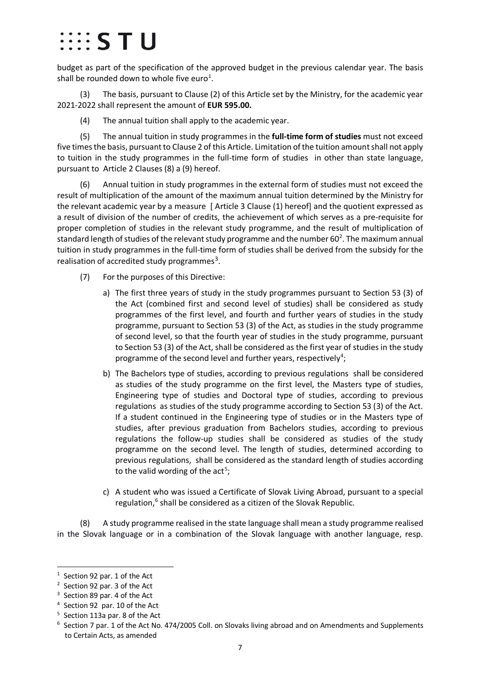# $\cdots$  s t u

budget as part of the specification of the approved budget in the previous calendar year. The basis shall be rounded down to whole five euro<sup>[1](#page-6-0)</sup>.

(3) The basis, pursuant to Clause (2) of this Article set by the Ministry, for the academic year 2021-2022 shall represent the amount of **EUR 595.00.**

(4) The annual tuition shall apply to the academic year.

(5) The annual tuition in study programmes in the **full-time form of studies** must not exceed five times the basis, pursuant to Clause 2 of this Article. Limitation of the tuition amount shall not apply to tuition in the study programmes in the full-time form of studies in other than state language, pursuant to Article 2 Clauses (8) a (9) hereof.

(6) Annual tuition in study programmes in the external form of studies must not exceed the result of multiplication of the amount of the maximum annual tuition determined by the Ministry for the relevant academic year by a measure [ Article 3 Clause (1) hereof] and the quotient expressed as a result of division of the number of credits, the achievement of which serves as a pre-requisite for proper completion of studies in the relevant study programme, and the result of multiplication of standard length of studies of the relevant study programme and the number 60<sup>[2](#page-6-1)</sup>. The maximum annual tuition in study programmes in the full-time form of studies shall be derived from the subsidy for the realisation of accredited study programmes<sup>[3](#page-6-2)</sup>.

- (7) For the purposes of this Directive:
	- a) The first three years of study in the study programmes pursuant to Section 53 (3) of the Act (combined first and second level of studies) shall be considered as study programmes of the first level, and fourth and further years of studies in the study programme, pursuant to Section 53 (3) of the Act, as studies in the study programme of second level, so that the fourth year of studies in the study programme, pursuant to Section 53 (3) of the Act, shall be considered as the first year of studies in the study programme of the second level and further years, respectively<sup>[4](#page-6-3)</sup>;
	- b) The Bachelors type of studies, according to previous regulations shall be considered as studies of the study programme on the first level, the Masters type of studies, Engineering type of studies and Doctoral type of studies, according to previous regulations as studies of the study programme according to Section 53 (3) of the Act. If a student continued in the Engineering type of studies or in the Masters type of studies, after previous graduation from Bachelors studies, according to previous regulations the follow-up studies shall be considered as studies of the study programme on the second level. The length of studies, determined according to previous regulations, shall be considered as the standard length of studies according to the valid wording of the act<sup>[5](#page-6-4)</sup>;
	- c) A student who was issued a Certificate of Slovak Living Abroad, pursuant to a special regulation,<sup>[6](#page-6-5)</sup> shall be considered as a citizen of the Slovak Republic.

(8) A study programme realised in the state language shall mean a study programme realised in the Slovak language or in a combination of the Slovak language with another language, resp.

<span id="page-6-0"></span> $\overline{1}$  $1$  Section 92 par. 1 of the Act

<span id="page-6-1"></span> $2$  Section 92 par. 3 of the Act

<span id="page-6-2"></span><sup>&</sup>lt;sup>3</sup> Section 89 par. 4 of the Act

<span id="page-6-3"></span><sup>4</sup> Section 92 par. 10 of the Act

<span id="page-6-4"></span><sup>5</sup> Section 113a par. 8 of the Act

<span id="page-6-5"></span> $6$  Section 7 par. 1 of the Act No. 474/2005 Coll. on Slovaks living abroad and on Amendments and Supplements to Certain Acts, as amended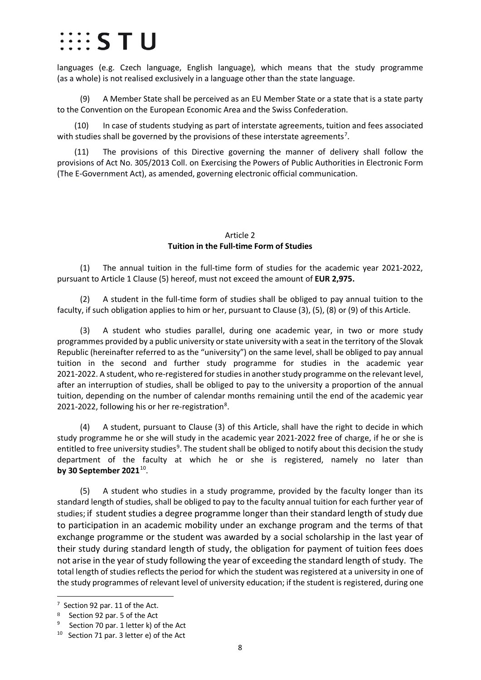## $\cdots$  s t u

languages (e.g. Czech language, English language), which means that the study programme (as a whole) is not realised exclusively in a language other than the state language.

(9) A Member State shall be perceived as an EU Member State or a state that is a state party to the Convention on the European Economic Area and the Swiss Confederation.

(10) In case of students studying as part of interstate agreements, tuition and fees associated with studies shall be governed by the provisions of these interstate agreements<sup>[7](#page-7-1)</sup>.

(11) The provisions of this Directive governing the manner of delivery shall follow the provisions of Act No. 305/2013 Coll. on Exercising the Powers of Public Authorities in Electronic Form (The E-Government Act), as amended, governing electronic official communication.

### Article 2 **Tuition in the Full-time Form of Studies**

<span id="page-7-0"></span>(1) The annual tuition in the full-time form of studies for the academic year 2021-2022, pursuant to Article 1 Clause (5) hereof, must not exceed the amount of **EUR 2,975.**

(2) A student in the full-time form of studies shall be obliged to pay annual tuition to the faculty, if such obligation applies to him or her, pursuant to Clause (3), (5), (8) or (9) of this Article.

(3) A student who studies parallel, during one academic year, in two or more study programmes provided by a public university or state university with a seat in the territory of the Slovak Republic (hereinafter referred to as the "university") on the same level, shall be obliged to pay annual tuition in the second and further study programme for studies in the academic year 2021-2022. A student, who re-registered for studies in another study programme on the relevant level, after an interruption of studies, shall be obliged to pay to the university a proportion of the annual tuition, depending on the number of calendar months remaining until the end of the academic year 2021-2022, following his or her re-registration<sup>[8](#page-7-2)</sup>.

(4) A student, pursuant to Clause (3) of this Article, shall have the right to decide in which study programme he or she will study in the academic year 2021-2022 free of charge, if he or she is entitled to free university studies<sup>[9](#page-7-3)</sup>. The student shall be obliged to notify about this decision the study department of the faculty at which he or she is registered, namely no later than **by 30 September 2021**[10.](#page-7-4)

(5) A student who studies in a study programme, provided by the faculty longer than its standard length of studies, shall be obliged to pay to the faculty annual tuition for each further year of studies; if student studies a degree programme longer than their standard length of study due to participation in an academic mobility under an exchange program and the terms of that exchange programme or the student was awarded by a social scholarship in the last year of their study during standard length of study, the obligation for payment of tuition fees does not arise in the year of study following the year of exceeding the standard length of study. The total length of studies reflects the period for which the student was registered at a university in one of the study programmes of relevant level of university education; if the student is registered, during one

<span id="page-7-1"></span><sup>-&</sup>lt;br>7  $7$  Section 92 par. 11 of the Act.

<span id="page-7-3"></span><span id="page-7-2"></span><sup>&</sup>lt;sup>8</sup> Section 92 par. 5 of the Act<br><sup>9</sup> Section 70 par. 1 letter k) of the Act

<span id="page-7-4"></span><sup>&</sup>lt;sup>10</sup> Section 71 par. 3 letter e) of the Act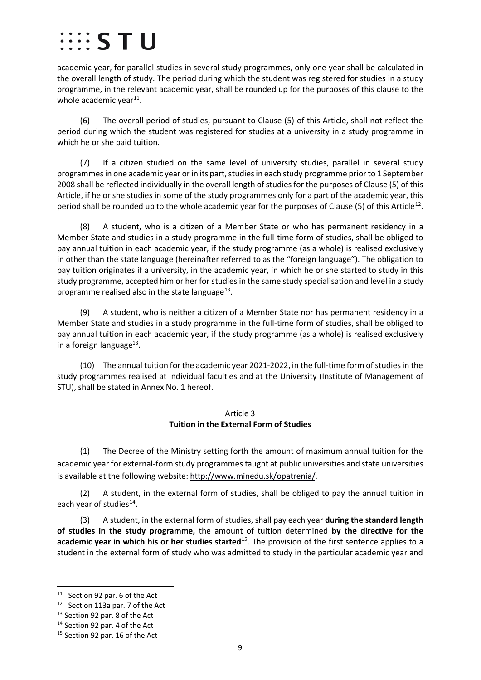# $\cdots$  S T U

academic year, for parallel studies in several study programmes, only one year shall be calculated in the overall length of study. The period during which the student was registered for studies in a study programme, in the relevant academic year, shall be rounded up for the purposes of this clause to the whole academic year $^{11}$ .

(6) The overall period of studies, pursuant to Clause (5) of this Article, shall not reflect the period during which the student was registered for studies at a university in a study programme in which he or she paid tuition.

(7) If a citizen studied on the same level of university studies, parallel in several study programmes in one academic year or in its part, studies in each study programme prior to 1 September 2008 shall be reflected individually in the overall length of studies for the purposes of Clause (5) of this Article, if he or she studies in some of the study programmes only for a part of the academic year, this period shall be rounded up to the whole academic year for the purposes of Clause (5) of this Article<sup>[12](#page-8-2)</sup>.

(8) A student, who is a citizen of a Member State or who has permanent residency in a Member State and studies in a study programme in the full-time form of studies, shall be obliged to pay annual tuition in each academic year, if the study programme (as a whole) is realised exclusively in other than the state language (hereinafter referred to as the "foreign language"). The obligation to pay tuition originates if a university, in the academic year, in which he or she started to study in this study programme, accepted him or her for studies in the same study specialisation and level in a study programme realised also in the state language $^{13}$  $^{13}$  $^{13}$ .

(9) A student, who is neither a citizen of a Member State nor has permanent residency in a Member State and studies in a study programme in the full-time form of studies, shall be obliged to pay annual tuition in each academic year, if the study programme (as a whole) is realised exclusively in a foreign language $^{13}$ .

(10) The annual tuition for the academic year 2021-2022, in the full-time form of studies in the study programmes realised at individual faculties and at the University (Institute of Management of STU), shall be stated in Annex No. 1 hereof.

### Article 3 **Tuition in the External Form of Studies**

<span id="page-8-0"></span>(1) The Decree of the Ministry setting forth the amount of maximum annual tuition for the academic year for external-form study programmes taught at public universities and state universities is available at the following website: [http://www.minedu.sk/opatrenia/.](http://www.minedu.sk/opatrenia/)

(2) A student, in the external form of studies, shall be obliged to pay the annual tuition in each year of studies $^{14}$ .

(3) A student, in the external form of studies, shall pay each year **during the standard length of studies in the study programme,** the amount of tuition determined **by the directive for the academic year in which his or her studies started**[15](#page-8-5). The provision of the first sentence applies to a student in the external form of study who was admitted to study in the particular academic year and

<span id="page-8-1"></span>11 Section 92 par. 6 of the Act

<span id="page-8-2"></span><sup>12</sup> Section 113a par. 7 of the Act

<span id="page-8-3"></span><sup>&</sup>lt;sup>13</sup> Section 92 par. 8 of the Act

<span id="page-8-4"></span><sup>&</sup>lt;sup>14</sup> Section 92 par. 4 of the Act

<span id="page-8-5"></span><sup>&</sup>lt;sup>15</sup> Section 92 par. 16 of the Act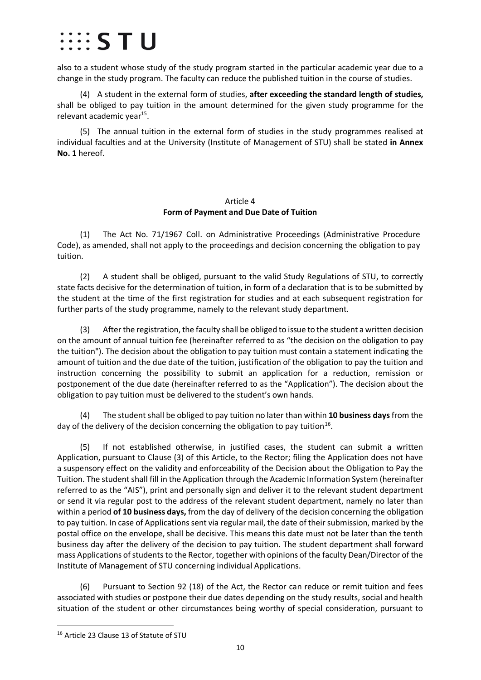## $\cdots$  STU

also to a student whose study of the study program started in the particular academic year due to a change in the study program. The faculty can reduce the published tuition in the course of studies.

(4) A student in the external form of studies, **after exceeding the standard length of studies,** shall be obliged to pay tuition in the amount determined for the given study programme for the relevant academic year<sup>15</sup>.

(5) The annual tuition in the external form of studies in the study programmes realised at individual faculties and at the University (Institute of Management of STU) shall be stated **in Annex No. 1** hereof.

#### Article 4 **Form of Payment and Due Date of Tuition**

<span id="page-9-0"></span>(1) The Act No. 71/1967 Coll. on Administrative Proceedings (Administrative Procedure Code), as amended, shall not apply to the proceedings and decision concerning the obligation to pay tuition.

(2) A student shall be obliged, pursuant to the valid Study Regulations of STU, to correctly state facts decisive for the determination of tuition, in form of a declaration that is to be submitted by the student at the time of the first registration for studies and at each subsequent registration for further parts of the study programme, namely to the relevant study department.

(3) After the registration, the faculty shall be obliged to issue to the student a written decision on the amount of annual tuition fee (hereinafter referred to as "the decision on the obligation to pay the tuition"). The decision about the obligation to pay tuition must contain a statement indicating the amount of tuition and the due date of the tuition, justification of the obligation to pay the tuition and instruction concerning the possibility to submit an application for a reduction, remission or postponement of the due date (hereinafter referred to as the "Application"). The decision about the obligation to pay tuition must be delivered to the student's own hands.

(4) The student shall be obliged to pay tuition no later than within **10 business days** from the day of the delivery of the decision concerning the obligation to pay tuition<sup>[16](#page-9-1)</sup>.

(5) If not established otherwise, in justified cases, the student can submit a written Application, pursuant to Clause (3) of this Article, to the Rector; filing the Application does not have a suspensory effect on the validity and enforceability of the Decision about the Obligation to Pay the Tuition. The student shall fill in the Application through the Academic Information System (hereinafter referred to as the "AIS"), print and personally sign and deliver it to the relevant student department or send it via regular post to the address of the relevant student department, namely no later than within a period **of 10 business days,** from the day of delivery of the decision concerning the obligation to pay tuition. In case of Applications sent via regular mail, the date of their submission, marked by the postal office on the envelope, shall be decisive. This means this date must not be later than the tenth business day after the delivery of the decision to pay tuition. The student department shall forward mass Applications of students to the Rector, together with opinions of the faculty Dean/Director of the Institute of Management of STU concerning individual Applications.

(6) Pursuant to Section 92 (18) of the Act, the Rector can reduce or remit tuition and fees associated with studies or postpone their due dates depending on the study results, social and health situation of the student or other circumstances being worthy of special consideration, pursuant to

<span id="page-9-1"></span><sup>16</sup> Article 23 Clause 13 of Statute of STU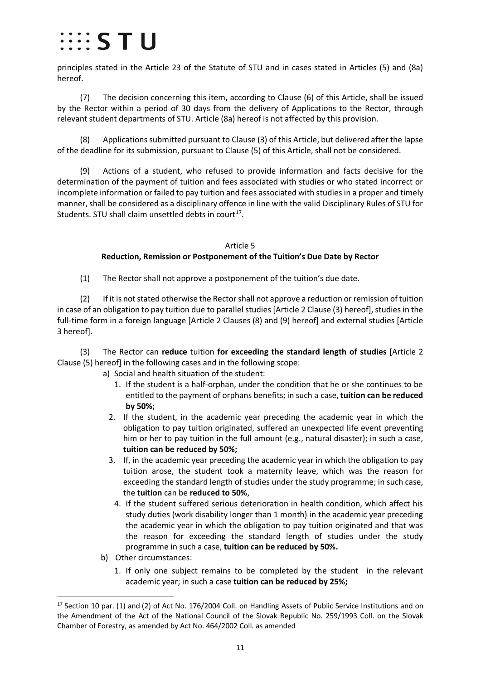## $\cdots$  s t u

principles stated in the Article 23 of the Statute of STU and in cases stated in Articles (5) and (8a) hereof.

(7) The decision concerning this item, according to Clause (6) of this Article, shall be issued by the Rector within a period of 30 days from the delivery of Applications to the Rector, through relevant student departments of STU. Article (8a) hereof is not affected by this provision.

(8) Applications submitted pursuant to Clause (3) of this Article, but delivered after the lapse of the deadline for its submission, pursuant to Clause (5) of this Article, shall not be considered.

(9) Actions of a student, who refused to provide information and facts decisive for the determination of the payment of tuition and fees associated with studies or who stated incorrect or incomplete information or failed to pay tuition and fees associated with studies in a proper and timely manner,shall be considered as a disciplinary offence in line with the valid Disciplinary Rules of STU for Students. STU shall claim unsettled debts in court<sup>[17](#page-10-1)</sup>.

### Article 5 **Reduction, Remission or Postponement of the Tuition's Due Date by Rector**

<span id="page-10-0"></span>(1) The Rector shall not approve a postponement of the tuition's due date.

(2) If it is not stated otherwise the Rectorshall not approve a reduction or remission of tuition in case of an obligation to pay tuition due to parallel studies [Article 2 Clause (3) hereof], studies in the full-time form in a foreign language [Article 2 Clauses (8) and (9) hereof] and external studies [Article 3 hereof].

(3) The Rector can **reduce** tuition **for exceeding the standard length of studies** [Article 2 Clause (5) hereof] in the following cases and in the following scope:

- a) Social and health situation of the student:
	- 1. If the student is a half-orphan, under the condition that he or she continues to be entitled to the payment of orphans benefits; in such a case, **tuition can be reduced by 50%;**
	- 2. If the student, in the academic year preceding the academic year in which the obligation to pay tuition originated, suffered an unexpected life event preventing him or her to pay tuition in the full amount (e.g., natural disaster); in such a case, **tuition can be reduced by 50%;**
	- 3. If, in the academic year preceding the academic year in which the obligation to pay tuition arose, the student took a maternity leave, which was the reason for exceeding the standard length of studies under the study programme; in such case, the **tuition** can be **reduced to 50%**,
		- 4. If the student suffered serious deterioration in health condition, which affect his study duties (work disability longer than 1 month) in the academic year preceding the academic year in which the obligation to pay tuition originated and that was the reason for exceeding the standard length of studies under the study programme in such a case, **tuition can be reduced by 50%.**
- b) Other circumstances:
	- 1. If only one subject remains to be completed by the student in the relevant academic year; in such a case **tuition can be reduced by 25%;**

<span id="page-10-1"></span><sup>&</sup>lt;sup>17</sup> Section 10 par. (1) and (2) of Act No. 176/2004 Coll. on Handling Assets of Public Service Institutions and on the Amendment of the Act of the National Council of the Slovak Republic No. 259/1993 Coll. on the Slovak Chamber of Forestry, as amended by Act No. 464/2002 Coll. as amended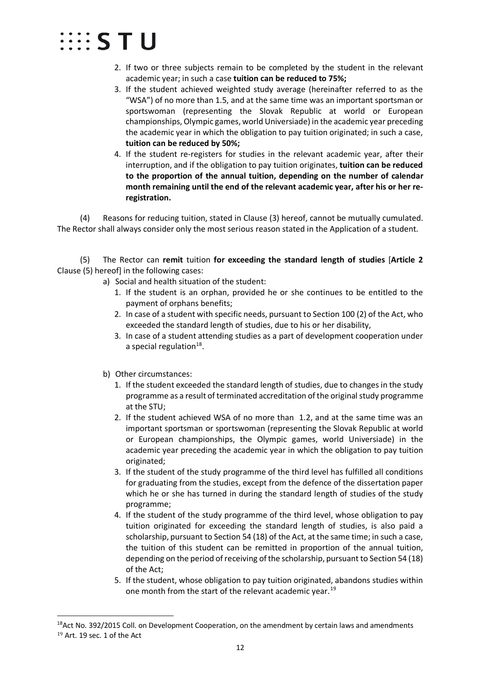

- 2. If two or three subjects remain to be completed by the student in the relevant academic year; in such a case **tuition can be reduced to 75%;**
- 3. If the student achieved weighted study average (hereinafter referred to as the "WSA") of no more than 1.5, and at the same time was an important sportsman or sportswoman (representing the Slovak Republic at world or European championships, Olympic games, world Universiade) in the academic year preceding the academic year in which the obligation to pay tuition originated; in such a case, **tuition can be reduced by 50%;**
- 4. If the student re-registers for studies in the relevant academic year, after their interruption, and if the obligation to pay tuition originates, **tuition can be reduced to the proportion of the annual tuition, depending on the number of calendar month remaining until the end of the relevant academic year, after his or her reregistration.**

(4) Reasons for reducing tuition, stated in Clause (3) hereof, cannot be mutually cumulated. The Rector shall always consider only the most serious reason stated in the Application of a student.

(5) The Rector can **remit** tuition **for exceeding the standard length of studies** [**Article 2** Clause (5) hereof] in the following cases:

- a) Social and health situation of the student:
	- 1. If the student is an orphan, provided he or she continues to be entitled to the payment of orphans benefits;
	- 2. In case of a student with specific needs, pursuant to Section 100 (2) of the Act, who exceeded the standard length of studies, due to his or her disability,
	- 3. In case of a student attending studies as a part of development cooperation under a special regulation $18$ .
- b) Other circumstances:
	- 1. If the student exceeded the standard length of studies, due to changes in the study programme as a result of terminated accreditation of the original study programme at the STU;
	- 2. If the student achieved WSA of no more than 1.2, and at the same time was an important sportsman or sportswoman (representing the Slovak Republic at world or European championships, the Olympic games, world Universiade) in the academic year preceding the academic year in which the obligation to pay tuition originated;
	- 3. If the student of the study programme of the third level has fulfilled all conditions for graduating from the studies, except from the defence of the dissertation paper which he or she has turned in during the standard length of studies of the study programme;
	- 4. If the student of the study programme of the third level, whose obligation to pay tuition originated for exceeding the standard length of studies, is also paid a scholarship, pursuant to Section 54 (18) of the Act, at the same time; in such a case, the tuition of this student can be remitted in proportion of the annual tuition, depending on the period of receiving of the scholarship, pursuant to Section 54 (18) of the Act;
	- 5. If the student, whose obligation to pay tuition originated, abandons studies within one month from the start of the relevant academic year.<sup>[19](#page-11-1)</sup>

<span id="page-11-1"></span><span id="page-11-0"></span><sup>&</sup>lt;sup>18</sup>Act No. 392/2015 Coll. on Development Cooperation, on the amendment by certain laws and amendments <sup>19</sup> Art. 19 sec. 1 of the Act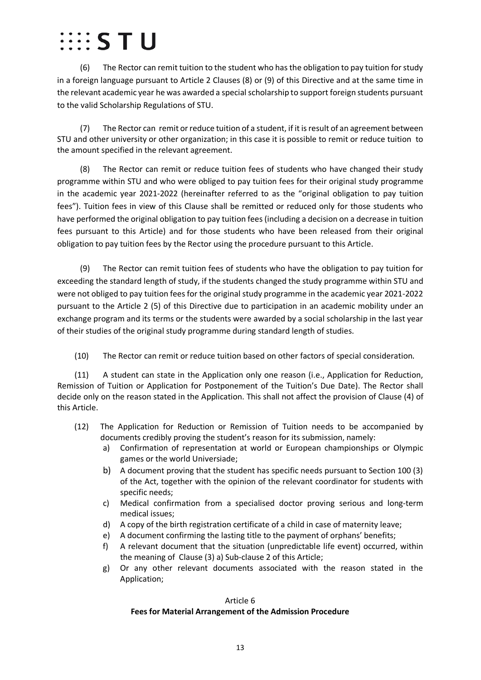# $\cdots$  s t u

(6) The Rector can remit tuition to the student who has the obligation to pay tuition forstudy in a foreign language pursuant to Article 2 Clauses (8) or (9) of this Directive and at the same time in the relevant academic year he was awarded a special scholarship to support foreign students pursuant to the valid Scholarship Regulations of STU.

(7) The Rector can remit or reduce tuition of a student, if it is result of an agreement between STU and other university or other organization; in this case it is possible to remit or reduce tuition to the amount specified in the relevant agreement.

(8) The Rector can remit or reduce tuition fees of students who have changed their study programme within STU and who were obliged to pay tuition fees for their original study programme in the academic year 2021-2022 (hereinafter referred to as the "original obligation to pay tuition fees"). Tuition fees in view of this Clause shall be remitted or reduced only for those students who have performed the original obligation to pay tuition fees (including a decision on a decrease in tuition fees pursuant to this Article) and for those students who have been released from their original obligation to pay tuition fees by the Rector using the procedure pursuant to this Article.

(9) The Rector can remit tuition fees of students who have the obligation to pay tuition for exceeding the standard length of study, if the students changed the study programme within STU and were not obliged to pay tuition fees for the original study programme in the academic year 2021-2022 pursuant to the Article 2 (5) of this Directive due to participation in an academic mobility under an exchange program and its terms or the students were awarded by a social scholarship in the last year of their studies of the original study programme during standard length of studies.

(10) The Rector can remit or reduce tuition based on other factors of special consideration.

(11) A student can state in the Application only one reason (i.e., Application for Reduction, Remission of Tuition or Application for Postponement of the Tuition's Due Date). The Rector shall decide only on the reason stated in the Application. This shall not affect the provision of Clause (4) of this Article.

- (12) The Application for Reduction or Remission of Tuition needs to be accompanied by documents credibly proving the student's reason for its submission, namely:
	- a) Confirmation of representation at world or European championships or Olympic games or the world Universiade;
	- b) A document proving that the student has specific needs pursuant to Section 100 (3) of the Act, together with the opinion of the relevant coordinator for students with specific needs;
	- c) Medical confirmation from a specialised doctor proving serious and long-term medical issues;
	- d) A copy of the birth registration certificate of a child in case of maternity leave;
	- e) A document confirming the lasting title to the payment of orphans' benefits;
	- f) A relevant document that the situation (unpredictable life event) occurred, within the meaning of Clause (3) a) Sub-clause 2 of this Article;
	- g) Or any other relevant documents associated with the reason stated in the Application;

## <span id="page-12-0"></span>Article 6 **Fees for Material Arrangement of the Admission Procedure**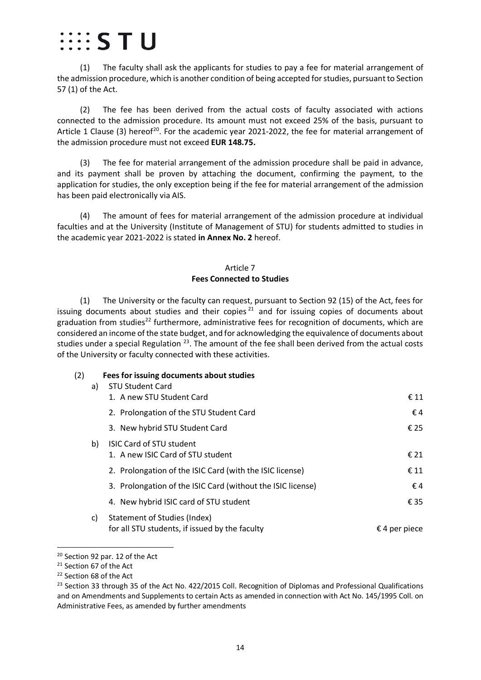# $\cdots$   $\varsigma$  T II

(1) The faculty shall ask the applicants for studies to pay a fee for material arrangement of the admission procedure, which is another condition of being accepted for studies, pursuant to Section 57 (1) of the Act.

(2) The fee has been derived from the actual costs of faculty associated with actions connected to the admission procedure. Its amount must not exceed 25% of the basis, pursuant to Article 1 Clause (3) hereof<sup>[20](#page-13-1)</sup>. For the academic year 2021-2022, the fee for material arrangement of the admission procedure must not exceed **EUR 148.75.**

(3) The fee for material arrangement of the admission procedure shall be paid in advance, and its payment shall be proven by attaching the document, confirming the payment, to the application for studies, the only exception being if the fee for material arrangement of the admission has been paid electronically via AIS.

<span id="page-13-0"></span>(4) The amount of fees for material arrangement of the admission procedure at individual faculties and at the University (Institute of Management of STU) for students admitted to studies in the academic year 2021-2022 is stated **in Annex No. 2** hereof.

### Article 7 **Fees Connected to Studies**

(1) The University or the faculty can request, pursuant to Section 92 (15) of the Act, fees for issuing documents about studies and their copies<sup>[21](#page-13-2)</sup> and for issuing copies of documents about graduation from studies<sup>[22](#page-13-3)</sup> furthermore, administrative fees for recognition of documents, which are considered an income of the state budget, and for acknowledging the equivalence of documents about studies under a special Regulation <sup>[23](#page-13-4)</sup>. The amount of the fee shall been derived from the actual costs of the University or faculty connected with these activities.

(2) **Fees for issuing documents about studies**

| a)  | <b>STU Student Card</b><br>1. A new STU Student Card                                  | € 11                   |
|-----|---------------------------------------------------------------------------------------|------------------------|
|     | 2. Prolongation of the STU Student Card                                               | €4                     |
|     | 3. New hybrid STU Student Card                                                        | € 25                   |
| b)  | <b>ISIC Card of STU student</b><br>1. A new ISIC Card of STU student                  | $\epsilon$ 21          |
|     | 2. Prolongation of the ISIC Card (with the ISIC license)                              | $\epsilon$ 11          |
|     | 3. Prolongation of the ISIC Card (without the ISIC license)                           | €4                     |
|     | 4. New hybrid ISIC card of STU student                                                | € 35                   |
| c). | <b>Statement of Studies (Index)</b><br>for all STU students, if issued by the faculty | $\epsilon$ 4 per piece |

<span id="page-13-1"></span><sup>20</sup> Section 92 par. 12 of the Act

<span id="page-13-2"></span><sup>&</sup>lt;sup>21</sup> Section 67 of the Act

<span id="page-13-3"></span><sup>&</sup>lt;sup>22</sup> Section 68 of the Act

<span id="page-13-4"></span><sup>&</sup>lt;sup>23</sup> Section 33 through 35 of the Act No. 422/2015 Coll. Recognition of Diplomas and Professional Qualifications and on Amendments and Supplements to certain Acts as amended in connection with Act No. 145/1995 Coll. on Administrative Fees, as amended by further amendments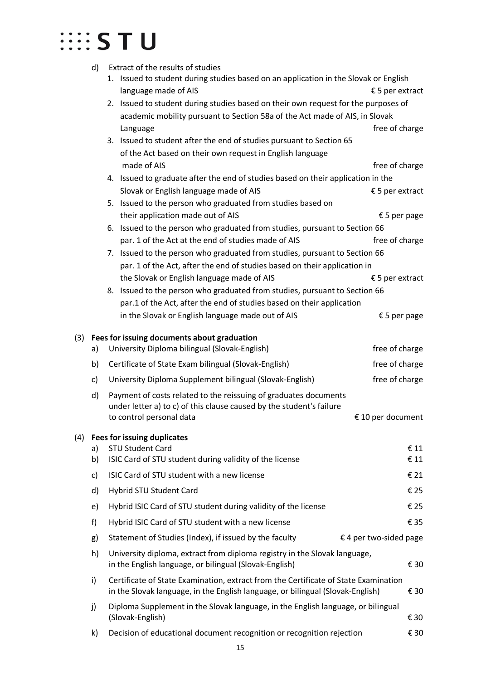| d) | Extract of the results of studies                                     |                                                                                                                                                                                                                                                                                                                                                                                                                                                                                                                                                                                                                                                                                                                                                                                                                                                                                                                                                                                                                                                                                                                                                                                                                                                                                                                                                                                            |
|----|-----------------------------------------------------------------------|--------------------------------------------------------------------------------------------------------------------------------------------------------------------------------------------------------------------------------------------------------------------------------------------------------------------------------------------------------------------------------------------------------------------------------------------------------------------------------------------------------------------------------------------------------------------------------------------------------------------------------------------------------------------------------------------------------------------------------------------------------------------------------------------------------------------------------------------------------------------------------------------------------------------------------------------------------------------------------------------------------------------------------------------------------------------------------------------------------------------------------------------------------------------------------------------------------------------------------------------------------------------------------------------------------------------------------------------------------------------------------------------|
|    |                                                                       | $£5$ per extract                                                                                                                                                                                                                                                                                                                                                                                                                                                                                                                                                                                                                                                                                                                                                                                                                                                                                                                                                                                                                                                                                                                                                                                                                                                                                                                                                                           |
|    |                                                                       |                                                                                                                                                                                                                                                                                                                                                                                                                                                                                                                                                                                                                                                                                                                                                                                                                                                                                                                                                                                                                                                                                                                                                                                                                                                                                                                                                                                            |
|    |                                                                       |                                                                                                                                                                                                                                                                                                                                                                                                                                                                                                                                                                                                                                                                                                                                                                                                                                                                                                                                                                                                                                                                                                                                                                                                                                                                                                                                                                                            |
|    | Language                                                              | free of charge                                                                                                                                                                                                                                                                                                                                                                                                                                                                                                                                                                                                                                                                                                                                                                                                                                                                                                                                                                                                                                                                                                                                                                                                                                                                                                                                                                             |
|    | 3. Issued to student after the end of studies pursuant to Section 65  |                                                                                                                                                                                                                                                                                                                                                                                                                                                                                                                                                                                                                                                                                                                                                                                                                                                                                                                                                                                                                                                                                                                                                                                                                                                                                                                                                                                            |
|    | of the Act based on their own request in English language             |                                                                                                                                                                                                                                                                                                                                                                                                                                                                                                                                                                                                                                                                                                                                                                                                                                                                                                                                                                                                                                                                                                                                                                                                                                                                                                                                                                                            |
|    | made of AIS                                                           | free of charge                                                                                                                                                                                                                                                                                                                                                                                                                                                                                                                                                                                                                                                                                                                                                                                                                                                                                                                                                                                                                                                                                                                                                                                                                                                                                                                                                                             |
|    |                                                                       |                                                                                                                                                                                                                                                                                                                                                                                                                                                                                                                                                                                                                                                                                                                                                                                                                                                                                                                                                                                                                                                                                                                                                                                                                                                                                                                                                                                            |
|    | Slovak or English language made of AIS                                | $£5$ per extract                                                                                                                                                                                                                                                                                                                                                                                                                                                                                                                                                                                                                                                                                                                                                                                                                                                                                                                                                                                                                                                                                                                                                                                                                                                                                                                                                                           |
|    | 5. Issued to the person who graduated from studies based on           |                                                                                                                                                                                                                                                                                                                                                                                                                                                                                                                                                                                                                                                                                                                                                                                                                                                                                                                                                                                                                                                                                                                                                                                                                                                                                                                                                                                            |
|    | their application made out of AIS                                     | € 5 per page                                                                                                                                                                                                                                                                                                                                                                                                                                                                                                                                                                                                                                                                                                                                                                                                                                                                                                                                                                                                                                                                                                                                                                                                                                                                                                                                                                               |
|    |                                                                       |                                                                                                                                                                                                                                                                                                                                                                                                                                                                                                                                                                                                                                                                                                                                                                                                                                                                                                                                                                                                                                                                                                                                                                                                                                                                                                                                                                                            |
|    |                                                                       | free of charge                                                                                                                                                                                                                                                                                                                                                                                                                                                                                                                                                                                                                                                                                                                                                                                                                                                                                                                                                                                                                                                                                                                                                                                                                                                                                                                                                                             |
|    |                                                                       |                                                                                                                                                                                                                                                                                                                                                                                                                                                                                                                                                                                                                                                                                                                                                                                                                                                                                                                                                                                                                                                                                                                                                                                                                                                                                                                                                                                            |
|    |                                                                       |                                                                                                                                                                                                                                                                                                                                                                                                                                                                                                                                                                                                                                                                                                                                                                                                                                                                                                                                                                                                                                                                                                                                                                                                                                                                                                                                                                                            |
|    |                                                                       | $\epsilon$ 5 per extract                                                                                                                                                                                                                                                                                                                                                                                                                                                                                                                                                                                                                                                                                                                                                                                                                                                                                                                                                                                                                                                                                                                                                                                                                                                                                                                                                                   |
|    |                                                                       |                                                                                                                                                                                                                                                                                                                                                                                                                                                                                                                                                                                                                                                                                                                                                                                                                                                                                                                                                                                                                                                                                                                                                                                                                                                                                                                                                                                            |
|    |                                                                       |                                                                                                                                                                                                                                                                                                                                                                                                                                                                                                                                                                                                                                                                                                                                                                                                                                                                                                                                                                                                                                                                                                                                                                                                                                                                                                                                                                                            |
|    |                                                                       | € 5 per page                                                                                                                                                                                                                                                                                                                                                                                                                                                                                                                                                                                                                                                                                                                                                                                                                                                                                                                                                                                                                                                                                                                                                                                                                                                                                                                                                                               |
|    |                                                                       |                                                                                                                                                                                                                                                                                                                                                                                                                                                                                                                                                                                                                                                                                                                                                                                                                                                                                                                                                                                                                                                                                                                                                                                                                                                                                                                                                                                            |
| a) | University Diploma bilingual (Slovak-English)                         | free of charge                                                                                                                                                                                                                                                                                                                                                                                                                                                                                                                                                                                                                                                                                                                                                                                                                                                                                                                                                                                                                                                                                                                                                                                                                                                                                                                                                                             |
| b) | Certificate of State Exam bilingual (Slovak-English)                  | free of charge                                                                                                                                                                                                                                                                                                                                                                                                                                                                                                                                                                                                                                                                                                                                                                                                                                                                                                                                                                                                                                                                                                                                                                                                                                                                                                                                                                             |
| c) | University Diploma Supplement bilingual (Slovak-English)              | free of charge                                                                                                                                                                                                                                                                                                                                                                                                                                                                                                                                                                                                                                                                                                                                                                                                                                                                                                                                                                                                                                                                                                                                                                                                                                                                                                                                                                             |
| d) | Payment of costs related to the reissuing of graduates documents      |                                                                                                                                                                                                                                                                                                                                                                                                                                                                                                                                                                                                                                                                                                                                                                                                                                                                                                                                                                                                                                                                                                                                                                                                                                                                                                                                                                                            |
|    | under letter a) to c) of this clause caused by the student's failure  |                                                                                                                                                                                                                                                                                                                                                                                                                                                                                                                                                                                                                                                                                                                                                                                                                                                                                                                                                                                                                                                                                                                                                                                                                                                                                                                                                                                            |
|    |                                                                       | € 10 per document                                                                                                                                                                                                                                                                                                                                                                                                                                                                                                                                                                                                                                                                                                                                                                                                                                                                                                                                                                                                                                                                                                                                                                                                                                                                                                                                                                          |
|    |                                                                       |                                                                                                                                                                                                                                                                                                                                                                                                                                                                                                                                                                                                                                                                                                                                                                                                                                                                                                                                                                                                                                                                                                                                                                                                                                                                                                                                                                                            |
| a) | <b>STU Student Card</b>                                               | $\epsilon$ 11                                                                                                                                                                                                                                                                                                                                                                                                                                                                                                                                                                                                                                                                                                                                                                                                                                                                                                                                                                                                                                                                                                                                                                                                                                                                                                                                                                              |
| b) | ISIC Card of STU student during validity of the license               | € 11                                                                                                                                                                                                                                                                                                                                                                                                                                                                                                                                                                                                                                                                                                                                                                                                                                                                                                                                                                                                                                                                                                                                                                                                                                                                                                                                                                                       |
| c) | ISIC Card of STU student with a new license                           | € 21                                                                                                                                                                                                                                                                                                                                                                                                                                                                                                                                                                                                                                                                                                                                                                                                                                                                                                                                                                                                                                                                                                                                                                                                                                                                                                                                                                                       |
| d) | Hybrid STU Student Card                                               | € 25                                                                                                                                                                                                                                                                                                                                                                                                                                                                                                                                                                                                                                                                                                                                                                                                                                                                                                                                                                                                                                                                                                                                                                                                                                                                                                                                                                                       |
| e) | Hybrid ISIC Card of STU student during validity of the license        | € 25                                                                                                                                                                                                                                                                                                                                                                                                                                                                                                                                                                                                                                                                                                                                                                                                                                                                                                                                                                                                                                                                                                                                                                                                                                                                                                                                                                                       |
| f) | Hybrid ISIC Card of STU student with a new license                    | € 35                                                                                                                                                                                                                                                                                                                                                                                                                                                                                                                                                                                                                                                                                                                                                                                                                                                                                                                                                                                                                                                                                                                                                                                                                                                                                                                                                                                       |
| g) | Statement of Studies (Index), if issued by the faculty                | $\epsilon$ 4 per two-sided page                                                                                                                                                                                                                                                                                                                                                                                                                                                                                                                                                                                                                                                                                                                                                                                                                                                                                                                                                                                                                                                                                                                                                                                                                                                                                                                                                            |
| h) | in the English language, or bilingual (Slovak-English)                | € 30                                                                                                                                                                                                                                                                                                                                                                                                                                                                                                                                                                                                                                                                                                                                                                                                                                                                                                                                                                                                                                                                                                                                                                                                                                                                                                                                                                                       |
| i) |                                                                       |                                                                                                                                                                                                                                                                                                                                                                                                                                                                                                                                                                                                                                                                                                                                                                                                                                                                                                                                                                                                                                                                                                                                                                                                                                                                                                                                                                                            |
|    |                                                                       | € 30                                                                                                                                                                                                                                                                                                                                                                                                                                                                                                                                                                                                                                                                                                                                                                                                                                                                                                                                                                                                                                                                                                                                                                                                                                                                                                                                                                                       |
| j) | (Slovak-English)                                                      | € 30                                                                                                                                                                                                                                                                                                                                                                                                                                                                                                                                                                                                                                                                                                                                                                                                                                                                                                                                                                                                                                                                                                                                                                                                                                                                                                                                                                                       |
| k) | Decision of educational document recognition or recognition rejection | € 30                                                                                                                                                                                                                                                                                                                                                                                                                                                                                                                                                                                                                                                                                                                                                                                                                                                                                                                                                                                                                                                                                                                                                                                                                                                                                                                                                                                       |
|    |                                                                       | 1. Issued to student during studies based on an application in the Slovak or English<br>language made of AIS<br>2. Issued to student during studies based on their own request for the purposes of<br>academic mobility pursuant to Section 58a of the Act made of AIS, in Slovak<br>4. Issued to graduate after the end of studies based on their application in the<br>6. Issued to the person who graduated from studies, pursuant to Section 66<br>par. 1 of the Act at the end of studies made of AIS<br>7. Issued to the person who graduated from studies, pursuant to Section 66<br>par. 1 of the Act, after the end of studies based on their application in<br>the Slovak or English language made of AIS<br>8. Issued to the person who graduated from studies, pursuant to Section 66<br>par.1 of the Act, after the end of studies based on their application<br>in the Slovak or English language made out of AIS<br>Fees for issuing documents about graduation<br>to control personal data<br><b>Fees for issuing duplicates</b><br>University diploma, extract from diploma registry in the Slovak language,<br>Certificate of State Examination, extract from the Certificate of State Examination<br>in the Slovak language, in the English language, or bilingual (Slovak-English)<br>Diploma Supplement in the Slovak language, in the English language, or bilingual |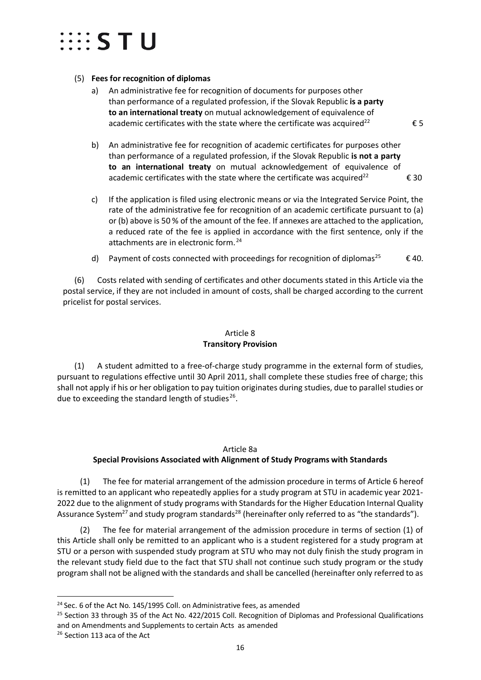## $\cdots$  STU

### (5) **Fees for recognition of diplomas**

- a) An administrative fee for recognition of documents for purposes other than performance of a regulated profession, if the Slovak Republic **is a party to an international treaty** on mutual acknowledgement of equivalence of academic certificates with the state where the certificate was acquired<sup>22</sup>  $\epsilon$  5
- b) An administrative fee for recognition of academic certificates for purposes other than performance of a regulated profession, if the Slovak Republic **is not a party to an international treaty** on mutual acknowledgement of equivalence of academic certificates with the state where the certificate was acquired<sup>22</sup>  $\epsilon$  30
- c) If the application is filed using electronic means or via the Integrated Service Point, the rate of the administrative fee for recognition of an academic certificate pursuant to (a) or (b) above is 50 % of the amount of the fee. If annexes are attached to the application, a reduced rate of the fee is applied in accordance with the first sentence, only if the attachments are in electronic form.<sup>[24](#page-15-2)</sup>
- d) Payment of costs connected with proceedings for recognition of diplomas<sup>25</sup>  $\epsilon$  40.

(6) Costs related with sending of certificates and other documents stated in this Article via the postal service, if they are not included in amount of costs, shall be charged according to the current pricelist for postal services.

## Article 8 **Transitory Provision**

<span id="page-15-0"></span>(1) A student admitted to a free-of-charge study programme in the external form of studies, pursuant to regulations effective until 30 April 2011, shall complete these studies free of charge; this shall not apply if his or her obligation to pay tuition originates during studies, due to parallel studies or due to exceeding the standard length of studies<sup>26</sup>.

#### Article 8a

## <span id="page-15-1"></span>**Special Provisions Associated with Alignment of Study Programs with Standards**

(1) The fee for material arrangement of the admission procedure in terms of Article 6 hereof is remitted to an applicant who repeatedly applies for a study program at STU in academic year 2021- 2022 due to the alignment of study programs with Standards for the Higher Education Internal Quality Assurance System<sup>27</sup> and study program standards<sup>28</sup> (hereinafter only referred to as "the standards").

(2) The fee for material arrangement of the admission procedure in terms of section (1) of this Article shall only be remitted to an applicant who is a student registered for a study program at STU or a person with suspended study program at STU who may not duly finish the study program in the relevant study field due to the fact that STU shall not continue such study program or the study program shall not be aligned with the standards and shall be cancelled (hereinafter only referred to as

<span id="page-15-2"></span><sup>&</sup>lt;sup>24</sup> Sec. 6 of the Act No. 145/1995 Coll. on Administrative fees, as amended

<span id="page-15-3"></span><sup>&</sup>lt;sup>25</sup> Section 33 through 35 of the Act No. 422/2015 Coll. Recognition of Diplomas and Professional Qualifications and on Amendments and Supplements to certain Acts as amended

<span id="page-15-4"></span><sup>&</sup>lt;sup>26</sup> Section 113 aca of the Act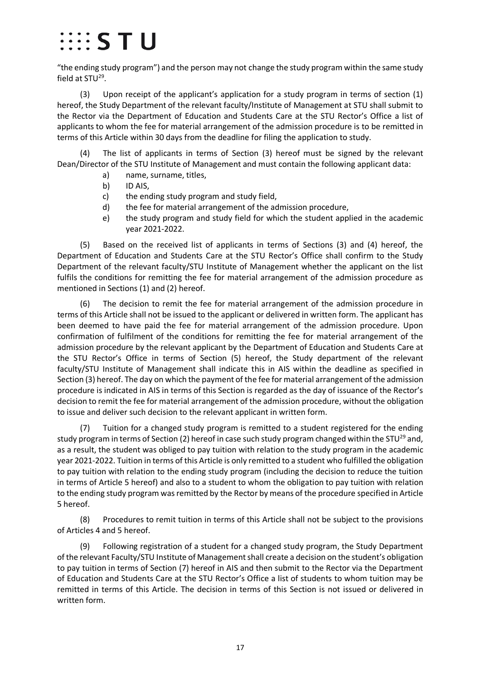# $\cdots$  s t u

"the ending study program") and the person may not change the study program within the same study field at  $STU^{29}$ .

(3) Upon receipt of the applicant's application for a study program in terms of section (1) hereof, the Study Department of the relevant faculty/Institute of Management at STU shall submit to the Rector via the Department of Education and Students Care at the STU Rector's Office a list of applicants to whom the fee for material arrangement of the admission procedure is to be remitted in terms of this Article within 30 days from the deadline for filing the application to study.

(4) The list of applicants in terms of Section (3) hereof must be signed by the relevant Dean/Director of the STU Institute of Management and must contain the following applicant data:

- a) name, surname, titles,
- b) ID AIS,
- c) the ending study program and study field,
- d) the fee for material arrangement of the admission procedure,
- e) the study program and study field for which the student applied in the academic year 2021-2022.

(5) Based on the received list of applicants in terms of Sections (3) and (4) hereof, the Department of Education and Students Care at the STU Rector's Office shall confirm to the Study Department of the relevant faculty/STU Institute of Management whether the applicant on the list fulfils the conditions for remitting the fee for material arrangement of the admission procedure as mentioned in Sections (1) and (2) hereof.

(6) The decision to remit the fee for material arrangement of the admission procedure in terms of this Article shall not be issued to the applicant or delivered in written form. The applicant has been deemed to have paid the fee for material arrangement of the admission procedure. Upon confirmation of fulfilment of the conditions for remitting the fee for material arrangement of the admission procedure by the relevant applicant by the Department of Education and Students Care at the STU Rector's Office in terms of Section (5) hereof, the Study department of the relevant faculty/STU Institute of Management shall indicate this in AIS within the deadline as specified in Section (3) hereof. The day on which the payment of the fee for material arrangement of the admission procedure is indicated in AIS in terms of this Section is regarded as the day of issuance of the Rector's decision to remit the fee for material arrangement of the admission procedure, without the obligation to issue and deliver such decision to the relevant applicant in written form.

(7) Tuition for a changed study program is remitted to a student registered for the ending study program in terms of Section (2) hereof in case such study program changed within the STU<sup>29</sup> and, as a result, the student was obliged to pay tuition with relation to the study program in the academic year 2021-2022. Tuition in terms of this Article is only remitted to a student who fulfilled the obligation to pay tuition with relation to the ending study program (including the decision to reduce the tuition in terms of Article 5 hereof) and also to a student to whom the obligation to pay tuition with relation to the ending study program was remitted by the Rector by means of the procedure specified in Article 5 hereof.

(8) Procedures to remit tuition in terms of this Article shall not be subject to the provisions of Articles 4 and 5 hereof.

(9) Following registration of a student for a changed study program, the Study Department of the relevant Faculty/STU Institute of Management shall create a decision on the student's obligation to pay tuition in terms of Section (7) hereof in AIS and then submit to the Rector via the Department of Education and Students Care at the STU Rector's Office a list of students to whom tuition may be remitted in terms of this Article. The decision in terms of this Section is not issued or delivered in written form.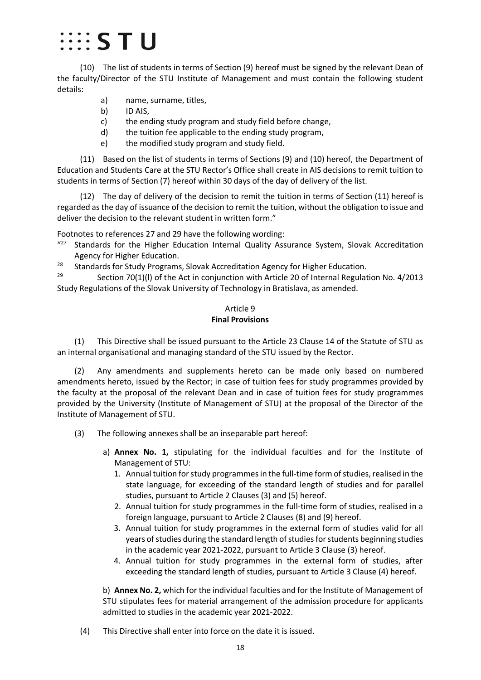# $\cdots$  s t u

(10) The list of students in terms of Section (9) hereof must be signed by the relevant Dean of the faculty/Director of the STU Institute of Management and must contain the following student details:

- a) name, surname, titles,
- b) ID AIS,
- c) the ending study program and study field before change,
- d) the tuition fee applicable to the ending study program,
- e) the modified study program and study field.

(11) Based on the list of students in terms of Sections (9) and (10) hereof, the Department of Education and Students Care at the STU Rector's Office shall create in AIS decisions to remit tuition to students in terms of Section (7) hereof within 30 days of the day of delivery of the list.

(12) The day of delivery of the decision to remit the tuition in terms of Section (11) hereof is regarded as the day of issuance of the decision to remit the tuition, without the obligation to issue and deliver the decision to the relevant student in written form."

Footnotes to references 27 and 29 have the following wording:

- $1427$  Standards for the Higher Education Internal Quality Assurance System, Slovak Accreditation Agency for Higher Education.
- <sup>28</sup> Standards for Study Programs, Slovak Accreditation Agency for Higher Education.

<span id="page-17-0"></span><sup>29</sup> Section 70(1)(I) of the Act in conjunction with Article 20 of Internal Regulation No. 4/2013 Study Regulations of the Slovak University of Technology in Bratislava, as amended.

#### Article 9 **Final Provisions**

(1) This Directive shall be issued pursuant to the Article 23 Clause 14 of the Statute of STU as an internal organisational and managing standard of the STU issued by the Rector.

(2) Any amendments and supplements hereto can be made only based on numbered amendments hereto, issued by the Rector; in case of tuition fees for study programmes provided by the faculty at the proposal of the relevant Dean and in case of tuition fees for study programmes provided by the University (Institute of Management of STU) at the proposal of the Director of the Institute of Management of STU.

- (3) The following annexes shall be an inseparable part hereof:
	- a) **Annex No. 1,** stipulating for the individual faculties and for the Institute of Management of STU:
		- 1. Annual tuition for study programmes in the full-time form of studies, realised in the state language, for exceeding of the standard length of studies and for parallel studies, pursuant to Article 2 Clauses (3) and (5) hereof.
		- 2. Annual tuition for study programmes in the full-time form of studies, realised in a foreign language, pursuant to Article 2 Clauses (8) and (9) hereof.
		- 3. Annual tuition for study programmes in the external form of studies valid for all years of studies during the standard length of studies for students beginning studies in the academic year 2021-2022, pursuant to Article 3 Clause (3) hereof.
		- 4. Annual tuition for study programmes in the external form of studies, after exceeding the standard length of studies, pursuant to Article 3 Clause (4) hereof.

b) **Annex No. 2,** which for the individual faculties and for the Institute of Management of STU stipulates fees for material arrangement of the admission procedure for applicants admitted to studies in the academic year 2021-2022.

(4)This Directive shall enter into force on the date it is issued.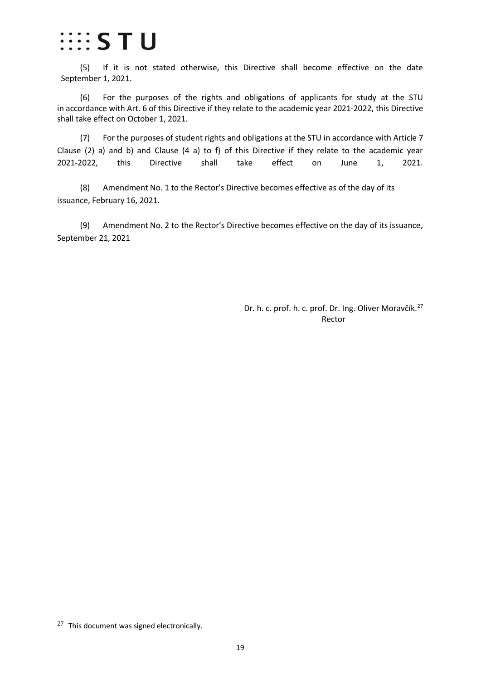## $\cdots$  S T U

(5) If it is not stated otherwise, this Directive shall become effective on the date September 1, 2021.

(6) For the purposes of the rights and obligations of applicants for study at the STU in accordance with Art. 6 of this Directive if they relate to the academic year 2021-2022, this Directive shall take effect on October 1, 2021.

(7) For the purposes of student rights and obligations at the STU in accordance with Article 7 Clause (2) a) and b) and Clause (4 a) to f) of this Directive if they relate to the academic year 2021-2022, this Directive shall take effect on June 1, 2021.

(8) Amendment No. 1 to the Rector's Directive becomes effective as of the day of its issuance, February 16, 2021.

(9) Amendment No. 2 to the Rector's Directive becomes effective on the day of its issuance, September 21, 2021

> Dr. h. c. prof. h. c. prof. Dr. Ing. Oliver Moravčík.<sup>[27](#page-18-0)</sup> Rector

<span id="page-18-0"></span><sup>27</sup> This document was signed electronically.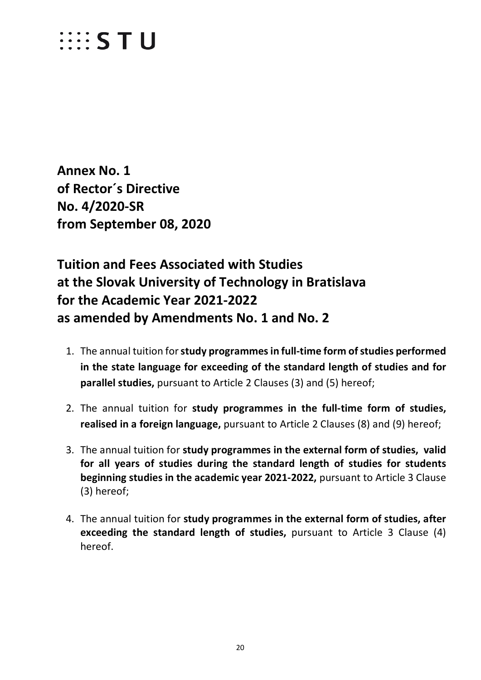# $\cdots$  STU

<span id="page-19-0"></span>**Annex No. 1 of Rector´s Directive No. 4/2020-SR from September 08, 2020**

**Tuition and Fees Associated with Studies at the Slovak University of Technology in Bratislava for the Academic Year 2021-2022 as amended by Amendments No. 1 and No. 2**

- 1. The annual tuition for **study programmes in full-time form of studies performed in the state language for exceeding of the standard length of studies and for parallel studies,** pursuant to Article 2 Clauses (3) and (5) hereof;
- 2. The annual tuition for **study programmes in the full-time form of studies, realised in a foreign language,** pursuant to Article 2 Clauses (8) and (9) hereof;
- 3. The annual tuition for **study programmes in the external form of studies, valid for all years of studies during the standard length of studies for students beginning studies in the academic year 2021-2022,** pursuant to Article 3 Clause (3) hereof;
- 4. The annual tuition for **study programmes in the external form of studies, after exceeding the standard length of studies,** pursuant to Article 3 Clause (4) hereof.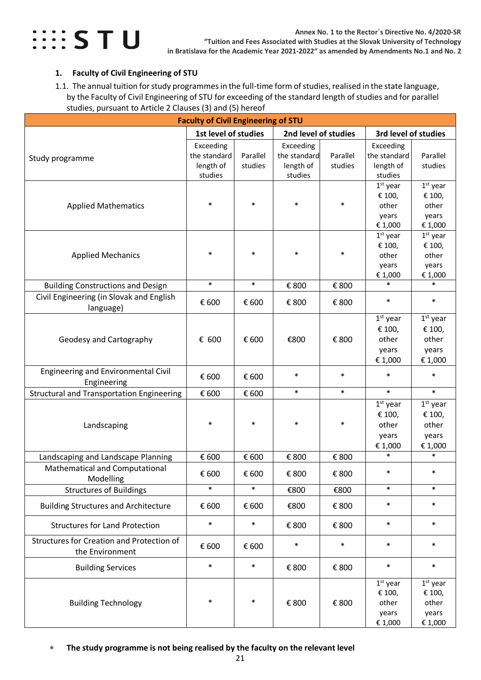

### <span id="page-20-0"></span>**1. Faculty of Civil Engineering of STU**

<span id="page-20-1"></span>1.1. The annual tuition for study programmes in the full-time form of studies, realised in the state language, by the Faculty of Civil Engineering of STU for exceeding of the standard length of studies and for parallel studies, pursuant to Article 2 Clauses (3) and (5) hereof

| <b>Faculty of Civil Engineering of STU</b>                   |                                                   |                     |                                                   |                     |                                                   |                                                   |
|--------------------------------------------------------------|---------------------------------------------------|---------------------|---------------------------------------------------|---------------------|---------------------------------------------------|---------------------------------------------------|
|                                                              | 1st level of studies                              |                     | 2nd level of studies                              |                     | 3rd level of studies                              |                                                   |
| Study programme                                              | Exceeding<br>the standard<br>length of<br>studies | Parallel<br>studies | Exceeding<br>the standard<br>length of<br>studies | Parallel<br>studies | Exceeding<br>the standard<br>length of<br>studies | Parallel<br>studies                               |
| <b>Applied Mathematics</b>                                   | $\ast$                                            | $\ast$              | $\ast$                                            | $\ast$              | $1st$ year<br>€ 100,<br>other<br>years<br>€ 1,000 | $1st$ year<br>€ 100,<br>other<br>years<br>€ 1,000 |
| <b>Applied Mechanics</b>                                     | $\ast$                                            | $\ast$              | $\ast$                                            | $\ast$              | $1st$ year<br>€ 100,<br>other<br>years<br>€ 1,000 | $1st$ year<br>€ 100,<br>other<br>years<br>€ 1,000 |
| <b>Building Constructions and Design</b>                     | $\ast$                                            | $\ast$              | € 800                                             | € 800               | $\ast$                                            | $\ast$                                            |
| Civil Engineering (in Slovak and English<br>language)        | € 600                                             | € 600               | € 800                                             | € 800               | $\ast$                                            | $\ast$                                            |
| Geodesy and Cartography                                      | € 600                                             | € 600               | €800                                              | € 800               | $1st$ year<br>€ 100,<br>other<br>years<br>€ 1,000 | $1st$ year<br>€ 100,<br>other<br>years<br>€ 1,000 |
| Engineering and Environmental Civil<br>Engineering           | € 600                                             | € 600               | $\ast$                                            | *                   | $\ast$                                            | $\ast$                                            |
| <b>Structural and Transportation Engineering</b>             | € 600                                             | € 600               | $\ast$                                            | $\ast$              | $\ast$                                            | $\ast$                                            |
| Landscaping                                                  | $\ast$                                            | $\ast$              | $\ast$                                            | $\ast$              | $1st$ year<br>€ 100,<br>other<br>years<br>€ 1,000 | $1st$ year<br>€ 100,<br>other<br>years<br>€ 1,000 |
| Landscaping and Landscape Planning                           | € 600                                             | € 600               | € 800                                             | € 800               | $\ast$                                            | $\ast$                                            |
| Mathematical and Computational<br>Modelling                  | € 600                                             | € 600               | € 800                                             | € 800               | $\ast$                                            | $\ast$                                            |
| <b>Structures of Buildings</b>                               | $\ast$                                            | $\ast$              | €800                                              | €800                | $\ast$                                            | $\ast$                                            |
| <b>Building Structures and Architecture</b>                  | € 600                                             | € 600               | €800                                              | € 800               | $\ast$                                            | $\ast$                                            |
| <b>Structures for Land Protection</b>                        | $\ast$                                            | $\ast$              | € 800                                             | € 800               | $\ast$                                            | $\ast$                                            |
| Structures for Creation and Protection of<br>the Environment | € 600                                             | € 600               | $\ast$                                            | $\ast$              | $\ast$                                            | $\ast$                                            |
| <b>Building Services</b>                                     | $\ast$                                            | $\ast$              | € 800                                             | € 800               | $\ast$                                            | $\ast$                                            |
| <b>Building Technology</b>                                   | $\ast$                                            | $\ast$              | € 800                                             | € 800               | $1st$ year<br>€ 100,<br>other<br>years<br>€ 1,000 | $1st$ year<br>€ 100,<br>other<br>years<br>€ 1,000 |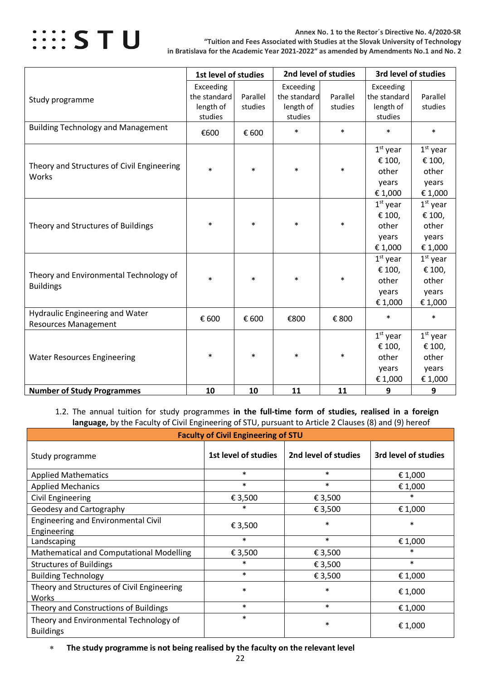

**Annex No. 1 to the Rector´s Directive No. 4/2020-SR "Tuition and Fees Associated with Studies at the Slovak University of Technology in Bratislava for the Academic Year 2021-2022" as amended by Amendments No.1 and No. 2**

|                                                                       | 1st level of studies                              |                     | 2nd level of studies                              |                     | 3rd level of studies                              |                                                   |
|-----------------------------------------------------------------------|---------------------------------------------------|---------------------|---------------------------------------------------|---------------------|---------------------------------------------------|---------------------------------------------------|
| Study programme                                                       | Exceeding<br>the standard<br>length of<br>studies | Parallel<br>studies | Exceeding<br>the standard<br>length of<br>studies | Parallel<br>studies | Exceeding<br>the standard<br>length of<br>studies | Parallel<br>studies                               |
| <b>Building Technology and Management</b>                             | €600                                              | € 600               | $\ast$                                            | $\ast$              | $\ast$                                            | $\ast$                                            |
| Theory and Structures of Civil Engineering<br>Works                   | $\ast$                                            | $\ast$              | $\ast$                                            | $\ast$              | $1st$ year<br>€ 100,<br>other<br>years<br>€ 1,000 | $1st$ year<br>€ 100,<br>other<br>years<br>€ 1,000 |
| Theory and Structures of Buildings                                    | $\ast$                                            | $\ast$              | $\ast$                                            | $\ast$              | $1st$ year<br>€ 100,<br>other<br>years<br>€ 1,000 | $1st$ year<br>€ 100,<br>other<br>years<br>€ 1,000 |
| Theory and Environmental Technology of<br><b>Buildings</b>            | $\ast$                                            | $\ast$              | $\ast$                                            | $\ast$              | $1st$ year<br>€ 100,<br>other<br>years<br>€ 1,000 | $1st$ year<br>€ 100,<br>other<br>years<br>€ 1,000 |
| <b>Hydraulic Engineering and Water</b><br><b>Resources Management</b> | € 600                                             | € 600               | €800                                              | € 800               | $\ast$                                            | $\ast$                                            |
| <b>Water Resources Engineering</b>                                    | $\ast$                                            | $\ast$              | $\ast$                                            | $\ast$              | $1st$ year<br>€ 100,<br>other<br>years<br>€ 1,000 | $1st$ year<br>€ 100,<br>other<br>years<br>€ 1,000 |
| <b>Number of Study Programmes</b>                                     | 10                                                | 10                  | 11                                                | 11                  | 9                                                 | 9                                                 |

<span id="page-21-0"></span>1.2. The annual tuition for study programmes **in the full-time form of studies, realised in a foreign language,** by the Faculty of Civil Engineering of STU, pursuant to Article 2 Clauses (8) and (9) hereof

| <b>Faculty of Civil Engineering of STU</b>                 |                      |                      |                      |  |  |  |
|------------------------------------------------------------|----------------------|----------------------|----------------------|--|--|--|
| Study programme                                            | 1st level of studies | 2nd level of studies | 3rd level of studies |  |  |  |
| <b>Applied Mathematics</b>                                 | $\ast$               | $\ast$               | € 1,000              |  |  |  |
| <b>Applied Mechanics</b>                                   | $\ast$               | $\ast$               | € 1,000              |  |  |  |
| Civil Engineering                                          | € 3,500              | € 3,500              | $\ast$               |  |  |  |
| Geodesy and Cartography                                    | $\ast$               | € 3,500              | € 1,000              |  |  |  |
| Engineering and Environmental Civil<br>Engineering         | € 3,500              | $\ast$               | $\ast$               |  |  |  |
| Landscaping                                                | $\ast$               | $\ast$               | € 1,000              |  |  |  |
| Mathematical and Computational Modelling                   | € 3,500              | € 3,500              | $\ast$               |  |  |  |
| <b>Structures of Buildings</b>                             | $\ast$               | € 3,500              | $\ast$               |  |  |  |
| <b>Building Technology</b>                                 | $\ast$               | € 3,500              | € 1,000              |  |  |  |
| Theory and Structures of Civil Engineering<br>Works        | $\ast$               | $\ast$               | € 1,000              |  |  |  |
| Theory and Constructions of Buildings                      | $\ast$               | $\ast$               | € 1,000              |  |  |  |
| Theory and Environmental Technology of<br><b>Buildings</b> | $\ast$               | $\ast$               | € 1,000              |  |  |  |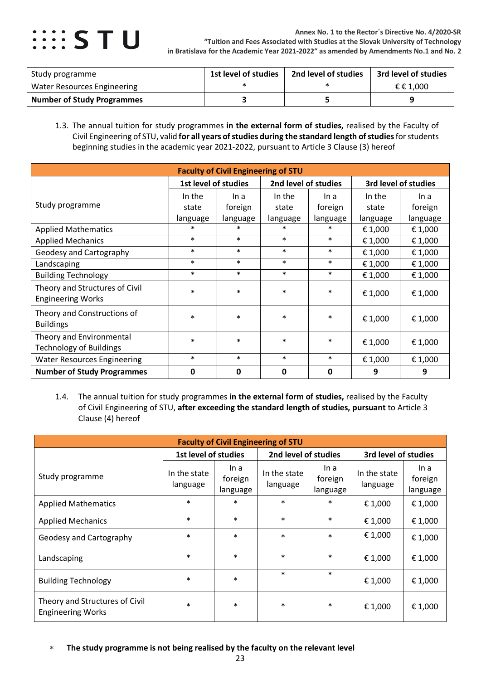

| Study programme                   | 1st level of studies | 2nd level of studies | 3rd level of studies |
|-----------------------------------|----------------------|----------------------|----------------------|
| Water Resources Engineering       |                      |                      | € € 1.000            |
| <b>Number of Study Programmes</b> |                      |                      |                      |

<span id="page-22-0"></span>1.3. The annual tuition for study programmes **in the external form of studies,** realised by the Faculty of Civil Engineering of STU, valid **for all years of studies during the standard length of studies**for students beginning studies in the academic year 2021-2022, pursuant to Article 3 Clause (3) hereof

| <b>Faculty of Civil Engineering of STU</b>                 |                      |          |          |                                              |          |          |  |
|------------------------------------------------------------|----------------------|----------|----------|----------------------------------------------|----------|----------|--|
|                                                            | 1st level of studies |          |          | 2nd level of studies<br>3rd level of studies |          |          |  |
|                                                            | In the               | In a     | In the   | In a                                         | In the   | In a     |  |
| Study programme                                            | state                | foreign  | state    | foreign                                      | state    | foreign  |  |
|                                                            | language             | language | language | language                                     | language | language |  |
| <b>Applied Mathematics</b>                                 | $\ast$               | $\ast$   | $\ast$   | $\ast$                                       | € 1,000  | € 1,000  |  |
| <b>Applied Mechanics</b>                                   | $\ast$               | $\ast$   | $\ast$   | $\ast$                                       | € 1,000  | € 1,000  |  |
| Geodesy and Cartography                                    | $\ast$               | $\ast$   | $\ast$   | $\ast$                                       | € 1,000  | € 1,000  |  |
| Landscaping                                                | $\ast$               | $\ast$   | $\ast$   | $\ast$                                       | € 1,000  | € 1,000  |  |
| <b>Building Technology</b>                                 | $\ast$               | $\ast$   | $\ast$   | $\ast$                                       | € 1,000  | € 1,000  |  |
| Theory and Structures of Civil<br><b>Engineering Works</b> | $\ast$               | $\ast$   | $\ast$   | $\ast$                                       | € 1,000  | € 1,000  |  |
| Theory and Constructions of<br><b>Buildings</b>            | $\ast$               | $\ast$   | $\ast$   | $\ast$                                       | € 1,000  | € 1,000  |  |
| Theory and Environmental<br><b>Technology of Buildings</b> | $\ast$               | $\ast$   | $\ast$   | $\ast$                                       | € 1,000  | € 1,000  |  |
| <b>Water Resources Engineering</b>                         | $\ast$               | $\ast$   | $\ast$   | $\ast$                                       | € 1,000  | € 1,000  |  |
| <b>Number of Study Programmes</b>                          | 0                    | 0        | 0        | $\mathbf 0$                                  | 9        | 9        |  |

<span id="page-22-1"></span>1.4. The annual tuition for study programmes **in the external form of studies,** realised by the Faculty of Civil Engineering of STU, **after exceeding the standard length of studies, pursuant** to Article 3 Clause (4) hereof

| <b>Faculty of Civil Engineering of STU</b>                 |                          |                             |                          |                             |                          |                             |  |  |
|------------------------------------------------------------|--------------------------|-----------------------------|--------------------------|-----------------------------|--------------------------|-----------------------------|--|--|
|                                                            | 1st level of studies     |                             | 2nd level of studies     |                             |                          | 3rd level of studies        |  |  |
| Study programme                                            | In the state<br>language | In a<br>foreign<br>language | In the state<br>language | In a<br>foreign<br>language | In the state<br>language | In a<br>foreign<br>language |  |  |
| <b>Applied Mathematics</b>                                 | $\ast$                   | $\ast$                      | $\ast$                   | $\ast$                      | € 1,000                  | € 1,000                     |  |  |
| <b>Applied Mechanics</b>                                   | $\ast$                   | $\ast$                      | $\ast$                   | $\ast$                      | €1,000                   | € 1,000                     |  |  |
| Geodesy and Cartography                                    | $\ast$                   | $\ast$                      | $\ast$                   | $\ast$                      | € 1,000                  | €1,000                      |  |  |
| Landscaping                                                | $\ast$                   | $\ast$                      | $\ast$                   | $\ast$                      | € 1,000                  | € 1,000                     |  |  |
| <b>Building Technology</b>                                 | $\ast$                   | $\ast$                      | $\ast$                   | $\ast$                      | € 1,000                  | € 1,000                     |  |  |
| Theory and Structures of Civil<br><b>Engineering Works</b> | $\ast$                   | $\ast$                      | $\ast$                   | $\ast$                      | € 1,000                  | €1,000                      |  |  |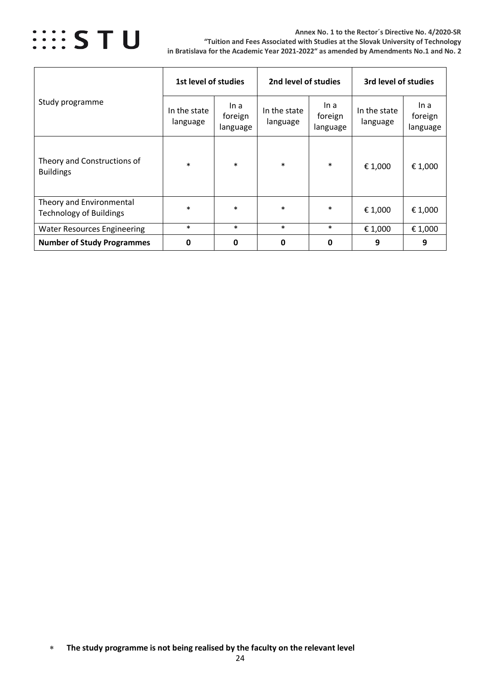

#### **Annex No. 1 to the Rector´s Directive No. 4/2020-SR "Tuition and Fees Associated with Studies at the Slovak University of Technology in Bratislava for the Academic Year 2021-2022" as amended by Amendments No.1 and No. 2**

|                                                            | 1st level of studies     |                             | 2nd level of studies     |                             | 3rd level of studies     |                             |
|------------------------------------------------------------|--------------------------|-----------------------------|--------------------------|-----------------------------|--------------------------|-----------------------------|
| Study programme                                            | In the state<br>language | In a<br>foreign<br>language | In the state<br>language | In a<br>foreign<br>language | In the state<br>language | In a<br>foreign<br>language |
| Theory and Constructions of<br><b>Buildings</b>            | $\ast$                   | $\ast$                      | $\ast$                   | $\ast$                      | € 1,000                  | € 1,000                     |
| Theory and Environmental<br><b>Technology of Buildings</b> | $\ast$                   | $\ast$                      | $\ast$                   | $\ast$                      | € 1,000                  | € 1,000                     |
| <b>Water Resources Engineering</b>                         | $\ast$                   | $\ast$                      | $\ast$                   | $\ast$                      | € 1,000                  | € 1,000                     |
| <b>Number of Study Programmes</b>                          | 0                        | 0                           | $\mathbf{0}$             | $\mathbf 0$                 | 9                        | 9                           |

<sup>∗</sup> **The study programme is not being realised by the faculty on the relevant level**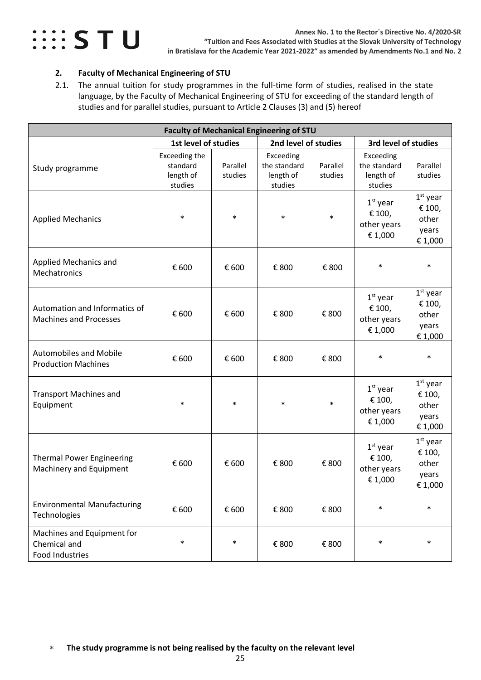

### <span id="page-24-0"></span>**2. Faculty of Mechanical Engineering of STU**

<span id="page-24-1"></span>2.1. The annual tuition for study programmes in the full-time form of studies, realised in the state language, by the Faculty of Mechanical Engineering of STU for exceeding of the standard length of studies and for parallel studies, pursuant to Article 2 Clauses (3) and (5) hereof

|                                                                |                                                   |                     | <b>Faculty of Mechanical Engineering of STU</b>   |                     |                                                   |                                                   |
|----------------------------------------------------------------|---------------------------------------------------|---------------------|---------------------------------------------------|---------------------|---------------------------------------------------|---------------------------------------------------|
|                                                                | 1st level of studies                              |                     | 2nd level of studies                              |                     | 3rd level of studies                              |                                                   |
| Study programme                                                | Exceeding the<br>standard<br>length of<br>studies | Parallel<br>studies | Exceeding<br>the standard<br>length of<br>studies | Parallel<br>studies | Exceeding<br>the standard<br>length of<br>studies | Parallel<br>studies                               |
| <b>Applied Mechanics</b>                                       | $\ast$                                            | $\ast$              | $\ast$                                            | $\ast$              | $1st$ year<br>€ 100,<br>other years<br>€ 1,000    | $1st$ year<br>€ 100,<br>other<br>years<br>€ 1,000 |
| <b>Applied Mechanics and</b><br>Mechatronics                   | € 600                                             | € 600               | € 800                                             | € 800               | $\ast$                                            | $\ast$                                            |
| Automation and Informatics of<br><b>Machines and Processes</b> | € 600                                             | € 600               | € 800                                             | € 800               | $1st$ year<br>€ 100,<br>other years<br>€ 1,000    | $1st$ year<br>€ 100,<br>other<br>years<br>€ 1,000 |
| <b>Automobiles and Mobile</b><br><b>Production Machines</b>    | € 600                                             | € 600               | € 800                                             | € 800               | $\ast$                                            | $\ast$                                            |
| <b>Transport Machines and</b><br>Equipment                     | $\ast$                                            | $\ast$              | $\ast$                                            | $\ast$              | $1st$ year<br>€ 100,<br>other years<br>€ 1,000    | $1st$ year<br>€ 100,<br>other<br>years<br>€ 1,000 |
| <b>Thermal Power Engineering</b><br>Machinery and Equipment    | € 600                                             | € 600               | € 800                                             | € 800               | $1st$ year<br>€ 100,<br>other years<br>€ 1,000    | $1st$ year<br>€ 100,<br>other<br>years<br>€1,000  |
| <b>Environmental Manufacturing</b><br>Technologies             | € 600                                             | € 600               | € 800                                             | € 800               | $\ast$                                            | $\ast$                                            |
| Machines and Equipment for<br>Chemical and<br>Food Industries  | $\ast$                                            | $\ast$              | € 800                                             | € 800               | $\ast$                                            | $\ast$                                            |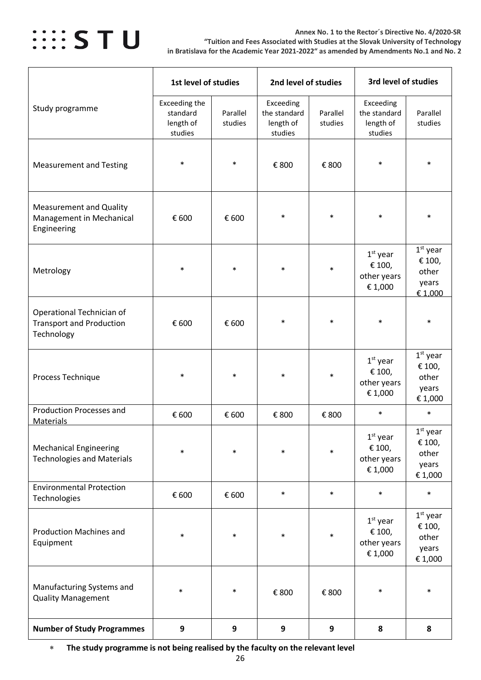

#### **Annex No. 1 to the Rector´s Directive No. 4/2020-SR "Tuition and Fees Associated with Studies at the Slovak University of Technology in Bratislava for the Academic Year 2021-2022" as amended by Amendments No.1 and No. 2**

|                                                                            | 1st level of studies                              |                     | 2nd level of studies                              |                     | 3rd level of studies                              |                                                   |  |
|----------------------------------------------------------------------------|---------------------------------------------------|---------------------|---------------------------------------------------|---------------------|---------------------------------------------------|---------------------------------------------------|--|
| Study programme                                                            | Exceeding the<br>standard<br>length of<br>studies | Parallel<br>studies | Exceeding<br>the standard<br>length of<br>studies | Parallel<br>studies | Exceeding<br>the standard<br>length of<br>studies | Parallel<br>studies                               |  |
| <b>Measurement and Testing</b>                                             | $\ast$                                            | $\ast$              | € 800                                             | € 800               | $\ast$                                            | $\ast$                                            |  |
| <b>Measurement and Quality</b><br>Management in Mechanical<br>Engineering  | € 600                                             | € 600               | $\ast$                                            | $\ast$              | $\ast$                                            | $\ast$                                            |  |
| Metrology                                                                  | $\ast$                                            | $\ast$              | $\ast$                                            | $\ast$              | $1st$ year<br>€ 100,<br>other years<br>€ 1,000    | $1st$ year<br>€ 100,<br>other<br>years<br>€ 1,000 |  |
| Operational Technician of<br><b>Transport and Production</b><br>Technology | € 600                                             | € 600               | $\ast$                                            | $\ast$              | $\ast$                                            | $\ast$                                            |  |
| Process Technique                                                          | $\ast$                                            | $\ast$              | $\ast$                                            | $\ast$              | $1st$ year<br>€ 100,<br>other years<br>€ 1,000    | $1st$ year<br>€ 100,<br>other<br>years<br>€ 1,000 |  |
| <b>Production Processes and</b><br><b>Materials</b>                        | € 600                                             | € 600               | € 800                                             | € 800               | $\ast$                                            | $\ast$                                            |  |
| <b>Mechanical Engineering</b><br><b>Technologies and Materials</b>         | $\ast$                                            | $\ast$              | $\ast$                                            | $\ast$              | $1st$ year<br>€ 100,<br>other years<br>€ 1,000    | $1st$ year<br>€ 100,<br>other<br>years<br>€ 1,000 |  |
| <b>Environmental Protection</b><br>Technologies                            | € 600                                             | € 600               | $\ast$                                            | $\ast$              | $\ast$                                            | $\ast$                                            |  |
| <b>Production Machines and</b><br>Equipment                                | $\ast$                                            | $\ast$              | $\ast$                                            | $\ast$              | $1st$ year<br>€ 100,<br>other years<br>€ 1,000    | $1st$ year<br>€ 100,<br>other<br>years<br>€ 1,000 |  |
| Manufacturing Systems and<br><b>Quality Management</b>                     | $\ast$                                            | $\ast$              | € 800                                             | € 800               | $\ast$                                            | $\ast$                                            |  |
| <b>Number of Study Programmes</b>                                          | 9                                                 | $\boldsymbol{9}$    | $\boldsymbol{9}$                                  | 9                   | 8                                                 | 8                                                 |  |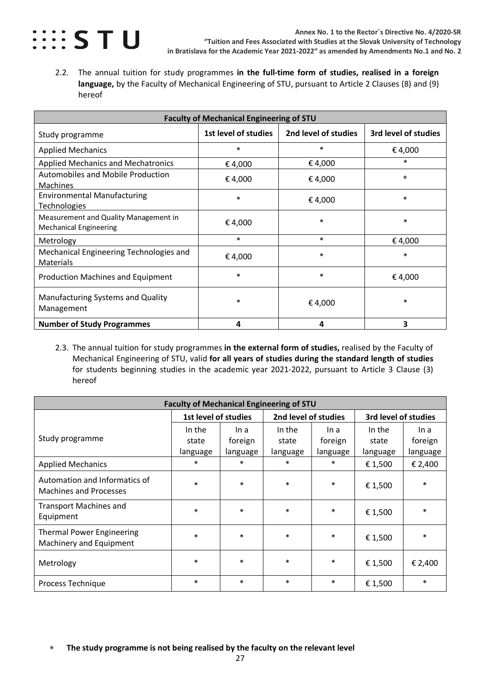

<span id="page-26-0"></span>2.2. The annual tuition for study programmes **in the full-time form of studies, realised in a foreign language,** by the Faculty of Mechanical Engineering of STU, pursuant to Article 2 Clauses (8) and (9) hereof

| <b>Faculty of Mechanical Engineering of STU</b>                        |                      |                      |                      |  |  |  |  |  |  |
|------------------------------------------------------------------------|----------------------|----------------------|----------------------|--|--|--|--|--|--|
| Study programme                                                        | 1st level of studies | 2nd level of studies | 3rd level of studies |  |  |  |  |  |  |
| <b>Applied Mechanics</b>                                               | $\ast$               | $\ast$               | €4,000               |  |  |  |  |  |  |
| <b>Applied Mechanics and Mechatronics</b>                              | €4,000               | €4,000               | $\ast$               |  |  |  |  |  |  |
| <b>Automobiles and Mobile Production</b><br>Machines                   | €4,000               | €4,000               | $\ast$               |  |  |  |  |  |  |
| <b>Environmental Manufacturing</b><br><b>Technologies</b>              | $\ast$               | €4,000               | $\ast$               |  |  |  |  |  |  |
| Measurement and Quality Management in<br><b>Mechanical Engineering</b> | €4,000               | $\ast$               | $\ast$               |  |  |  |  |  |  |
| Metrology                                                              | $\ast$               | $\ast$               | €4,000               |  |  |  |  |  |  |
| Mechanical Engineering Technologies and<br>Materials                   | € 4,000              | $\ast$               | $\ast$               |  |  |  |  |  |  |
| <b>Production Machines and Equipment</b>                               | $\ast$               | $\ast$               | €4,000               |  |  |  |  |  |  |
| Manufacturing Systems and Quality<br>Management                        | $\ast$               | €4,000               | $\ast$               |  |  |  |  |  |  |
| <b>Number of Study Programmes</b>                                      | 4                    | 4                    | 3                    |  |  |  |  |  |  |

<span id="page-26-1"></span>2.3. The annual tuition for study programmes **in the external form of studies,** realised by the Faculty of Mechanical Engineering of STU, valid **for all years of studies during the standard length of studies** for students beginning studies in the academic year 2021-2022, pursuant to Article 3 Clause (3) hereof

| <b>Faculty of Mechanical Engineering of STU</b>                |                                              |          |          |          |                      |          |  |  |
|----------------------------------------------------------------|----------------------------------------------|----------|----------|----------|----------------------|----------|--|--|
|                                                                | 2nd level of studies<br>1st level of studies |          |          |          | 3rd level of studies |          |  |  |
|                                                                | In the                                       | In a     | In the   | In a     | In the               | In a     |  |  |
| Study programme                                                | state                                        | foreign  | state    | foreign  | state                | foreign  |  |  |
|                                                                | language                                     | language | language | language | language             | language |  |  |
| <b>Applied Mechanics</b>                                       | $\ast$                                       | $\ast$   | $\ast$   | $\ast$   | €1,500               | € 2,400  |  |  |
| Automation and Informatics of<br><b>Machines and Processes</b> | $\ast$                                       | $\ast$   | $\ast$   | $\ast$   | € 1,500              | $\ast$   |  |  |
| <b>Transport Machines and</b><br>Equipment                     | $\ast$                                       | $\ast$   | $\ast$   | $\ast$   | € 1,500              | $\ast$   |  |  |
| <b>Thermal Power Engineering</b><br>Machinery and Equipment    | $\ast$                                       | $\ast$   | $\ast$   | $\ast$   | €1,500               | $\ast$   |  |  |
| Metrology                                                      | $\ast$                                       | $\ast$   | $\ast$   | $\ast$   | € 1,500              | € 2,400  |  |  |
| Process Technique                                              | $\ast$                                       | $\ast$   | $\ast$   | $\ast$   | € 1,500              | $\ast$   |  |  |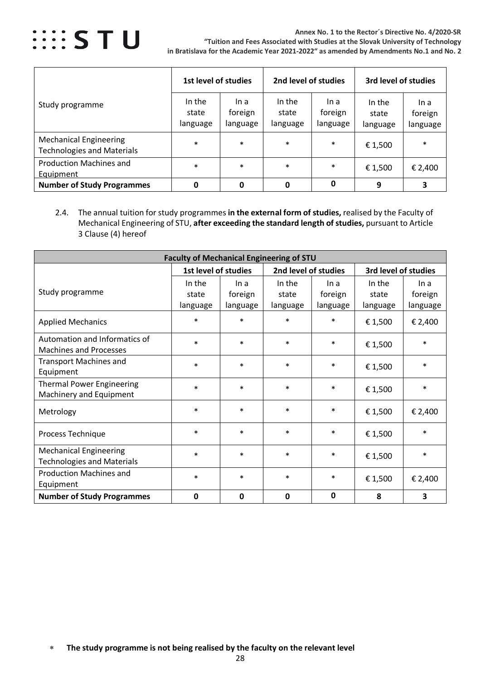

**Annex No. 1 to the Rector´s Directive No. 4/2020-SR "Tuition and Fees Associated with Studies at the Slovak University of Technology in Bratislava for the Academic Year 2021-2022" as amended by Amendments No.1 and No. 2**

|                                                                    | 1st level of studies        |                             | 2nd level of studies        |                             | 3rd level of studies        |                             |
|--------------------------------------------------------------------|-----------------------------|-----------------------------|-----------------------------|-----------------------------|-----------------------------|-----------------------------|
| Study programme                                                    | In the<br>state<br>language | In a<br>foreign<br>language | In the<br>state<br>language | In a<br>foreign<br>language | In the<br>state<br>language | In a<br>foreign<br>language |
| <b>Mechanical Engineering</b><br><b>Technologies and Materials</b> | $\ast$                      | $\ast$                      | $\ast$                      | $\ast$                      | € 1,500                     | $\ast$                      |
| <b>Production Machines and</b><br>Equipment                        | $\ast$                      | $\ast$                      | $\ast$                      | $\ast$                      | € 1,500                     | € 2,400                     |
| <b>Number of Study Programmes</b>                                  |                             | 0                           | 0                           | 0                           | 9                           | 3                           |

<span id="page-27-0"></span>2.4. The annual tuition for study programmes **in the external form of studies,** realised by the Faculty of Mechanical Engineering of STU, **after exceeding the standard length of studies,** pursuant to Article 3 Clause (4) hereof

| <b>Faculty of Mechanical Engineering of STU</b>                    |                             |                             |                             |                             |                             |                             |  |  |
|--------------------------------------------------------------------|-----------------------------|-----------------------------|-----------------------------|-----------------------------|-----------------------------|-----------------------------|--|--|
|                                                                    | 1st level of studies        |                             | 2nd level of studies        |                             |                             | 3rd level of studies        |  |  |
| Study programme                                                    | In the<br>state<br>language | In a<br>foreign<br>language | In the<br>state<br>language | In a<br>foreign<br>language | In the<br>state<br>language | In a<br>foreign<br>language |  |  |
| <b>Applied Mechanics</b>                                           | $\ast$                      | $\ast$                      | $\ast$                      | $\ast$                      | € 1,500                     | € 2,400                     |  |  |
| Automation and Informatics of<br><b>Machines and Processes</b>     | $\ast$                      | $\ast$                      | $\ast$                      | $\ast$                      | € 1,500                     | $\ast$                      |  |  |
| <b>Transport Machines and</b><br>Equipment                         | $\ast$                      | $\ast$                      | $\ast$                      | $\ast$                      | € 1,500                     | $\ast$                      |  |  |
| <b>Thermal Power Engineering</b><br>Machinery and Equipment        | $\ast$                      | $\ast$                      | $\ast$                      | $\ast$                      | € 1,500                     | $\ast$                      |  |  |
| Metrology                                                          | $\ast$                      | $\ast$                      | $\ast$                      | $\ast$                      | € 1,500                     | € 2,400                     |  |  |
| Process Technique                                                  | $\ast$                      | $\ast$                      | $\ast$                      | $\ast$                      | € 1,500                     | $\ast$                      |  |  |
| <b>Mechanical Engineering</b><br><b>Technologies and Materials</b> | $\ast$                      | $\ast$                      | $\ast$                      | $\ast$                      | € 1,500                     | $\ast$                      |  |  |
| <b>Production Machines and</b><br>Equipment                        | $\ast$                      | $\ast$                      | $\ast$                      | $\ast$                      | € 1,500                     | € 2,400                     |  |  |
| <b>Number of Study Programmes</b>                                  | $\mathbf{0}$                | $\mathbf{0}$                | $\mathbf{0}$                | 0                           | 8                           | 3                           |  |  |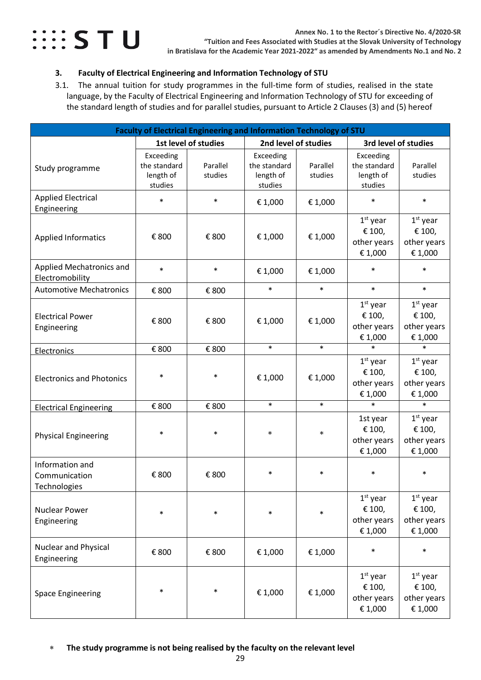

### <span id="page-28-0"></span>**3. Faculty of Electrical Engineering and Information Technology of STU**

<span id="page-28-1"></span>3.1. The annual tuition for study programmes in the full-time form of studies, realised in the state language, by the Faculty of Electrical Engineering and Information Technology of STU for exceeding of the standard length of studies and for parallel studies, pursuant to Article 2 Clauses (3) and (5) hereof

| Faculty of Electrical Engineering and Information Technology of STU |                                                   |                      |                                                   |                     |                                                   |                                                |
|---------------------------------------------------------------------|---------------------------------------------------|----------------------|---------------------------------------------------|---------------------|---------------------------------------------------|------------------------------------------------|
|                                                                     |                                                   | 1st level of studies | 2nd level of studies                              |                     |                                                   | 3rd level of studies                           |
| Study programme                                                     | Exceeding<br>the standard<br>length of<br>studies | Parallel<br>studies  | Exceeding<br>the standard<br>length of<br>studies | Parallel<br>studies | Exceeding<br>the standard<br>length of<br>studies | Parallel<br>studies                            |
| <b>Applied Electrical</b><br>Engineering                            | $\ast$                                            | $\ast$               | € 1,000                                           | € 1,000             | $\ast$                                            | $\ast$                                         |
| <b>Applied Informatics</b>                                          | € 800                                             | € 800                | € 1,000                                           | €1,000              | $1st$ year<br>€ 100,<br>other years<br>€ 1,000    | $1st$ year<br>€ 100,<br>other years<br>€ 1,000 |
| Applied Mechatronics and<br>Electromobility                         | $\ast$                                            | $\ast$               | € 1,000                                           | € 1,000             | $\ast$                                            | $\ast$                                         |
| <b>Automotive Mechatronics</b>                                      | € 800                                             | € 800                | $\ast$                                            | $\ast$              | $\ast$                                            | $\ast$                                         |
| <b>Electrical Power</b><br>Engineering                              | € 800                                             | € 800                | € 1,000                                           | €1,000              | $1st$ year<br>€ 100,<br>other years<br>€ 1,000    | $1st$ year<br>€ 100,<br>other years<br>€ 1,000 |
| Electronics                                                         | € 800                                             | € 800                | $\ast$                                            | $\ast$              | $\ast$                                            | $\ast$                                         |
| <b>Electronics and Photonics</b>                                    | $\ast$                                            | $\ast$               | € 1,000                                           | € 1,000             | $1st$ year<br>€ 100,<br>other years<br>€ 1,000    | $1st$ year<br>€ 100,<br>other years<br>€ 1,000 |
| <b>Electrical Engineering</b>                                       | € 800                                             | € 800                | $\ast$                                            | $\ast$              | $\ast$                                            | $\ast$                                         |
| <b>Physical Engineering</b>                                         | $\ast$                                            | $\ast$               | $\ast$                                            | $\ast$              | 1st year<br>€ 100,<br>other years<br>€ 1,000      | $1st$ year<br>€ 100,<br>other years<br>€ 1,000 |
| Information and<br>Communication<br>Technologies                    | € 800                                             | € 800                | $\ast$                                            | *                   | *                                                 | ∗                                              |
| <b>Nuclear Power</b><br>Engineering                                 | $\ast$                                            | $\ast$               | $\ast$                                            | $\ast$              | $1st$ year<br>€ 100,<br>other years<br>€ 1,000    | $1st$ year<br>€ 100,<br>other years<br>€ 1,000 |
| Nuclear and Physical<br>Engineering                                 | € 800                                             | € 800                | € 1,000                                           | € 1,000             | $\ast$                                            | $\ast$                                         |
| <b>Space Engineering</b>                                            | $\ast$                                            | $\ast$               | € 1,000                                           | € 1,000             | $1st$ year<br>€ 100,<br>other years<br>€ 1,000    | $1st$ year<br>€ 100,<br>other years<br>€ 1,000 |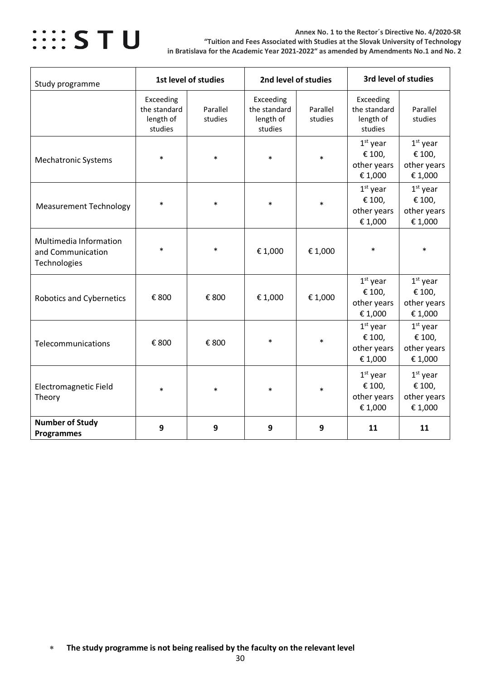

#### **Annex No. 1 to the Rector´s Directive No. 4/2020-SR "Tuition and Fees Associated with Studies at the Slovak University of Technology in Bratislava for the Academic Year 2021-2022" as amended by Amendments No.1 and No. 2**

| Study programme                                             |                                                   | 1st level of studies | 2nd level of studies                              |                     |                                                   | 3rd level of studies                           |  |
|-------------------------------------------------------------|---------------------------------------------------|----------------------|---------------------------------------------------|---------------------|---------------------------------------------------|------------------------------------------------|--|
|                                                             | Exceeding<br>the standard<br>length of<br>studies | Parallel<br>studies  | Exceeding<br>the standard<br>length of<br>studies | Parallel<br>studies | Exceeding<br>the standard<br>length of<br>studies | Parallel<br>studies                            |  |
| <b>Mechatronic Systems</b>                                  | $\ast$                                            | $\ast$               | $\ast$                                            |                     | $1st$ year<br>€ 100,<br>other years<br>€1,000     | $1st$ year<br>€ 100,<br>other years<br>€ 1,000 |  |
| <b>Measurement Technology</b>                               | $\ast$                                            | $\ast$               | $\ast$                                            |                     | $1st$ year<br>€ 100,<br>other years<br>€1,000     | $1st$ year<br>€ 100,<br>other years<br>€ 1,000 |  |
| Multimedia Information<br>and Communication<br>Technologies | $\ast$                                            | $\ast$               | € 1,000                                           | €1,000              | $\ast$                                            | $\ast$                                         |  |
| <b>Robotics and Cybernetics</b>                             | € 800                                             | € 800                | € 1,000                                           | €1,000              | $1st$ year<br>€ 100,<br>other years<br>€1,000     | $1st$ year<br>€ 100,<br>other years<br>€ 1,000 |  |
| Telecommunications                                          | € 800                                             | € 800                | $\ast$                                            | $\ast$              | $1st$ year<br>€ 100,<br>other years<br>€1,000     | $1st$ year<br>€ 100,<br>other years<br>€ 1,000 |  |
| <b>Electromagnetic Field</b><br>Theory                      | $\ast$                                            | $\ast$               | *                                                 | *                   | $1st$ year<br>€ 100,<br>other years<br>€1,000     | $1st$ year<br>€ 100,<br>other years<br>€ 1,000 |  |
| <b>Number of Study</b><br><b>Programmes</b>                 | 9                                                 | 9                    | 9                                                 | 9                   | 11                                                | 11                                             |  |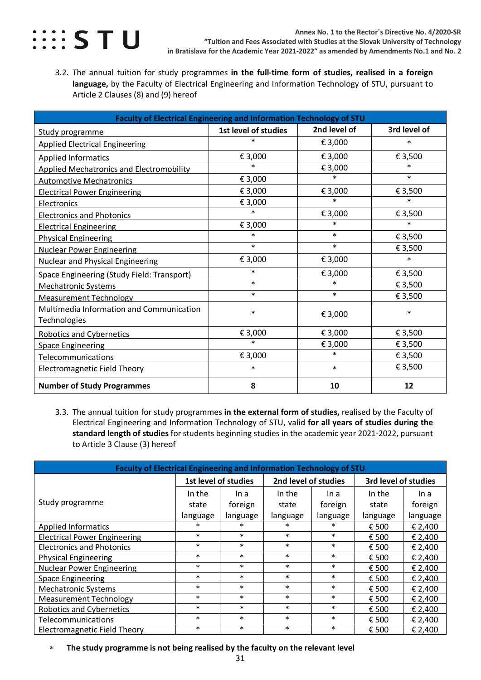

<span id="page-30-0"></span>3.2. The annual tuition for study programmes **in the full-time form of studies, realised in a foreign language,** by the Faculty of Electrical Engineering and Information Technology of STU, pursuant to Article 2 Clauses (8) and (9) hereof

| Faculty of Electrical Engineering and Information Technology of STU |                      |              |              |
|---------------------------------------------------------------------|----------------------|--------------|--------------|
| Study programme                                                     | 1st level of studies | 2nd level of | 3rd level of |
| <b>Applied Electrical Engineering</b>                               | $\ast$               | € 3,000      | $\ast$       |
| <b>Applied Informatics</b>                                          | € 3,000              | € 3,000      | € 3,500      |
| <b>Applied Mechatronics and Electromobility</b>                     | $\ast$               | € 3,000      | $\ast$       |
| <b>Automotive Mechatronics</b>                                      | € 3,000              | $\ast$       | $\ast$       |
| <b>Electrical Power Engineering</b>                                 | € 3,000              | € 3,000      | € 3,500      |
| Electronics                                                         | € 3,000              | $\ast$       | $\ast$       |
| <b>Electronics and Photonics</b>                                    | $\ast$               | € 3,000      | € 3,500      |
| <b>Electrical Engineering</b>                                       | € 3,000              | $\ast$       | $\ast$       |
| <b>Physical Engineering</b>                                         | $\ast$               | $\ast$       | € 3,500      |
| <b>Nuclear Power Engineering</b>                                    | $\ast$               | $\ast$       | € 3,500      |
| Nuclear and Physical Engineering                                    | € 3,000              | € 3,000      | $\ast$       |
| Space Engineering (Study Field: Transport)                          | $\ast$               | € 3,000      | € 3,500      |
| <b>Mechatronic Systems</b>                                          | $\ast$               | $\ast$       | € 3,500      |
| <b>Measurement Technology</b>                                       | $\ast$               | $\ast$       | € 3,500      |
| Multimedia Information and Communication<br>Technologies            | $\ast$               | € 3,000      | $\ast$       |
| <b>Robotics and Cybernetics</b>                                     | € 3,000              | € 3,000      | € 3,500      |
| <b>Space Engineering</b>                                            | $\ast$               | € 3,000      | € 3,500      |
| Telecommunications                                                  | € 3,000              | $\ast$       | € 3,500      |
| <b>Electromagnetic Field Theory</b>                                 | $\ast$               | $\ast$       | € 3,500      |
| <b>Number of Study Programmes</b>                                   | 8                    | 10           | 12           |

<span id="page-30-1"></span>3.3. The annual tuition for study programmes **in the external form of studies,** realised by the Faculty of Electrical Engineering and Information Technology of STU, valid **for all years of studies during the standard length of studies** for students beginning studies in the academic year 2021-2022, pursuant to Article 3 Clause (3) hereof

| Faculty of Electrical Engineering and Information Technology of STU |                      |          |                      |          |                      |          |  |
|---------------------------------------------------------------------|----------------------|----------|----------------------|----------|----------------------|----------|--|
|                                                                     | 1st level of studies |          | 2nd level of studies |          | 3rd level of studies |          |  |
|                                                                     | In the               | In a     | In the               | In a     | In the               | In a     |  |
| Study programme                                                     | state                | foreign  | state                | foreign  | state                | foreign  |  |
|                                                                     | language             | language | language             | language | language             | language |  |
| <b>Applied Informatics</b>                                          | $\ast$               | $\ast$   | $\ast$               | $\ast$   | € 500                | € 2,400  |  |
| <b>Electrical Power Engineering</b>                                 | $\ast$               | $\ast$   | $\ast$               | $\ast$   | € 500                | € 2,400  |  |
| <b>Electronics and Photonics</b>                                    | $\ast$               | $\ast$   | $\ast$               | $\ast$   | € 500                | € 2,400  |  |
| <b>Physical Engineering</b>                                         | $\ast$               | $\ast$   | $\ast$               | $\ast$   | € 500                | € 2,400  |  |
| <b>Nuclear Power Engineering</b>                                    | $\ast$               | $\ast$   | $\ast$               | $\ast$   | € 500                | € 2,400  |  |
| <b>Space Engineering</b>                                            | $\ast$               | $\ast$   | $\ast$               | $\ast$   | € 500                | € 2,400  |  |
| <b>Mechatronic Systems</b>                                          | $\ast$               | $\ast$   | $\ast$               | $\ast$   | € 500                | € 2,400  |  |
| <b>Measurement Technology</b>                                       | $\ast$               | $\ast$   | $\ast$               | $\ast$   | € 500                | € 2,400  |  |
| <b>Robotics and Cybernetics</b>                                     | $\ast$               | $\ast$   | $\ast$               | $\ast$   | € 500                | € 2,400  |  |
| Telecommunications                                                  | $\ast$               | $\ast$   | $\ast$               | $\ast$   | € 500                | € 2,400  |  |
| <b>Electromagnetic Field Theory</b>                                 | $\ast$               | $\ast$   | $\ast$               | $\ast$   | € 500                | € 2,400  |  |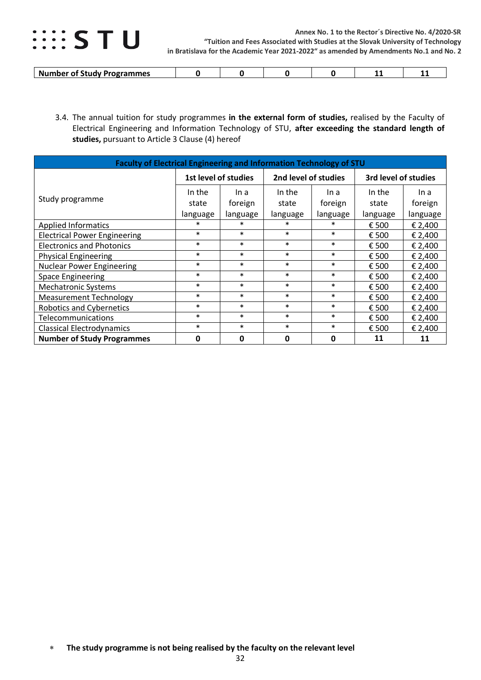

| ' Programmes<br>™ en else<br>-NL<br><b>******</b><br>. |  |  | -- |  |
|--------------------------------------------------------|--|--|----|--|

<span id="page-31-0"></span>3.4. The annual tuition for study programmes **in the external form of studies,** realised by the Faculty of Electrical Engineering and Information Technology of STU, **after exceeding the standard length of studies,** pursuant to Article 3 Clause (4) hereof

| Faculty of Electrical Engineering and Information Technology of STU |             |                                              |              |          |                      |          |  |
|---------------------------------------------------------------------|-------------|----------------------------------------------|--------------|----------|----------------------|----------|--|
|                                                                     |             | 2nd level of studies<br>1st level of studies |              |          | 3rd level of studies |          |  |
|                                                                     | In the      | In a                                         | In the       | In a     | In the               | In a     |  |
| Study programme                                                     | state       | foreign                                      | state        | foreign  | state                | foreign  |  |
|                                                                     | language    | language                                     | language     | language | language             | language |  |
| <b>Applied Informatics</b>                                          | $\ast$      | $\ast$                                       | $\ast$       | $\ast$   | € 500                | € 2,400  |  |
| <b>Electrical Power Engineering</b>                                 | $\ast$      | $\ast$                                       | $\ast$       | $\ast$   | € 500                | € 2,400  |  |
| <b>Electronics and Photonics</b>                                    | $\ast$      | $\ast$                                       | $\ast$       | $\ast$   | € 500                | € 2,400  |  |
| <b>Physical Engineering</b>                                         | $\ast$      | $\ast$                                       | $\ast$       | $\ast$   | € 500                | € 2,400  |  |
| <b>Nuclear Power Engineering</b>                                    | $\ast$      | $\ast$                                       | $\ast$       | $\ast$   | € 500                | € 2,400  |  |
| <b>Space Engineering</b>                                            | $\ast$      | $\ast$                                       | $\ast$       | $\ast$   | € 500                | € 2,400  |  |
| <b>Mechatronic Systems</b>                                          | $\ast$      | $\ast$                                       | $\ast$       | $\ast$   | € 500                | € 2,400  |  |
| <b>Measurement Technology</b>                                       | $\ast$      | $\ast$                                       | $\ast$       | $\ast$   | € 500                | € 2,400  |  |
| <b>Robotics and Cybernetics</b>                                     | $\ast$      | $\ast$                                       | $\ast$       | $\ast$   | € 500                | € 2,400  |  |
| Telecommunications                                                  | $\ast$      | $\ast$                                       | $\ast$       | $\ast$   | € 500                | € 2,400  |  |
| Classical Electrodynamics                                           | $\ast$      | $\ast$                                       | $\ast$       | $\ast$   | € 500                | € 2,400  |  |
| <b>Number of Study Programmes</b>                                   | $\mathbf 0$ | 0                                            | $\mathbf{0}$ | 0        | 11                   | 11       |  |

<sup>∗</sup> **The study programme is not being realised by the faculty on the relevant level**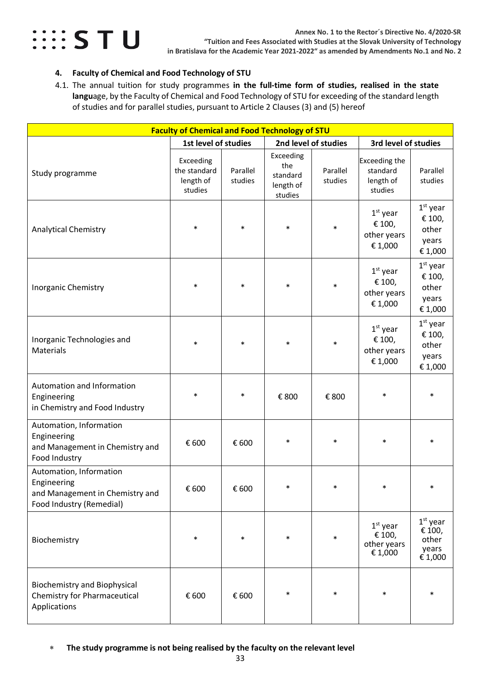

### <span id="page-32-0"></span>**4. Faculty of Chemical and Food Technology of STU**

<span id="page-32-1"></span>4.1. The annual tuition for study programmes **in the full-time form of studies, realised in the state langu**age, by the Faculty of Chemical and Food Technology of STU for exceeding of the standard length of studies and for parallel studies, pursuant to Article 2 Clauses (3) and (5) hereof

|                                                                                                       | <b>Faculty of Chemical and Food Technology of STU</b> |                     |                                                      |                      |                                                   |                                                   |  |
|-------------------------------------------------------------------------------------------------------|-------------------------------------------------------|---------------------|------------------------------------------------------|----------------------|---------------------------------------------------|---------------------------------------------------|--|
|                                                                                                       | 1st level of studies                                  |                     |                                                      | 2nd level of studies | 3rd level of studies                              |                                                   |  |
| Study programme                                                                                       | Exceeding<br>the standard<br>length of<br>studies     | Parallel<br>studies | Exceeding<br>the<br>standard<br>length of<br>studies | Parallel<br>studies  | Exceeding the<br>standard<br>length of<br>studies | Parallel<br>studies                               |  |
| <b>Analytical Chemistry</b>                                                                           | $\ast$                                                | $\ast$              | $\ast$                                               | $\ast$               | $1st$ year<br>€ 100,<br>other years<br>€ 1,000    | $1st$ year<br>€ 100,<br>other<br>years<br>€ 1,000 |  |
| <b>Inorganic Chemistry</b>                                                                            | $\ast$                                                | $\ast$              | $\ast$                                               | $\ast$               | $1st$ year<br>€ 100,<br>other years<br>€ 1,000    | $1st$ year<br>€ 100,<br>other<br>years<br>€ 1,000 |  |
| Inorganic Technologies and<br>Materials                                                               | $\ast$                                                | $\ast$              | $\ast$                                               | $\ast$               | $1st$ year<br>€ 100,<br>other years<br>€ 1,000    | $1st$ year<br>€ 100,<br>other<br>years<br>€ 1,000 |  |
| Automation and Information<br>Engineering<br>in Chemistry and Food Industry                           | $\ast$                                                | $\ast$              | € 800                                                | € 800                | $\ast$                                            | $\ast$                                            |  |
| Automation, Information<br>Engineering<br>and Management in Chemistry and<br>Food Industry            | € 600                                                 | € 600               | $\ast$                                               | $\ast$               | $\ast$                                            | $\ast$                                            |  |
| Automation, Information<br>Engineering<br>and Management in Chemistry and<br>Food Industry (Remedial) | € 600                                                 | € 600               | $\ast$                                               | $\ast$               | $\ast$                                            | $\ast$                                            |  |
| Biochemistry                                                                                          | $\ast$                                                | $\ast$              | $\ast$                                               | $\ast$               | $1st$ year<br>€ 100,<br>other years<br>€ 1,000    | $1st$ year<br>€ 100,<br>other<br>years<br>€ 1,000 |  |
| <b>Biochemistry and Biophysical</b><br><b>Chemistry for Pharmaceutical</b><br>Applications            | € 600                                                 | € 600               | $\ast$                                               |                      | $\ast$                                            | $\ast$                                            |  |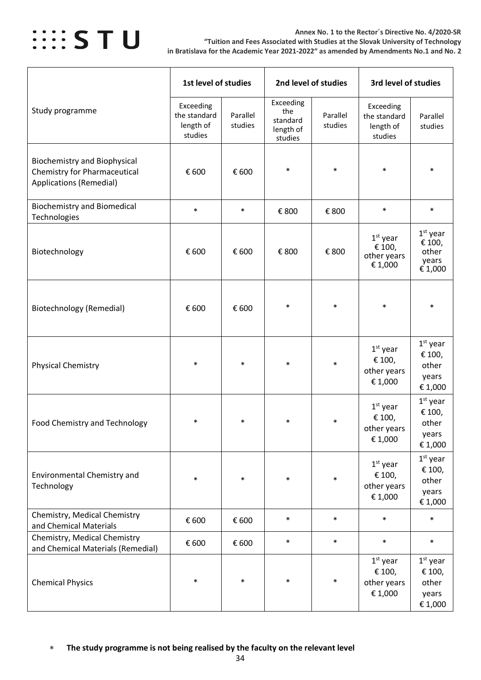

**Annex No. 1 to the Rector´s Directive No. 4/2020-SR "Tuition and Fees Associated with Studies at the Slovak University of Technology in Bratislava for the Academic Year 2021-2022" as amended by Amendments No.1 and No. 2**

|                                                                                                              | 1st level of studies                              |                     | 2nd level of studies                                 |                     | 3rd level of studies                              |                                                   |
|--------------------------------------------------------------------------------------------------------------|---------------------------------------------------|---------------------|------------------------------------------------------|---------------------|---------------------------------------------------|---------------------------------------------------|
| Study programme                                                                                              | Exceeding<br>the standard<br>length of<br>studies | Parallel<br>studies | Exceeding<br>the<br>standard<br>length of<br>studies | Parallel<br>studies | Exceeding<br>the standard<br>length of<br>studies | Parallel<br>studies                               |
| <b>Biochemistry and Biophysical</b><br><b>Chemistry for Pharmaceutical</b><br><b>Applications (Remedial)</b> | € 600                                             | € 600               | $\ast$                                               | $\ast$              | $\ast$                                            | $\ast$                                            |
| <b>Biochemistry and Biomedical</b><br>Technologies                                                           | $\ast$                                            | $\ast$              | € 800                                                | € 800               | $\ast$                                            | $\ast$                                            |
| Biotechnology                                                                                                | € 600                                             | € 600               | € 800                                                | € 800               | $1st$ year<br>€ 100,<br>other years<br>€ 1,000    | $1st$ year<br>€ 100,<br>other<br>years<br>€ 1,000 |
| Biotechnology (Remedial)                                                                                     | € 600                                             | € 600               | $\ast$                                               | $\ast$              | $\ast$                                            | $\ast$                                            |
| <b>Physical Chemistry</b>                                                                                    | $\ast$                                            | $\ast$              | $\ast$                                               | $\ast$              | $1st$ year<br>€ 100,<br>other years<br>€ 1,000    | $1st$ year<br>€ 100,<br>other<br>years<br>€ 1,000 |
| Food Chemistry and Technology                                                                                | $\ast$                                            | $\ast$              | $\ast$                                               | $\ast$              | $1st$ year<br>€ 100,<br>other years<br>€ 1,000    | $1st$ year<br>€ 100,<br>other<br>years<br>€ 1,000 |
| Environmental Chemistry and<br>Technology                                                                    | $\ast$                                            | $\ast$              | $\ast$                                               | $\ast$              | $1st$ year<br>€ 100,<br>other years<br>€ 1,000    | $1st$ year<br>€ 100,<br>other<br>years<br>€ 1,000 |
| Chemistry, Medical Chemistry<br>and Chemical Materials                                                       | € 600                                             | € 600               | $\ast$                                               | $\ast$              | $\ast$                                            | $\ast$                                            |
| Chemistry, Medical Chemistry<br>and Chemical Materials (Remedial)                                            | € 600                                             | € 600               | $\ast$                                               | $\ast$              | $\ast$                                            | $\ast$                                            |
| <b>Chemical Physics</b>                                                                                      | $\ast$                                            | $\ast$              | $\ast$                                               | $\ast$              | $1st$ year<br>€ 100,<br>other years<br>€ 1,000    | $1st$ year<br>€ 100,<br>other<br>years<br>€ 1,000 |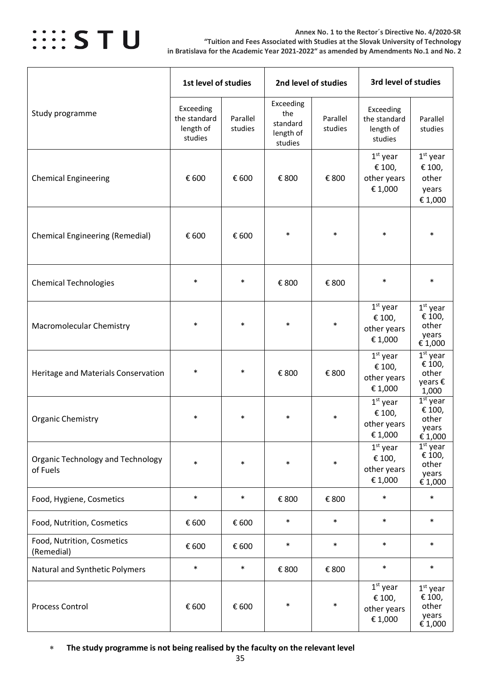

#### **Annex No. 1 to the Rector´s Directive No. 4/2020-SR "Tuition and Fees Associated with Studies at the Slovak University of Technology in Bratislava for the Academic Year 2021-2022" as amended by Amendments No.1 and No. 2**

|                                                      | 1st level of studies                              |                     | 2nd level of studies                                 |                     | 3rd level of studies                              |                                                   |
|------------------------------------------------------|---------------------------------------------------|---------------------|------------------------------------------------------|---------------------|---------------------------------------------------|---------------------------------------------------|
| Study programme                                      | Exceeding<br>the standard<br>length of<br>studies | Parallel<br>studies | Exceeding<br>the<br>standard<br>length of<br>studies | Parallel<br>studies | Exceeding<br>the standard<br>length of<br>studies | Parallel<br>studies                               |
| <b>Chemical Engineering</b>                          | € 600                                             | € 600               | € 800                                                | € 800               | $1st$ year<br>€ 100,<br>other years<br>€ 1,000    | $1st$ year<br>€ 100,<br>other<br>years<br>€ 1,000 |
| <b>Chemical Engineering (Remedial)</b>               | € 600                                             | € 600               | $\ast$                                               | $\ast$              | $\ast$                                            | $\ast$                                            |
| <b>Chemical Technologies</b>                         | $\ast$                                            | $\ast$              | € 800                                                | € 800               | $\ast$                                            | $\ast$                                            |
| <b>Macromolecular Chemistry</b>                      | $\ast$                                            | $\ast$              | $\ast$                                               | $\ast$              | $1st$ year<br>€ 100,<br>other years<br>€ 1,000    | $1st$ year<br>€ 100,<br>other<br>years<br>€ 1,000 |
| Heritage and Materials Conservation                  | $\ast$                                            | $\ast$              | € 800                                                | € 800               | $1st$ year<br>€ 100,<br>other years<br>€ 1,000    | $1st$ year<br>€ 100,<br>other<br>years €<br>1,000 |
| <b>Organic Chemistry</b>                             | $\ast$                                            | $\ast$              | ∗                                                    | *                   | $1st$ year<br>€ 100,<br>other years<br>€ 1,000    | $1st$ year<br>€ 100,<br>other<br>years<br>€ 1,000 |
| <b>Organic Technology and Technology</b><br>of Fuels | $\ast$                                            | $\ast$              | $\ast$                                               | $\ast$              | $1st$ year<br>€ 100,<br>other years<br>€ 1,000    | $1st$ year<br>€ 100,<br>other<br>years<br>€ 1,000 |
| Food, Hygiene, Cosmetics                             | $\ast$                                            | $\ast$              | € 800                                                | € 800               | $\ast$                                            | $\ast$                                            |
| Food, Nutrition, Cosmetics                           | € 600                                             | € 600               | $\ast$                                               | $\ast$              | $\ast$                                            | $\ast$                                            |
| Food, Nutrition, Cosmetics<br>(Remedial)             | € 600                                             | € 600               | $\ast$                                               | $\ast$              | $\ast$                                            | $\ast$                                            |
| Natural and Synthetic Polymers                       | $\ast$                                            | $\ast$              | € 800                                                | € 800               | $\ast$                                            | $\ast$                                            |
| Process Control                                      | € 600                                             | € 600               | $\ast$                                               | $\ast$              | $1st$ year<br>€ 100,<br>other years<br>€ 1,000    | $1st$ year<br>€ 100,<br>other<br>years<br>€ 1,000 |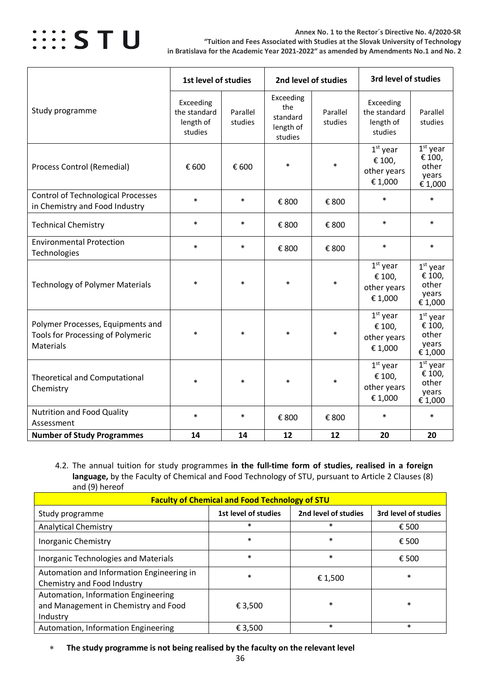

|                                                                                                   | 1st level of studies                              |                     |                                                      | 2nd level of studies |                                                   | 3rd level of studies                              |  |
|---------------------------------------------------------------------------------------------------|---------------------------------------------------|---------------------|------------------------------------------------------|----------------------|---------------------------------------------------|---------------------------------------------------|--|
| Study programme                                                                                   | Exceeding<br>the standard<br>length of<br>studies | Parallel<br>studies | Exceeding<br>the<br>standard<br>length of<br>studies | Parallel<br>studies  | Exceeding<br>the standard<br>length of<br>studies | Parallel<br>studies                               |  |
| <b>Process Control (Remedial)</b>                                                                 | € 600                                             | € 600               | $\ast$                                               | $\ast$               | $1st$ year<br>€ 100,<br>other years<br>€ 1,000    | $1st$ year<br>€ 100,<br>other<br>years<br>€ 1,000 |  |
| <b>Control of Technological Processes</b><br>in Chemistry and Food Industry                       | $\ast$                                            | $\ast$              | € 800                                                | € 800                | $\ast$                                            | $\ast$                                            |  |
| <b>Technical Chemistry</b>                                                                        | $\ast$                                            | $\ast$              | € 800                                                | € 800                | $\ast$                                            | $\ast$                                            |  |
| <b>Environmental Protection</b><br>Technologies                                                   | $\ast$                                            | $\ast$              | € 800                                                | € 800                | $\ast$                                            | $\ast$                                            |  |
| <b>Technology of Polymer Materials</b>                                                            | $\ast$                                            | $\ast$              | $\ast$                                               | $\ast$               | $1st$ year<br>€ 100,<br>other years<br>€ 1,000    | $1st$ year<br>€ 100,<br>other<br>years<br>€ 1,000 |  |
| Polymer Processes, Equipments and<br><b>Tools for Processing of Polymeric</b><br><b>Materials</b> | $\ast$                                            | $\ast$              | $\ast$                                               | $\ast$               | $1st$ year<br>€ 100,<br>other years<br>€ 1,000    | $1st$ year<br>€ 100,<br>other<br>years<br>€ 1,000 |  |
| <b>Theoretical and Computational</b><br>Chemistry                                                 | $\ast$                                            | $\ast$              | $\ast$                                               | $\ast$               | $1st$ year<br>€ 100,<br>other years<br>€ 1,000    | $1st$ year<br>€ 100,<br>other<br>years<br>€ 1,000 |  |
| <b>Nutrition and Food Quality</b><br>Assessment                                                   | $\ast$                                            | $\ast$              | € 800                                                | € 800                | $\ast$                                            | $\ast$                                            |  |
| <b>Number of Study Programmes</b>                                                                 | 14                                                | 14                  | 12                                                   | 12                   | 20                                                | 20                                                |  |

<span id="page-35-0"></span>4.2. The annual tuition for study programmes **in the full-time form of studies, realised in a foreign language,** by the Faculty of Chemical and Food Technology of STU, pursuant to Article 2 Clauses (8) and (9) hereof

| <b>Faculty of Chemical and Food Technology of STU</b>                                   |                      |                      |                      |  |  |  |  |  |  |
|-----------------------------------------------------------------------------------------|----------------------|----------------------|----------------------|--|--|--|--|--|--|
| Study programme                                                                         | 1st level of studies | 2nd level of studies | 3rd level of studies |  |  |  |  |  |  |
| <b>Analytical Chemistry</b>                                                             | $\ast$               | $\ast$               | € 500                |  |  |  |  |  |  |
| <b>Inorganic Chemistry</b>                                                              | $\ast$               | $\ast$               | € 500                |  |  |  |  |  |  |
| <b>Inorganic Technologies and Materials</b>                                             | $\ast$               | $\ast$               | € 500                |  |  |  |  |  |  |
| Automation and Information Engineering in<br>Chemistry and Food Industry                | $\ast$               | € 1,500              | $\ast$               |  |  |  |  |  |  |
| Automation, Information Engineering<br>and Management in Chemistry and Food<br>Industry | € 3,500              | $\ast$               | $\ast$               |  |  |  |  |  |  |
| Automation, Information Engineering                                                     | € 3,500              | $\ast$               | $\ast$               |  |  |  |  |  |  |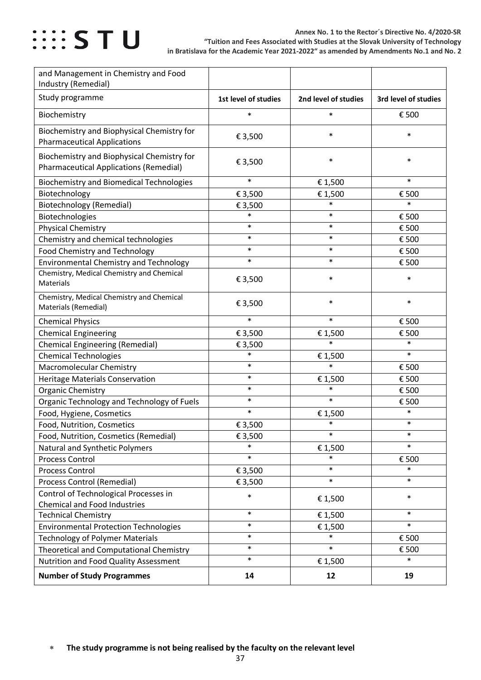

| and Management in Chemistry and Food<br>Industry (Remedial)                                 |                      |                      |                      |
|---------------------------------------------------------------------------------------------|----------------------|----------------------|----------------------|
| Study programme                                                                             | 1st level of studies | 2nd level of studies | 3rd level of studies |
| Biochemistry                                                                                | $\ast$               | $\ast$               | € 500                |
| Biochemistry and Biophysical Chemistry for<br><b>Pharmaceutical Applications</b>            | € 3,500              | $\ast$               | $\ast$               |
| Biochemistry and Biophysical Chemistry for<br><b>Pharmaceutical Applications (Remedial)</b> | € 3,500              | $\ast$               | $\ast$               |
| <b>Biochemistry and Biomedical Technologies</b>                                             | $\ast$               | €1,500               | $\ast$               |
| Biotechnology                                                                               | € 3,500              | € 1,500              | € 500                |
| <b>Biotechnology (Remedial)</b>                                                             | € 3,500              | $\ast$               | $\ast$               |
| Biotechnologies                                                                             | $\ast$               | $\ast$               | € 500                |
| <b>Physical Chemistry</b>                                                                   | $\ast$               | $\ast$               | € 500                |
| Chemistry and chemical technologies                                                         | $\ast$               | $\ast$               | € 500                |
| Food Chemistry and Technology                                                               | $\ast$               | $\ast$               | € 500                |
| <b>Environmental Chemistry and Technology</b>                                               | $\ast$               | $\ast$               | € 500                |
| Chemistry, Medical Chemistry and Chemical<br>Materials                                      | € 3,500              | $\ast$               | $\ast$               |
| Chemistry, Medical Chemistry and Chemical<br>Materials (Remedial)                           | € 3,500              | $\ast$               | $\ast$               |
| <b>Chemical Physics</b>                                                                     | $\ast$               | $\ast$               | € 500                |
| <b>Chemical Engineering</b>                                                                 | € 3,500              | € 1,500              | € 500                |
| <b>Chemical Engineering (Remedial)</b>                                                      | € 3,500              | $\ast$               | $\ast$               |
| <b>Chemical Technologies</b>                                                                | $\ast$               | € 1,500              | $\ast$               |
| <b>Macromolecular Chemistry</b>                                                             | $\ast$               | $\ast$               | € 500                |
| <b>Heritage Materials Conservation</b>                                                      | $\ast$               | € 1,500              | € 500                |
| <b>Organic Chemistry</b>                                                                    | $\ast$               | $\ast$               | € 500                |
| Organic Technology and Technology of Fuels                                                  | $\ast$               | $\ast$               | € 500                |
| Food, Hygiene, Cosmetics                                                                    | $\ast$               | € 1,500              | $\ast$               |
| Food, Nutrition, Cosmetics                                                                  | € 3,500              | $\ast$               | $\ast$               |
| Food, Nutrition, Cosmetics (Remedial)                                                       | € 3,500              | $\ast$               | $\ast$               |
| Natural and Synthetic Polymers                                                              | $\ast$               | € 1,500              | $\ast$               |
| Process Control                                                                             | $\ast$               | $\ast$               | € 500                |
| <b>Process Control</b>                                                                      | € 3,500              | $\ast$               | $\ast$               |
| <b>Process Control (Remedial)</b>                                                           | €3,500               | $\ast$               | $\ast$               |
| Control of Technological Processes in                                                       | $\ast$               |                      | $\ast$               |
| <b>Chemical and Food Industries</b>                                                         |                      | € 1,500              |                      |
| <b>Technical Chemistry</b>                                                                  | $\ast$               | € 1,500              | $\ast$               |
| <b>Environmental Protection Technologies</b>                                                | $\ast$               | € 1,500              | $\ast$               |
| <b>Technology of Polymer Materials</b>                                                      | $\ast$               | $\ast$               | € 500                |
| Theoretical and Computational Chemistry                                                     | $\ast$               | $\ast$               | € 500                |
| Nutrition and Food Quality Assessment                                                       | $\ast$               | € 1,500              | $\ast$               |
| <b>Number of Study Programmes</b>                                                           | 14                   | 12                   | 19                   |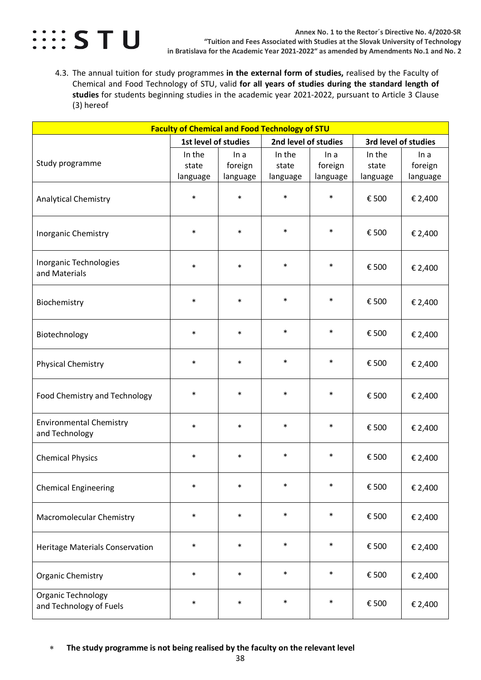

<span id="page-37-0"></span>4.3. The annual tuition for study programmes **in the external form of studies,** realised by the Faculty of Chemical and Food Technology of STU, valid **for all years of studies during the standard length of studies** for students beginning studies in the academic year 2021-2022, pursuant to Article 3 Clause (3) hereof

| <b>Faculty of Chemical and Food Technology of STU</b> |                             |                             |                             |                             |                             |                             |  |
|-------------------------------------------------------|-----------------------------|-----------------------------|-----------------------------|-----------------------------|-----------------------------|-----------------------------|--|
|                                                       | 1st level of studies        |                             | 2nd level of studies        |                             | 3rd level of studies        |                             |  |
| Study programme                                       | In the<br>state<br>language | In a<br>foreign<br>language | In the<br>state<br>language | In a<br>foreign<br>language | In the<br>state<br>language | In a<br>foreign<br>language |  |
| <b>Analytical Chemistry</b>                           | $\ast$                      | $\ast$                      | $\ast$                      | $\ast$                      | € 500                       | € 2,400                     |  |
| Inorganic Chemistry                                   | $\ast$                      | $\ast$                      | $\ast$                      | $\ast$                      | € 500                       | € 2,400                     |  |
| Inorganic Technologies<br>and Materials               | $\ast$                      | $\ast$                      | $\ast$                      | $\ast$                      | € 500                       | € 2,400                     |  |
| Biochemistry                                          | $\ast$                      | $\ast$                      | $\ast$                      | $\ast$                      | € 500                       | € 2,400                     |  |
| Biotechnology                                         | $\ast$                      | $\ast$                      | $\ast$                      | $\ast$                      | € 500                       | € 2,400                     |  |
| <b>Physical Chemistry</b>                             | $\ast$                      | $\ast$                      | $\ast$                      | $\ast$                      | € 500                       | € 2,400                     |  |
| Food Chemistry and Technology                         | $\ast$                      | $\ast$                      | $\ast$                      | $\ast$                      | € 500                       | € 2,400                     |  |
| <b>Environmental Chemistry</b><br>and Technology      | $\ast$                      | $\ast$                      | $\ast$                      | $\ast$                      | € 500                       | € 2,400                     |  |
| <b>Chemical Physics</b>                               | $\ast$                      | $\ast$                      | $\ast$                      | $\ast$                      | € 500                       | € 2,400                     |  |
| <b>Chemical Engineering</b>                           | $\ast$                      | $\ast$                      |                             |                             | € 500                       | € 2,400                     |  |
| Macromolecular Chemistry                              | $\ast$                      | $\ast$                      | $\ast$                      | $\ast$                      | € 500                       | € 2,400                     |  |
| <b>Heritage Materials Conservation</b>                | $\ast$                      | $\ast$                      | $\ast$                      | $\ast$                      | € 500                       | € 2,400                     |  |
| <b>Organic Chemistry</b>                              | $\ast$                      | $\ast$                      | $\ast$                      | $\ast$                      | € 500                       | € 2,400                     |  |
| Organic Technology<br>and Technology of Fuels         | $\ast$                      | $\ast$                      | $\ast$                      | $\ast$                      | € 500                       | € 2,400                     |  |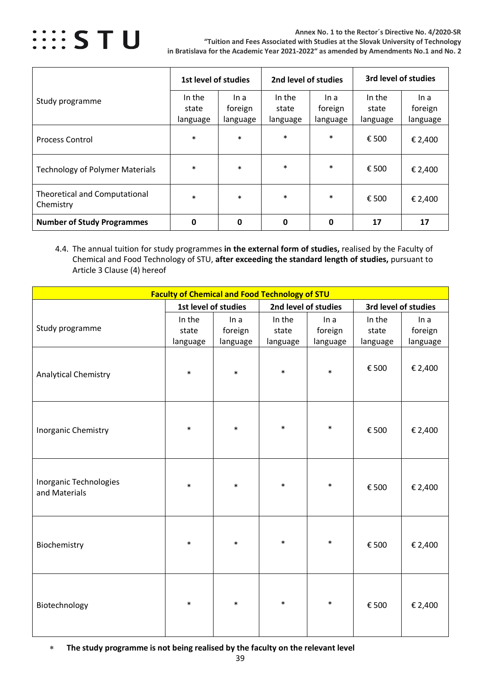

**Annex No. 1 to the Rector´s Directive No. 4/2020-SR "Tuition and Fees Associated with Studies at the Slovak University of Technology in Bratislava for the Academic Year 2021-2022" as amended by Amendments No.1 and No. 2**

|                                                   | 1st level of studies |          | 2nd level of studies |          | 3rd level of studies |          |
|---------------------------------------------------|----------------------|----------|----------------------|----------|----------------------|----------|
| Study programme                                   | In the               | In a     | In the               | In a     | In the               | In a     |
|                                                   | state                | foreign  | state                | foreign  | state                | foreign  |
|                                                   | language             | language | language             | language | language             | language |
| <b>Process Control</b>                            | $\ast$               | $\ast$   | $\ast$               | $\ast$   | € 500                | € 2,400  |
| <b>Technology of Polymer Materials</b>            | $\ast$               | $\ast$   | $\ast$               | $\ast$   | € 500                | € 2,400  |
| <b>Theoretical and Computational</b><br>Chemistry | $\ast$               | $\ast$   | $\ast$               | $\ast$   | € 500                | € 2,400  |
| <b>Number of Study Programmes</b>                 | 0                    | 0        | 0                    | 0        | 17                   | 17       |

<span id="page-38-0"></span>4.4. The annual tuition for study programmes **in the external form of studies,** realised by the Faculty of Chemical and Food Technology of STU, **after exceeding the standard length of studies,** pursuant to Article 3 Clause (4) hereof

|                                         | <b>Faculty of Chemical and Food Technology of STU</b> |          |                      |          |                      |          |
|-----------------------------------------|-------------------------------------------------------|----------|----------------------|----------|----------------------|----------|
|                                         | 1st level of studies                                  |          | 2nd level of studies |          | 3rd level of studies |          |
|                                         | In the                                                | In a     | In the               | In a     | In the               | In a     |
| Study programme                         | state                                                 | foreign  | state                | foreign  | state                | foreign  |
|                                         | language                                              | language | language             | language | language             | language |
| <b>Analytical Chemistry</b>             | $\ast$                                                | $\ast$   | $\ast$               | $\ast$   | € 500                | € 2,400  |
| Inorganic Chemistry                     | $\ast$                                                | $\ast$   | $\ast$               | $\ast$   | € 500                | € 2,400  |
| Inorganic Technologies<br>and Materials | $\ast$                                                | $\ast$   | $\ast$               | $\ast$   | € 500                | € 2,400  |
| Biochemistry                            | $\ast$                                                | $\ast$   | $\ast$               | $\ast$   | € 500                | € 2,400  |
| Biotechnology                           | $\ast$                                                | $\ast$   | $\ast$               | $\ast$   | € 500                | € 2,400  |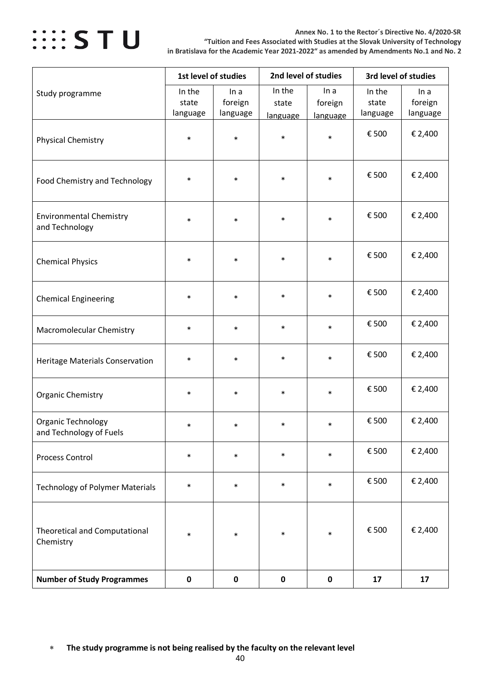

**Annex No. 1 to the Rector´s Directive No. 4/2020-SR "Tuition and Fees Associated with Studies at the Slovak University of Technology in Bratislava for the Academic Year 2021-2022" as amended by Amendments No.1 and No. 2**

|                                                   | 1st level of studies        |                             | 2nd level of studies        |                             | 3rd level of studies        |                             |  |
|---------------------------------------------------|-----------------------------|-----------------------------|-----------------------------|-----------------------------|-----------------------------|-----------------------------|--|
| Study programme                                   | In the<br>state<br>language | In a<br>foreign<br>language | In the<br>state<br>language | In a<br>foreign<br>language | In the<br>state<br>language | In a<br>foreign<br>language |  |
| <b>Physical Chemistry</b>                         | $\ast$                      | $\ast$                      | $\ast$                      | $\ast$                      | € 500                       | € 2,400                     |  |
| Food Chemistry and Technology                     | $\ast$                      | $\ast$                      | $\ast$                      | $\ast$                      | € 500                       | € 2,400                     |  |
| <b>Environmental Chemistry</b><br>and Technology  | $\ast$                      | $\ast$                      | $\ast$                      | $\ast$                      | € 500                       | € 2,400                     |  |
| <b>Chemical Physics</b>                           | $\ast$                      | $\ast$                      | $\ast$                      | $\ast$                      | € 500                       | € 2,400                     |  |
| <b>Chemical Engineering</b>                       | $\ast$                      | $\ast$                      | $\ast$                      | $\ast$                      | € 500                       | € 2,400                     |  |
| Macromolecular Chemistry                          | $\ast$                      | $\ast$                      | $\ast$                      | $\ast$                      | € 500                       | € 2,400                     |  |
| Heritage Materials Conservation                   | $\ast$                      | $\ast$                      | $\ast$                      | $\ast$                      | € 500                       | € 2,400                     |  |
| <b>Organic Chemistry</b>                          | $\ast$                      | $\ast$                      | $\ast$                      | $\ast$                      | € 500                       | € 2,400                     |  |
| Organic Technology<br>and Technology of Fuels     | $\ast$                      | $\ast$                      | $\ast$                      | $\ast$                      | € 500                       | € 2,400                     |  |
| <b>Process Control</b>                            | $\ast$                      | $\ast$                      | $\ast$                      | $\ast$                      | € 500                       | € 2,400                     |  |
| <b>Technology of Polymer Materials</b>            | $\ast$                      | $\ast$                      | $\ast$                      | $\ast$                      | € 500                       | € 2,400                     |  |
| <b>Theoretical and Computational</b><br>Chemistry | $\ast$                      | $\ast$                      | $\ast$                      | $\ast$                      | € 500                       | € 2,400                     |  |
| <b>Number of Study Programmes</b>                 | $\pmb{0}$                   | $\pmb{0}$                   | $\mathbf 0$                 | $\pmb{0}$                   | 17                          | 17                          |  |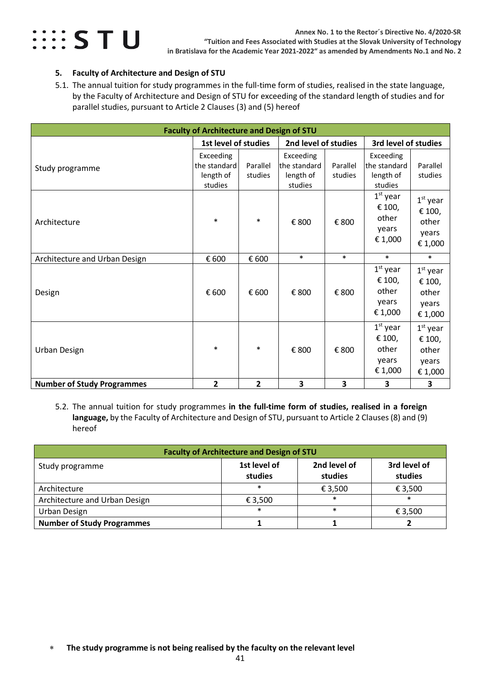

### <span id="page-40-0"></span>**5. Faculty of Architecture and Design of STU**

<span id="page-40-1"></span>5.1. The annual tuition for study programmes in the full-time form of studies, realised in the state language, by the Faculty of Architecture and Design of STU for exceeding of the standard length of studies and for parallel studies, pursuant to Article 2 Clauses (3) and (5) hereof

| <b>Faculty of Architecture and Design of STU</b> |                                                   |                                              |                                                   |                      |                                                    |                                                   |  |  |
|--------------------------------------------------|---------------------------------------------------|----------------------------------------------|---------------------------------------------------|----------------------|----------------------------------------------------|---------------------------------------------------|--|--|
|                                                  |                                                   | 1st level of studies<br>2nd level of studies |                                                   | 3rd level of studies |                                                    |                                                   |  |  |
| Study programme                                  | Exceeding<br>the standard<br>length of<br>studies | Parallel<br>studies                          | Exceeding<br>the standard<br>length of<br>studies | Parallel<br>studies  | Exceeding<br>lthe standard<br>length of<br>studies | Parallel<br>studies                               |  |  |
| Architecture                                     | $\ast$                                            | $\ast$                                       | € 800                                             | € 800                | $1st$ year<br>€ 100,<br>other<br>years<br>€ 1,000  | $1st$ year<br>€ 100,<br>other<br>years<br>€ 1,000 |  |  |
| Architecture and Urban Design                    | € 600                                             | € 600                                        | $\ast$                                            | $\ast$               | $\ast$                                             | $\ast$                                            |  |  |
| Design                                           | € 600                                             | € 600                                        | € 800                                             | € 800                | $1st$ year<br>€ 100,<br>other<br>years<br>€ 1,000  | $1st$ year<br>€ 100,<br>other<br>years<br>€ 1,000 |  |  |
| Urban Design                                     | $\ast$                                            | $\ast$                                       | € 800                                             | € 800                | $1st$ year<br>€ 100,<br>other<br>years<br>€ 1,000  | $1st$ year<br>€ 100,<br>other<br>years<br>€ 1,000 |  |  |
| <b>Number of Study Programmes</b>                | $\overline{2}$                                    | $\mathbf{2}$                                 | 3                                                 | 3                    | 3                                                  | 3                                                 |  |  |

<span id="page-40-2"></span>5.2. The annual tuition for study programmes **in the full-time form of studies, realised in a foreign language,** by the Faculty of Architecture and Design of STU, pursuant to Article 2 Clauses (8) and (9) hereof

| <b>Faculty of Architecture and Design of STU</b> |                                                    |         |         |  |  |  |  |  |  |
|--------------------------------------------------|----------------------------------------------------|---------|---------|--|--|--|--|--|--|
| Study programme                                  | 1st level of<br>2nd level of<br>studies<br>studies |         |         |  |  |  |  |  |  |
| Architecture                                     | $\ast$                                             | € 3,500 | € 3,500 |  |  |  |  |  |  |
| Architecture and Urban Design                    | € 3,500                                            | $\ast$  | $\ast$  |  |  |  |  |  |  |
| Urban Design                                     | $\ast$                                             | $\ast$  | € 3,500 |  |  |  |  |  |  |
| <b>Number of Study Programmes</b>                |                                                    |         |         |  |  |  |  |  |  |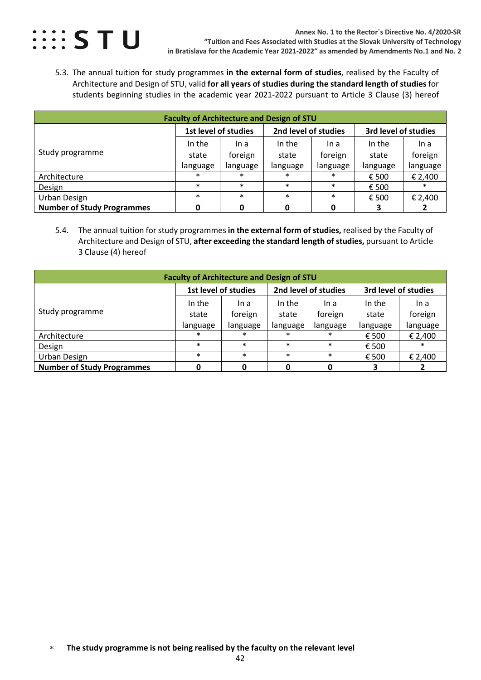

<span id="page-41-0"></span>5.3. The annual tuition for study programmes **in the external form of studies**, realised by the Faculty of Architecture and Design of STU, valid **for all years of studies during the standard length of studies** for students beginning studies in the academic year 2021-2022 pursuant to Article 3 Clause (3) hereof

| <b>Faculty of Architecture and Design of STU</b> |                      |          |                      |          |                      |          |  |  |  |  |
|--------------------------------------------------|----------------------|----------|----------------------|----------|----------------------|----------|--|--|--|--|
|                                                  | 1st level of studies |          | 2nd level of studies |          | 3rd level of studies |          |  |  |  |  |
|                                                  | In the               | In a     | In the               | In a     | In the               | In a     |  |  |  |  |
| Study programme                                  | state                | foreign  | state                | foreign  | state                | foreign  |  |  |  |  |
|                                                  | language             | language | language             | language | language             | language |  |  |  |  |
| Architecture                                     | $\ast$               | $\ast$   | $\ast$               | $\ast$   | € 500                | € 2,400  |  |  |  |  |
| Design                                           | $\ast$               | $\ast$   | $\ast$               | $\ast$   | € 500                | *        |  |  |  |  |
| Urban Design                                     | $\ast$               | $\ast$   | $\ast$               | $\ast$   | € 500                | € 2,400  |  |  |  |  |
| <b>Number of Study Programmes</b>                |                      |          |                      |          |                      |          |  |  |  |  |

<span id="page-41-1"></span>5.4. The annual tuition for study programmes **in the external form of studies,** realised by the Faculty of Architecture and Design of STU, **after exceeding the standard length of studies,** pursuant to Article 3 Clause (4) hereof

| <b>Faculty of Architecture and Design of STU</b> |                      |          |          |                      |                      |          |  |  |  |  |
|--------------------------------------------------|----------------------|----------|----------|----------------------|----------------------|----------|--|--|--|--|
|                                                  | 1st level of studies |          |          | 2nd level of studies | 3rd level of studies |          |  |  |  |  |
|                                                  | In the               | In a     | In the   | In a                 | In the               | In a     |  |  |  |  |
| Study programme                                  | state                | foreign  | state    | foreign              | state                | foreign  |  |  |  |  |
|                                                  | language             | language | language | language             | language             | language |  |  |  |  |
| Architecture                                     | $\ast$               | $\ast$   | $\ast$   | $\ast$               | € 500                | € 2,400  |  |  |  |  |
| Design                                           | $\ast$               | $\ast$   | $\ast$   | $\ast$               | € 500                | $\ast$   |  |  |  |  |
| Urban Design                                     | $\ast$               | $\ast$   | $\ast$   | $\ast$               | € 500                | € 2,400  |  |  |  |  |
| <b>Number of Study Programmes</b>                |                      |          |          |                      |                      |          |  |  |  |  |

<sup>∗</sup> **The study programme is not being realised by the faculty on the relevant level**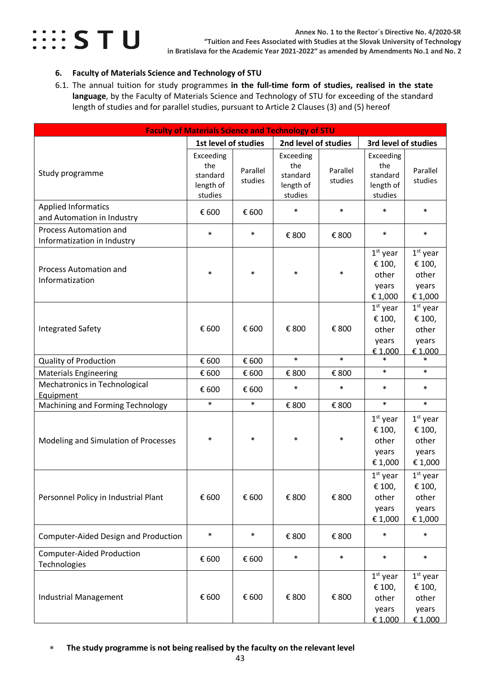

### <span id="page-42-0"></span>**6. Faculty of Materials Science and Technology of STU**

<span id="page-42-1"></span>6.1. The annual tuition for study programmes **in the full-time form of studies, realised in the state language**, by the Faculty of Materials Science and Technology of STU for exceeding of the standard length of studies and for parallel studies, pursuant to Article 2 Clauses (3) and (5) hereof

| <b>Faculty of Materials Science and Technology of STU</b>    |                                                      |                     |                                                      |                     |                                                      |                                                   |  |
|--------------------------------------------------------------|------------------------------------------------------|---------------------|------------------------------------------------------|---------------------|------------------------------------------------------|---------------------------------------------------|--|
|                                                              | 1st level of studies                                 |                     | 2nd level of studies                                 |                     | 3rd level of studies                                 |                                                   |  |
| Study programme                                              | Exceeding<br>the<br>standard<br>length of<br>studies | Parallel<br>studies | Exceeding<br>the<br>standard<br>length of<br>studies | Parallel<br>studies | Exceeding<br>the<br>standard<br>length of<br>studies | Parallel<br>studies                               |  |
| <b>Applied Informatics</b><br>and Automation in Industry     | € 600                                                | € 600               | $\ast$                                               | $\ast$              | $\ast$                                               | $\ast$                                            |  |
| <b>Process Automation and</b><br>Informatization in Industry | $\ast$                                               | $\ast$              | € 800                                                | € 800               | $\ast$                                               | $\ast$                                            |  |
| Process Automation and<br>Informatization                    | $\ast$                                               | $\ast$              | $\ast$                                               | $\ast$              | $1st$ year<br>€ 100,<br>other<br>years<br>€ 1,000    | $1st$ year<br>€ 100,<br>other<br>years<br>€ 1,000 |  |
| <b>Integrated Safety</b>                                     | € 600                                                | € 600               | € 800                                                | € 800               | $1st$ year<br>€ 100,<br>other<br>years<br>€1,000     | $1st$ year<br>€ 100,<br>other<br>years<br>€ 1,000 |  |
| <b>Quality of Production</b>                                 | € 600                                                | € 600               | $\ast$                                               | $\ast$              | $\ast$                                               | $\ast$                                            |  |
| <b>Materials Engineering</b>                                 | € 600                                                | € 600               | € 800                                                | € 800               | $\ast$                                               | $\ast$                                            |  |
| Mechatronics in Technological<br>Equipment                   | € 600                                                | € 600               | $\ast$                                               | $\ast$              | $\ast$                                               | $\ast$                                            |  |
| Machining and Forming Technology                             | $\ast$                                               | $\ast$              | € 800                                                | € 800               | $\ast$                                               | $\ast$                                            |  |
| Modeling and Simulation of Processes                         | $\ast$                                               | $\ast$              | $\ast$                                               | $\ast$              | $1st$ year<br>€ 100,<br>other<br>years<br>€1,000     | $1st$ year<br>€ 100,<br>other<br>years<br>€ 1,000 |  |
| Personnel Policy in Industrial Plant                         | € 600                                                | € 600               | € 800                                                | € 800               | $1st$ year<br>€ 100,<br>other<br>years<br>€ 1,000    | $1st$ year<br>€ 100,<br>other<br>years<br>€ 1,000 |  |
| Computer-Aided Design and Production                         | $\ast$                                               | $\ast$              | € 800                                                | € 800               | $\ast$                                               | $\ast$                                            |  |
| <b>Computer-Aided Production</b><br>Technologies             | € 600                                                | € 600               | $\ast$                                               | $\ast$              | $\ast$                                               | $\ast$                                            |  |
| Industrial Management                                        | € 600                                                | € 600               | € 800                                                | € 800               | $1st$ year<br>€ 100,<br>other<br>years<br>€ 1,000    | $1st$ year<br>€ 100,<br>other<br>years<br>€ 1,000 |  |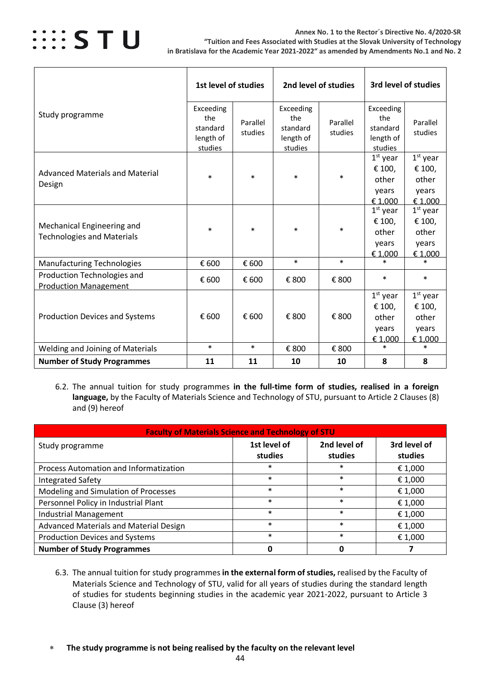

|                                                                 | 1st level of studies                                 |                     | 2nd level of studies                                 |                     | 3rd level of studies                                 |                                                   |
|-----------------------------------------------------------------|------------------------------------------------------|---------------------|------------------------------------------------------|---------------------|------------------------------------------------------|---------------------------------------------------|
| Study programme                                                 | Exceeding<br>the<br>standard<br>length of<br>studies | Parallel<br>studies | Exceeding<br>the<br>standard<br>length of<br>studies | Parallel<br>studies | Exceeding<br>the<br>standard<br>length of<br>studies | Parallel<br>studies                               |
| <b>Advanced Materials and Material</b><br>Design                | $\ast$                                               | $\ast$              | $\ast$                                               | $\ast$              | $1st$ year<br>€ 100,<br>other<br>years<br>€ 1.000    | $1st$ year<br>€ 100,<br>other<br>years<br>€1.000  |
| Mechanical Engineering and<br><b>Technologies and Materials</b> | $\ast$                                               | $\ast$              | $\ast$                                               | $\ast$              | $1st$ year<br>€ 100,<br>other<br>vears<br>€ 1,000    | $1st$ year<br>€ 100,<br>other<br>vears<br>€ 1,000 |
| <b>Manufacturing Technologies</b>                               | € 600                                                | € 600               | $\ast$                                               | $\ast$              | $\ast$                                               | $\ast$                                            |
| Production Technologies and<br><b>Production Management</b>     | € 600                                                | € 600               | € 800                                                | € 800               | $\ast$                                               | $\ast$                                            |
| <b>Production Devices and Systems</b>                           | € 600                                                | € 600               | € 800                                                | € 800               | $1st$ year<br>€ 100,<br>other<br>years<br>€ 1,000    | $1st$ year<br>€ 100,<br>other<br>years<br>€ 1,000 |
| Welding and Joining of Materials                                | $\ast$                                               | $\ast$              | € 800                                                | € 800               | $\ast$                                               | $\ast$                                            |
| <b>Number of Study Programmes</b>                               | 11                                                   | 11                  | 10                                                   | 10                  | 8                                                    | 8                                                 |

<span id="page-43-0"></span>6.2. The annual tuition for study programmes **in the full-time form of studies, realised in a foreign language,** by the Faculty of Materials Science and Technology of STU, pursuant to Article 2 Clauses (8) and (9) hereof

| <b>Faculty of Materials Science and Technology of STU</b> |                         |                         |                         |  |  |  |  |  |  |
|-----------------------------------------------------------|-------------------------|-------------------------|-------------------------|--|--|--|--|--|--|
| Study programme                                           | 1st level of<br>studies | 2nd level of<br>studies | 3rd level of<br>studies |  |  |  |  |  |  |
| Process Automation and Informatization                    | $\ast$                  | $\ast$                  | € 1,000                 |  |  |  |  |  |  |
| <b>Integrated Safety</b>                                  | $\ast$                  | $\ast$                  | € 1,000                 |  |  |  |  |  |  |
| Modeling and Simulation of Processes                      | $\ast$                  | $\ast$                  | € 1,000                 |  |  |  |  |  |  |
| Personnel Policy in Industrial Plant                      | $\ast$                  | $\ast$                  | € 1,000                 |  |  |  |  |  |  |
| <b>Industrial Management</b>                              | $\ast$                  | $\ast$                  | € 1,000                 |  |  |  |  |  |  |
| Advanced Materials and Material Design                    | $\ast$                  | $\ast$                  | € 1,000                 |  |  |  |  |  |  |
| <b>Production Devices and Systems</b>                     | $\ast$                  | $\ast$                  | € 1,000                 |  |  |  |  |  |  |
| <b>Number of Study Programmes</b>                         | 0                       |                         |                         |  |  |  |  |  |  |

- <span id="page-43-1"></span>6.3. The annual tuition for study programmes **in the external form of studies,** realised by the Faculty of Materials Science and Technology of STU, valid for all years of studies during the standard length of studies for students beginning studies in the academic year 2021-2022, pursuant to Article 3 Clause (3) hereof
- ∗ **The study programme is not being realised by the faculty on the relevant level**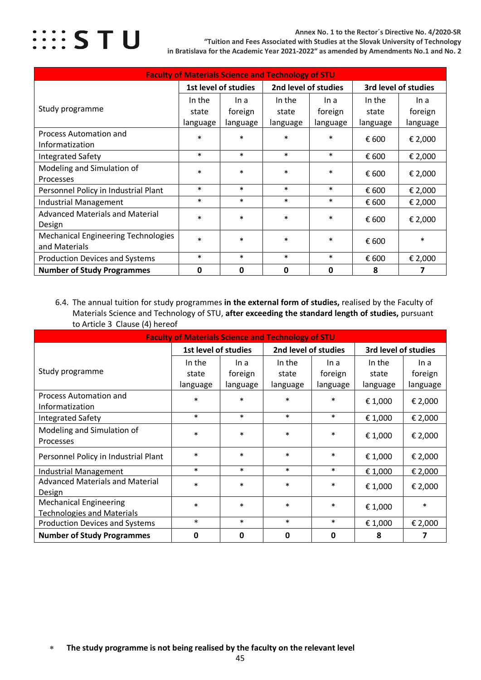

**Annex No. 1 to the Rector´s Directive No. 4/2020-SR "Tuition and Fees Associated with Studies at the Slovak University of Technology in Bratislava for the Academic Year 2021-2022" as amended by Amendments No.1 and No. 2**

| <b>Faculty of Materials Science and Technology of STU</b>   |          |                                              |             |          |                      |          |  |  |  |
|-------------------------------------------------------------|----------|----------------------------------------------|-------------|----------|----------------------|----------|--|--|--|
|                                                             |          | 2nd level of studies<br>1st level of studies |             |          | 3rd level of studies |          |  |  |  |
|                                                             | In the   | In a                                         | In the      | In a     | In the               | In a     |  |  |  |
| Study programme                                             | state    | foreign                                      | state       | foreign  | state                | foreign  |  |  |  |
|                                                             | language | language                                     | language    | language | language             | language |  |  |  |
| <b>Process Automation and</b><br>Informatization            | $\ast$   | $\ast$                                       | $\ast$      | $\ast$   | € 600                | € 2,000  |  |  |  |
| <b>Integrated Safety</b>                                    | $\ast$   | $\ast$                                       | $\ast$      | $\ast$   | € 600                | € 2,000  |  |  |  |
| Modeling and Simulation of<br>Processes                     | $\ast$   | $\ast$                                       | $\ast$      | $\ast$   | € 600                | € 2,000  |  |  |  |
| Personnel Policy in Industrial Plant                        | $\ast$   | $\ast$                                       | $\ast$      | $\ast$   | € 600                | € 2,000  |  |  |  |
| <b>Industrial Management</b>                                | $\ast$   | $\ast$                                       | $\ast$      | $\ast$   | € 600                | € 2,000  |  |  |  |
| <b>Advanced Materials and Material</b><br>Design            | $\ast$   | $\ast$                                       | $\ast$      | $\ast$   | € 600                | € 2,000  |  |  |  |
| <b>Mechanical Engineering Technologies</b><br>and Materials | $\ast$   | $\ast$                                       | $\ast$      | $\ast$   | € 600                | $\ast$   |  |  |  |
| <b>Production Devices and Systems</b>                       | $\ast$   | $\ast$                                       | $\ast$      | $\ast$   | € 600                | € 2,000  |  |  |  |
| <b>Number of Study Programmes</b>                           | 0        | 0                                            | $\mathbf 0$ | 0        | 8                    | 7        |  |  |  |

<span id="page-44-0"></span>6.4. The annual tuition for study programmes **in the external form of studies,** realised by the Faculty of Materials Science and Technology of STU, **after exceeding the standard length of studies,** pursuant to Article 3 Clause (4) hereof

| <b>Faculty of Materials Science and Technology of STU</b>          |                      |          |                      |          |                      |          |  |  |  |
|--------------------------------------------------------------------|----------------------|----------|----------------------|----------|----------------------|----------|--|--|--|
|                                                                    | 1st level of studies |          | 2nd level of studies |          | 3rd level of studies |          |  |  |  |
|                                                                    | In the               | In a     | In the               | In a     | In the               | In a     |  |  |  |
| Study programme                                                    | state                | foreign  | state                | foreign  | state                | foreign  |  |  |  |
|                                                                    | language             | language | language             | language | language             | language |  |  |  |
| Process Automation and<br>Informatization                          | $\ast$               | $\ast$   | $\ast$               | $\ast$   | € 1,000              | € 2,000  |  |  |  |
| <b>Integrated Safety</b>                                           | $\ast$               | $\ast$   | $\ast$               | $\ast$   | € 1,000              | € 2,000  |  |  |  |
| Modeling and Simulation of<br>Processes                            | $\ast$               | $\ast$   | $\ast$               | $\ast$   | € 1,000              | € 2,000  |  |  |  |
| Personnel Policy in Industrial Plant                               | $\ast$               | $\ast$   | $\ast$               | $\ast$   | € 1,000              | € 2,000  |  |  |  |
| <b>Industrial Management</b>                                       | $\ast$               | $\ast$   | $\ast$               | $\ast$   | € 1,000              | € 2,000  |  |  |  |
| <b>Advanced Materials and Material</b><br>Design                   | $\ast$               | $\ast$   | $\ast$               | $\ast$   | € 1,000              | € 2,000  |  |  |  |
| <b>Mechanical Engineering</b><br><b>Technologies and Materials</b> | $\ast$               | $\ast$   | $\ast$               | $\ast$   | € 1,000              | $\ast$   |  |  |  |
| <b>Production Devices and Systems</b>                              | $\ast$               | $\ast$   | $\ast$               | $\ast$   | € 1,000              | € 2,000  |  |  |  |
| <b>Number of Study Programmes</b>                                  | 0                    | 0        | 0                    | 0        | 8                    | 7        |  |  |  |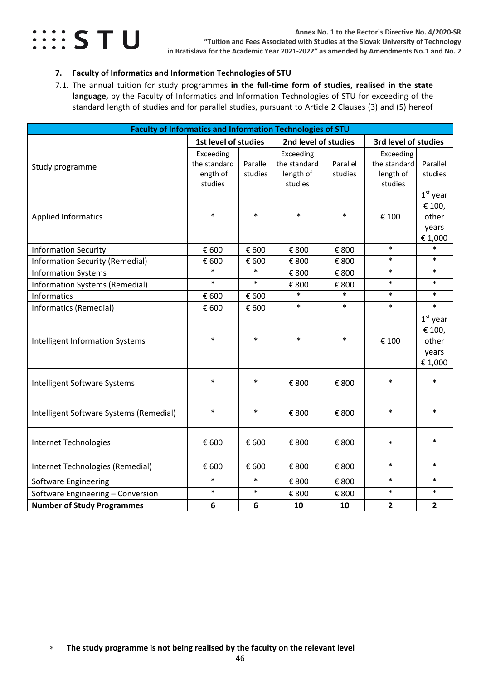

### <span id="page-45-0"></span>**7. Faculty of Informatics and Information Technologies of STU**

<span id="page-45-1"></span>7.1. The annual tuition for study programmes **in the full-time form of studies, realised in the state language,** by the Faculty of Informatics and Information Technologies of STU for exceeding of the standard length of studies and for parallel studies, pursuant to Article 2 Clauses (3) and (5) hereof

| <b>Faculty of Informatics and Information Technologies of STU</b> |                                                   |                     |                                                   |                     |                                                   |                                                   |  |  |
|-------------------------------------------------------------------|---------------------------------------------------|---------------------|---------------------------------------------------|---------------------|---------------------------------------------------|---------------------------------------------------|--|--|
|                                                                   | 1st level of studies                              |                     | 2nd level of studies                              |                     | 3rd level of studies                              |                                                   |  |  |
| Study programme                                                   | Exceeding<br>the standard<br>length of<br>studies | Parallel<br>studies | Exceeding<br>the standard<br>length of<br>studies | Parallel<br>studies | Exceeding<br>the standard<br>length of<br>studies | Parallel<br>studies                               |  |  |
| <b>Applied Informatics</b>                                        | $\ast$                                            | $\ast$              | $\ast$                                            | $\ast$              | € 100                                             | $1st$ year<br>€ 100,<br>other<br>years<br>€1,000  |  |  |
| <b>Information Security</b>                                       | € 600                                             | € 600               | € 800                                             | € 800               | $\ast$                                            | $\ast$                                            |  |  |
| <b>Information Security (Remedial)</b>                            | € 600                                             | € 600               | € 800                                             | € 800               | $\ast$                                            | $\ast$                                            |  |  |
| <b>Information Systems</b>                                        | $\ast$                                            | $\ast$              | € 800                                             | € 800               | $\ast$                                            | $\ast$                                            |  |  |
| <b>Information Systems (Remedial)</b>                             | $\ast$                                            | $\ast$              | € 800                                             | € 800               | $\ast$                                            | $\ast$                                            |  |  |
| <b>Informatics</b>                                                | € 600                                             | € 600               | $\ast$                                            | $\ast$              | $\ast$                                            | $\ast$                                            |  |  |
| Informatics (Remedial)                                            | € 600                                             | € 600               | $\ast$                                            | $\ast$              | $\ast$                                            | $\ast$                                            |  |  |
| <b>Intelligent Information Systems</b>                            | $\ast$                                            | $\ast$              | $\ast$                                            | $\ast$              | € 100                                             | $1st$ year<br>€ 100,<br>other<br>years<br>€ 1,000 |  |  |
| Intelligent Software Systems                                      | $\ast$                                            | $\ast$              | € 800                                             | € 800               | $\ast$                                            | $\ast$                                            |  |  |
| Intelligent Software Systems (Remedial)                           | $\ast$                                            | $\ast$              | € 800                                             | € 800               | $\ast$                                            | $\ast$                                            |  |  |
| Internet Technologies                                             | € 600                                             | € 600               | € 800                                             | € 800               | $\ast$                                            | $\ast$                                            |  |  |
| Internet Technologies (Remedial)                                  | € 600                                             | € 600               | € 800                                             | € 800               | $\ast$                                            | $\ast$                                            |  |  |
| <b>Software Engineering</b>                                       | $\ast$                                            | $\ast$              | € 800                                             | € 800               | $\ast$                                            | $\ast$                                            |  |  |
| Software Engineering - Conversion                                 | $\ast$                                            | $\ast$              | € 800                                             | € 800               | $\ast$                                            | $\ast$                                            |  |  |
| <b>Number of Study Programmes</b>                                 | 6                                                 | 6                   | 10                                                | 10                  | $\overline{2}$                                    | $\mathbf{2}$                                      |  |  |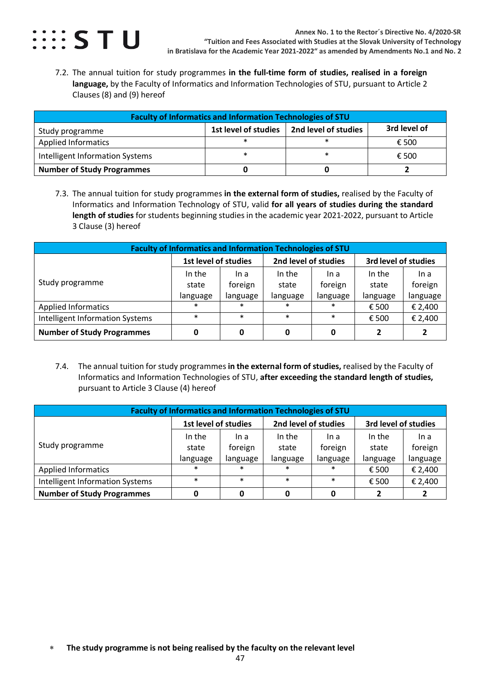

<span id="page-46-0"></span>7.2. The annual tuition for study programmes **in the full-time form of studies, realised in a foreign language,** by the Faculty of Informatics and Information Technologies of STU, pursuant to Article 2 Clauses (8) and (9) hereof

| <b>Faculty of Informatics and Information Technologies of STU</b>               |   |  |       |  |  |  |  |  |  |
|---------------------------------------------------------------------------------|---|--|-------|--|--|--|--|--|--|
| 3rd level of<br>2nd level of studies<br>1st level of studies<br>Study programme |   |  |       |  |  |  |  |  |  |
| <b>Applied Informatics</b>                                                      | ∗ |  | € 500 |  |  |  |  |  |  |
| Intelligent Information Systems                                                 | * |  | € 500 |  |  |  |  |  |  |
| <b>Number of Study Programmes</b>                                               |   |  |       |  |  |  |  |  |  |

<span id="page-46-1"></span>7.3. The annual tuition for study programmes **in the external form of studies,** realised by the Faculty of Informatics and Information Technology of STU, valid **for all years of studies during the standard length of studies** for students beginning studies in the academic year 2021-2022, pursuant to Article 3 Clause (3) hereof

| <b>Faculty of Informatics and Information Technologies of STU</b> |                      |          |                      |          |                      |          |  |  |  |  |
|-------------------------------------------------------------------|----------------------|----------|----------------------|----------|----------------------|----------|--|--|--|--|
|                                                                   | 1st level of studies |          | 2nd level of studies |          | 3rd level of studies |          |  |  |  |  |
|                                                                   | In the               | In a     | In the               | In a     | In the               | In a     |  |  |  |  |
| Study programme                                                   | state                | foreign  | state                | foreign  | state                | foreign  |  |  |  |  |
|                                                                   | language             | language | language             | language | language             | language |  |  |  |  |
| <b>Applied Informatics</b>                                        | $\ast$               | $\ast$   | $\ast$               | $\ast$   | € 500                | € 2,400  |  |  |  |  |
| <b>Intelligent Information Systems</b>                            | $\ast$               | $\ast$   | $\ast$               | $\ast$   | € 500                | € 2,400  |  |  |  |  |
| <b>Number of Study Programmes</b>                                 |                      | 0        | 0                    | 0        | 2                    |          |  |  |  |  |

<span id="page-46-2"></span>7.4. The annual tuition for study programmes **in the external form of studies,** realised by the Faculty of Informatics and Information Technologies of STU, **after exceeding the standard length of studies,**  pursuant to Article 3 Clause (4) hereof

| <b>Faculty of Informatics and Information Technologies of STU</b> |                      |          |                      |          |                      |          |  |  |
|-------------------------------------------------------------------|----------------------|----------|----------------------|----------|----------------------|----------|--|--|
|                                                                   | 1st level of studies |          | 2nd level of studies |          | 3rd level of studies |          |  |  |
| Study programme                                                   | In the               | In a     | In the               | In a     | In the               | In a     |  |  |
|                                                                   | state                | foreign  | state                | foreign  | state                | foreign  |  |  |
|                                                                   | language             | language | language             | language | language             | language |  |  |
| <b>Applied Informatics</b>                                        | $\ast$               | $\ast$   | $\ast$               | $\ast$   | € 500                | € 2,400  |  |  |
| Intelligent Information Systems                                   | $\ast$               | $\ast$   | $\ast$               | $\ast$   | € 500                | € 2,400  |  |  |
| <b>Number of Study Programmes</b>                                 |                      | 0        | 0                    |          | 2                    |          |  |  |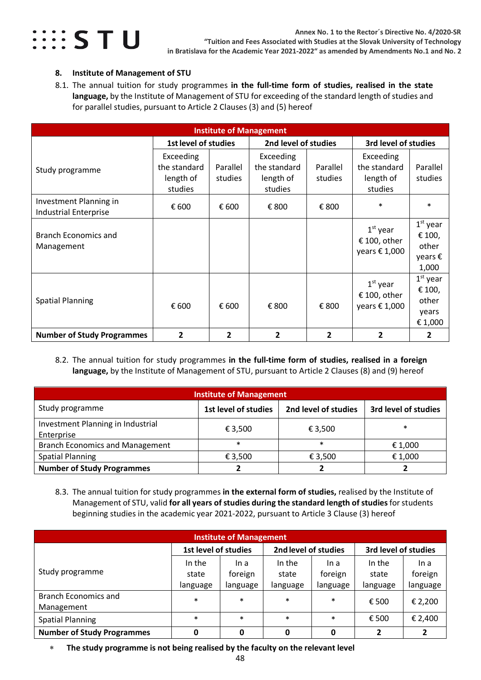

#### <span id="page-47-0"></span>**8. Institute of Management of STU**

<span id="page-47-1"></span>8.1. The annual tuition for study programmes **in the full-time form of studies, realised in the state language,** by the Institute of Management of STU for exceeding of the standard length of studies and for parallel studies, pursuant to Article 2 Clauses (3) and (5) hereof

| <b>Institute of Management</b>                         |                                                   |                     |                                                   |                     |                                                      |                                                   |  |  |
|--------------------------------------------------------|---------------------------------------------------|---------------------|---------------------------------------------------|---------------------|------------------------------------------------------|---------------------------------------------------|--|--|
|                                                        | <b>1st level of studies</b>                       |                     | 2nd level of studies                              |                     | 3rd level of studies                                 |                                                   |  |  |
| Study programme                                        | Exceeding<br>the standard<br>length of<br>studies | Parallel<br>studies | Exceeding<br>the standard<br>length of<br>studies | Parallel<br>studies | Exceeding<br>the standard<br>length of<br>studies    | Parallel<br>studies                               |  |  |
| Investment Planning in<br><b>Industrial Enterprise</b> | € 600                                             | € 600               | € 800                                             | € 800               | $\ast$                                               | $\ast$                                            |  |  |
| <b>Branch Economics and</b><br>Management              |                                                   |                     |                                                   |                     | $1st$ year<br>€ 100, other<br>years $\epsilon$ 1,000 | $1st$ year<br>€ 100,<br>other<br>years €<br>1,000 |  |  |
| <b>Spatial Planning</b>                                | € 600                                             | € 600               | € 800                                             | € 800               | $1st$ year<br>€ 100, other<br>years € 1,000          | $1st$ year<br>€ 100,<br>other<br>years<br>€ 1,000 |  |  |
| <b>Number of Study Programmes</b>                      | $\overline{2}$                                    | $\overline{2}$      | $\overline{2}$                                    | $\mathbf{2}$        | $\overline{2}$                                       | 2                                                 |  |  |

<span id="page-47-2"></span>8.2. The annual tuition for study programmes **in the full-time form of studies, realised in a foreign language,** by the Institute of Management of STU, pursuant to Article 2 Clauses (8) and (9) hereof

| <b>Institute of Management</b>                  |                      |                      |                      |  |  |  |  |
|-------------------------------------------------|----------------------|----------------------|----------------------|--|--|--|--|
| Study programme                                 | 1st level of studies | 2nd level of studies | 3rd level of studies |  |  |  |  |
| Investment Planning in Industrial<br>Enterprise | € 3,500              | € 3,500              | $\ast$               |  |  |  |  |
| <b>Branch Economics and Management</b>          | $\ast$               | $\ast$               | € 1,000              |  |  |  |  |
| <b>Spatial Planning</b>                         | € 3,500              | € 3,500              | € 1,000              |  |  |  |  |
| <b>Number of Study Programmes</b>               |                      |                      |                      |  |  |  |  |

<span id="page-47-3"></span>8.3. The annual tuition for study programmes **in the external form of studies,** realised by the Institute of Management of STU, valid **for all years of studies during the standard length of studies**for students beginning studies in the academic year 2021-2022, pursuant to Article 3 Clause (3) hereof

| <b>Institute of Management</b>    |                      |          |                      |          |                      |          |  |  |
|-----------------------------------|----------------------|----------|----------------------|----------|----------------------|----------|--|--|
|                                   | 1st level of studies |          | 2nd level of studies |          | 3rd level of studies |          |  |  |
| Study programme                   | In the               | In a     | In the               | In a     | In the               | In a     |  |  |
|                                   | state                | foreign  | state                | foreign  | state                | foreign  |  |  |
|                                   | language             | language | language             | language | language             | language |  |  |
| <b>Branch Economics and</b>       | $\ast$               | $\ast$   | $\ast$               | $\ast$   | € 500                | € 2,200  |  |  |
| Management                        |                      |          |                      |          |                      |          |  |  |
| <b>Spatial Planning</b>           | $\ast$               | $\ast$   | $\ast$               | $\ast$   | € 500                | € 2,400  |  |  |
| <b>Number of Study Programmes</b> |                      | 0        | 0                    | 0        |                      | 2        |  |  |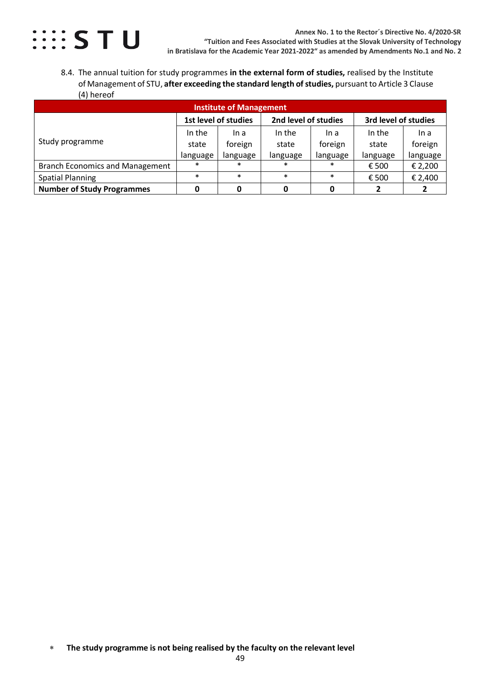

<span id="page-48-0"></span>8.4. The annual tuition for study programmes **in the external form of studies,** realised by the Institute of Management of STU, **after exceeding the standard length of studies,** pursuantto Article 3 Clause (4) hereof

| <b>Institute of Management</b>         |                      |          |                      |          |                      |          |  |  |
|----------------------------------------|----------------------|----------|----------------------|----------|----------------------|----------|--|--|
|                                        | 1st level of studies |          | 2nd level of studies |          | 3rd level of studies |          |  |  |
| Study programme                        | In the               | In a     | In the               | In a     | In the               | In a     |  |  |
|                                        | state                | foreign  | state                | foreign  | state                | foreign  |  |  |
|                                        | language             | language | language             | language | language             | language |  |  |
| <b>Branch Economics and Management</b> | $\ast$               | $\ast$   | $\ast$               | $\ast$   | € 500                | € 2,200  |  |  |
| <b>Spatial Planning</b>                | $\ast$               | $\ast$   | $\ast$               | $\ast$   | € 500                | € 2,400  |  |  |
| <b>Number of Study Programmes</b>      |                      |          |                      |          |                      |          |  |  |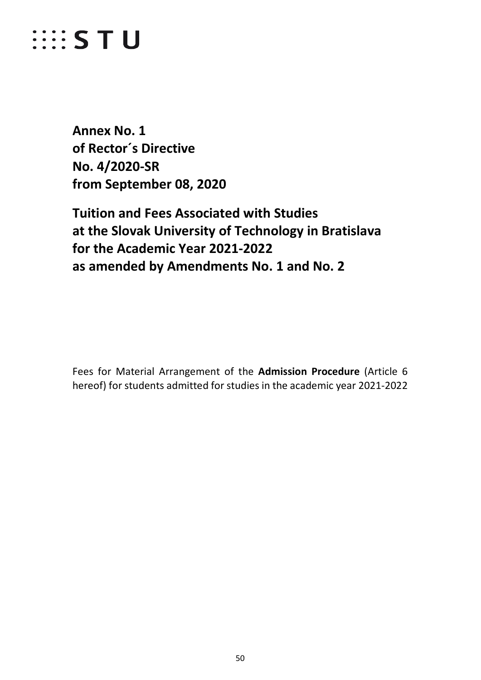# *WESTU*

<span id="page-49-0"></span>**Annex No. 1 of Rector´s Directive No. 4/2020-SR from September 08, 2020**

**Tuition and Fees Associated with Studies at the Slovak University of Technology in Bratislava for the Academic Year 2021-2022 as amended by Amendments No. 1 and No. 2**

Fees for Material Arrangement of the **Admission Procedure** (Article 6 hereof) for students admitted for studies in the academic year 2021-2022